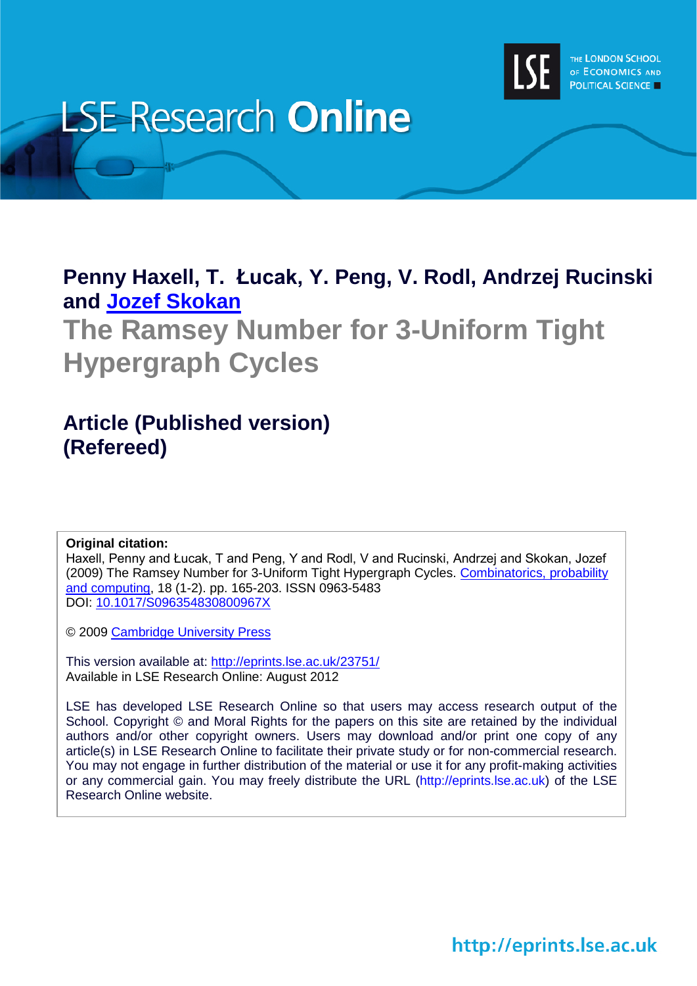

# **LSE Research Online**

## **Penny Haxell, T. Łucak, Y. Peng, V. Rodl, Andrzej Rucinski and Jozef [Skokan](http://www2.lse.ac.uk/researchAndExpertise/Experts/profile.aspx?KeyValue=j.skokan@lse.ac.uk)**

## **The Ramsey Number for 3-Uniform Tight Hypergraph Cycles**

## **Article (Published version) (Refereed)**

#### **Original citation:**

Haxell, Penny and Łucak, T and Peng, Y and Rodl, V and Rucinski, Andrzej and Skokan, Jozef (2009) The Ramsey Number for 3-Uniform Tight Hypergraph Cycles. [Combinatorics, probability](http://journals.cambridge.org/action/displayJournal?jid=CPC)  [and computing,](http://journals.cambridge.org/action/displayJournal?jid=CPC) 18 (1-2). pp. 165-203. ISSN 0963-5483 DOI: [10.1017/S096354830800967X](http://dx.doi.org/10.1017/S096354830800967X)

© 2009 [Cambridge University Press](http://www.cambridge.org/)

This version available at:<http://eprints.lse.ac.uk/23751/> Available in LSE Research Online: August 2012

LSE has developed LSE Research Online so that users may access research output of the School. Copyright © and Moral Rights for the papers on this site are retained by the individual authors and/or other copyright owners. Users may download and/or print one copy of any article(s) in LSE Research Online to facilitate their private study or for non-commercial research. You may not engage in further distribution of the material or use it for any profit-making activities or any commercial gain. You may freely distribute the URL (http://eprints.lse.ac.uk) of the LSE Research Online website.

http://eprints.lse.ac.uk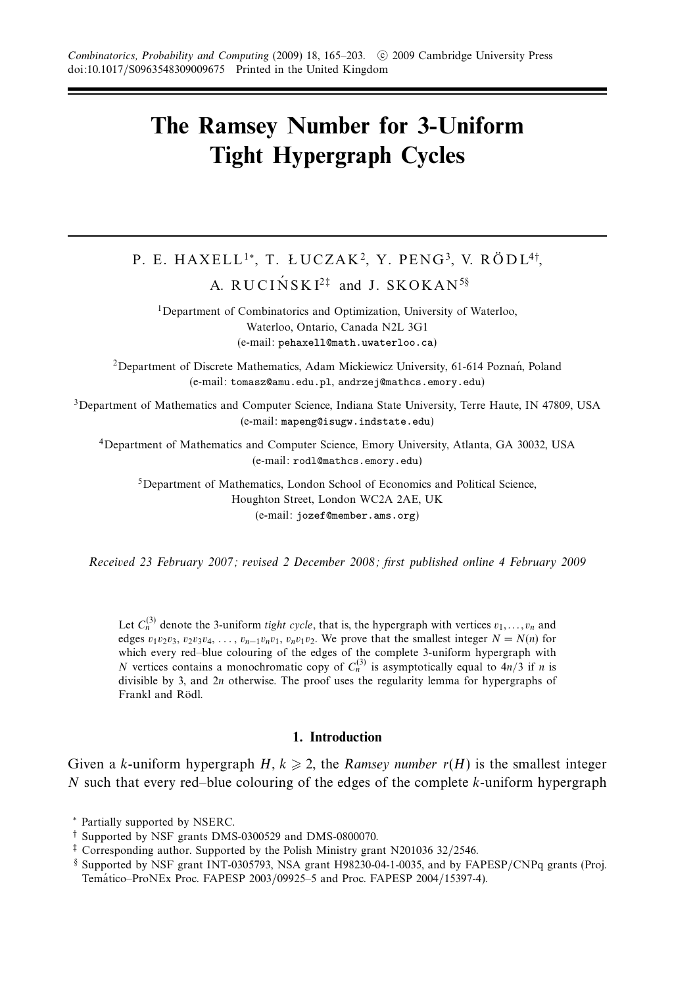### **The Ramsey Number for 3-Uniform Tight Hypergraph Cycles**

## P. E. HAXELL<sup>1</sup>\*, T. ŁUCZAK<sup>2</sup>, Y. PENG<sup>3</sup>, V. RÖDL<sup>4†</sup>,

A. RUCINSKI<sup>2‡</sup> and J. SKOKAN<sup>5§</sup>

<sup>1</sup>Department of Combinatorics and Optimization, University of Waterloo, Waterloo, Ontario, Canada N2L 3G1 (e-mail: pehaxell@math.uwaterloo.ca)

<sup>2</sup>Department of Discrete Mathematics, Adam Mickiewicz University, 61-614 Poznań, Poland (e-mail: tomasz@amu.edu.pl, andrzej@mathcs.emory.edu)

<sup>3</sup>Department of Mathematics and Computer Science, Indiana State University, Terre Haute, IN 47809, USA (e-mail: mapeng@isugw.indstate.edu)

4Department of Mathematics and Computer Science, Emory University, Atlanta, GA 30032, USA (e-mail: rodl@mathcs.emory.edu)

5Department of Mathematics, London School of Economics and Political Science, Houghton Street, London WC2A 2AE, UK (e-mail: jozef@member.ams.org)

Received 23 February 2007; revised 2 December 2008; first published online 4 February 2009

Let  $C_n^{(3)}$  denote the 3-uniform *tight cycle*, that is, the hypergraph with vertices  $v_1, \ldots, v_n$  and edges  $v_1v_2v_3$ ,  $v_2v_3v_4$ , ...,  $v_{n-1}v_nv_1$ ,  $v_nv_1v_2$ . We prove that the smallest integer  $N = N(n)$  for which every red–blue colouring of the edges of the complete 3-uniform hypergraph with *N* vertices contains a monochromatic copy of  $C_n^{(3)}$  is asymptotically equal to  $4n/3$  if *n* is divisible by 3, and 2*n* otherwise. The proof uses the regularity lemma for hypergraphs of Frankl and Rödl.

#### **1. Introduction**

Given a *k*-uniform hypergraph  $H, k \ge 2$ , the *Ramsey number*  $r(H)$  is the smallest integer *N* such that every red–blue colouring of the edges of the complete *k*-uniform hypergraph

<sup>∗</sup> Partially supported by NSERC.

<sup>†</sup> Supported by NSF grants DMS-0300529 and DMS-0800070.

 $\ddagger$  Corresponding author. Supported by the Polish Ministry grant N201036 32/2546.

<sup>§</sup> Supported by NSF grant INT-0305793, NSA grant H98230-04-1-0035, and by FAPESP/CNPq grants (Proj. Temático–ProNEx Proc. FAPESP 2003/09925–5 and Proc. FAPESP 2004/15397-4).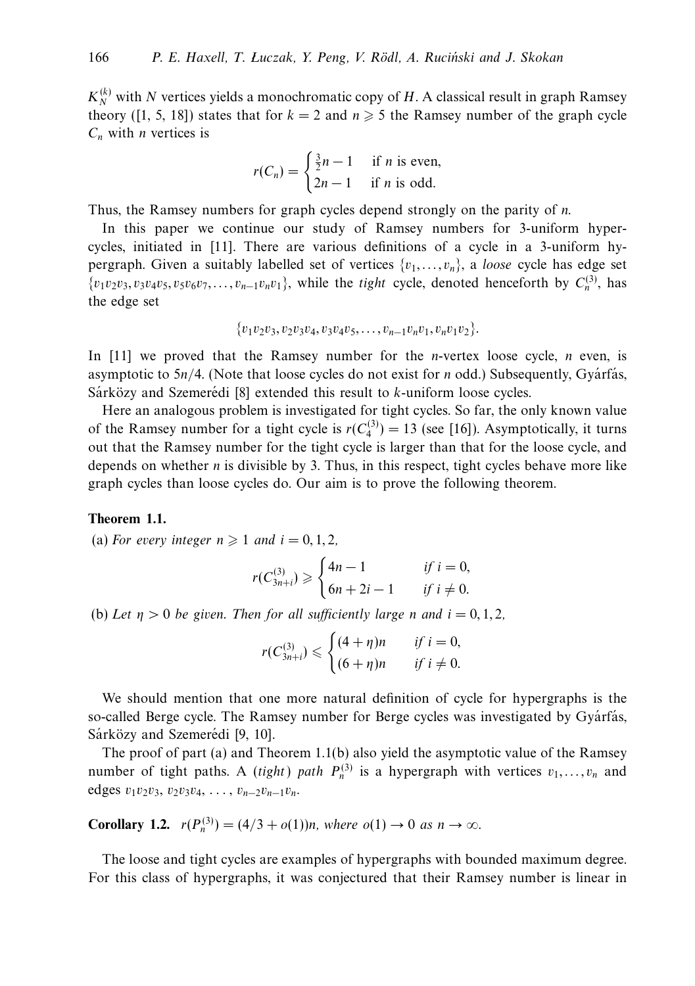$K_N^{(k)}$  with *N* vertices yields a monochromatic copy of *H*. A classical result in graph Ramsey theory ([1, 5, 18]) states that for  $k = 2$  and  $n \ge 5$  the Ramsey number of the graph cycle *Cn* with *n* vertices is

$$
r(C_n) = \begin{cases} \frac{3}{2}n - 1 & \text{if } n \text{ is even,} \\ 2n - 1 & \text{if } n \text{ is odd.} \end{cases}
$$

Thus, the Ramsey numbers for graph cycles depend strongly on the parity of *n*.

In this paper we continue our study of Ramsey numbers for 3-uniform hypercycles, initiated in [11]. There are various definitions of a cycle in a 3-uniform hypergraph. Given a suitably labelled set of vertices  $\{v_1, \ldots, v_n\}$ , a *loose* cycle has edge set  $\{v_1v_2v_3, v_3v_4v_5, v_5v_6v_7, \ldots, v_{n-1}v_nv_1\}$ , while the *tight* cycle, denoted henceforth by  $C_n^{(3)}$ , has the edge set

$$
\{v_1v_2v_3, v_2v_3v_4, v_3v_4v_5, \ldots, v_{n-1}v_nv_1, v_nv_1v_2\}.
$$

In [11] we proved that the Ramsey number for the *n*-vertex loose cycle, *n* even, is asymptotic to 5*n*/4. (Note that loose cycles do not exist for *n* odd.) Subsequently, Gyárfás, Sarközy and Szemeredi [8] extended this result to *k*-uniform loose cycles.

Here an analogous problem is investigated for tight cycles. So far, the only known value of the Ramsey number for a tight cycle is  $r(C_4^{(3)}) = 13$  (see [16]). Asymptotically, it turns out that the Ramsey number for the tight cycle is larger than that for the loose cycle, and depends on whether *n* is divisible by 3. Thus, in this respect, tight cycles behave more like graph cycles than loose cycles do. Our aim is to prove the following theorem.

#### **Theorem 1.1.**

(a) For every integer  $n \geqslant 1$  and  $i = 0, 1, 2$ ,

$$
r(C_{3n+i}^{(3)}) \geq \begin{cases} 4n - 1 & \text{if } i = 0, \\ 6n + 2i - 1 & \text{if } i \neq 0. \end{cases}
$$

(b) Let  $\eta > 0$  be given. Then for all sufficiently large *n* and  $i = 0, 1, 2$ ,

$$
r(C_{3n+i}^{(3)}) \leqslant \begin{cases} (4+\eta)n & \text{if } i=0, \\ (6+\eta)n & \text{if } i\neq 0. \end{cases}
$$

We should mention that one more natural definition of cycle for hypergraphs is the so-called Berge cycle. The Ramsey number for Berge cycles was investigated by Gyárfás, Sárközy and Szemerédi [9, 10].

The proof of part (a) and Theorem 1.1(b) also yield the asymptotic value of the Ramsey number of tight paths. A *(tight)* path  $P_n^{(3)}$  is a hypergraph with vertices  $v_1, \ldots, v_n$  and edges  $v_1v_2v_3$ ,  $v_2v_3v_4$ , ...,  $v_{n-2}v_{n-1}v_n$ .

**Corollary 1.2.**  $r(P_n^{(3)}) = (4/3 + o(1))n$ , where  $o(1) \to 0$  as  $n \to \infty$ .

The loose and tight cycles are examples of hypergraphs with bounded maximum degree. For this class of hypergraphs, it was conjectured that their Ramsey number is linear in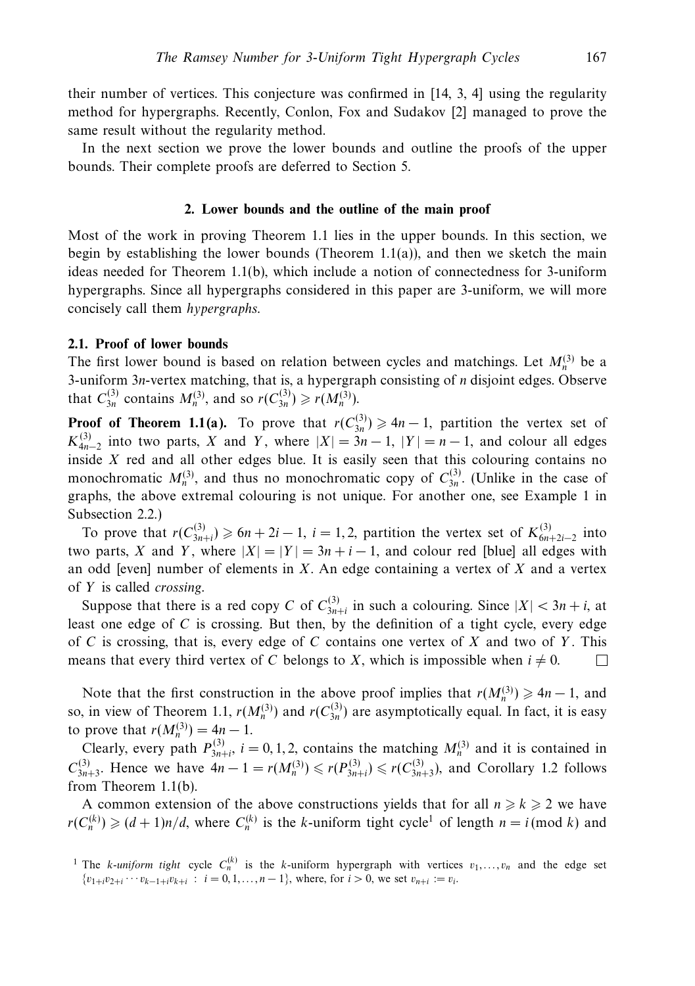their number of vertices. This conjecture was confirmed in [14, 3, 4] using the regularity method for hypergraphs. Recently, Conlon, Fox and Sudakov [2] managed to prove the same result without the regularity method.

In the next section we prove the lower bounds and outline the proofs of the upper bounds. Their complete proofs are deferred to Section 5.

#### **2. Lower bounds and the outline of the main proof**

Most of the work in proving Theorem 1.1 lies in the upper bounds. In this section, we begin by establishing the lower bounds (Theorem  $1.1(a)$ ), and then we sketch the main ideas needed for Theorem 1.1(b), which include a notion of connectedness for 3-uniform hypergraphs. Since all hypergraphs considered in this paper are 3-uniform, we will more concisely call them hypergraphs.

#### **2.1. Proof of lower bounds**

The first lower bound is based on relation between cycles and matchings. Let  $M_n^{(3)}$  be a 3-uniform 3*n*-vertex matching, that is, a hypergraph consisting of *n* disjoint edges. Observe that  $C_{3n}^{(3)}$  contains  $M_n^{(3)}$ , and so  $r(C_{3n}^{(3)}) \ge r(M_n^{(3)})$ .

**Proof of Theorem 1.1(a).** To prove that  $r(C_{3n}^{(3)}) \ge 4n - 1$ , partition the vertex set of  $K_{4n-2}^{(3)}$  into two parts, *X* and *Y*, where  $|X| = 3n - 1$ ,  $|Y| = n - 1$ , and colour all edges inside *X* red and all other edges blue. It is easily seen that this colouring contains no monochromatic  $M_n^{(3)}$ , and thus no monochromatic copy of  $C_{3n}^{(3)}$ . (Unlike in the case of graphs, the above extremal colouring is not unique. For another one, see Example 1 in Subsection 2.2.)

To prove that  $r(C_{3n+i}^{(3)}) \ge 6n + 2i - 1$ ,  $i = 1, 2$ , partition the vertex set of  $K_{6n+2i-2}^{(3)}$  into two parts, *X* and *Y*, where  $|X| = |Y| = 3n + i - 1$ , and colour red [blue] all edges with an odd [even] number of elements in *X*. An edge containing a vertex of *X* and a vertex of *Y* is called crossing.

Suppose that there is a red copy *C* of  $C_{3n+i}^{(3)}$  in such a colouring. Since  $|X| < 3n + i$ , at least one edge of *C* is crossing. But then, by the definition of a tight cycle, every edge of *C* is crossing, that is, every edge of *C* contains one vertex of *X* and two of *Y* . This means that every third vertex of *C* belongs to *X*, which is impossible when  $i \neq 0$ .  $\Box$ 

Note that the first construction in the above proof implies that  $r(M_n^{(3)}) \ge 4n - 1$ , and so, in view of Theorem 1.1,  $r(M_n^{(3)})$  and  $r(C_{3n}^{(3)})$  are asymptotically equal. In fact, it is easy to prove that  $r(M_n^{(3)}) = 4n - 1$ .

Clearly, every path  $P_{3n+i}^{(3)}$ ,  $i = 0, 1, 2$ , contains the matching  $M_n^{(3)}$  and it is contained in *C*<sup>(3)</sup><sub>3*n*+3</sub>. Hence we have  $4n - 1 = r(M_n^{(3)})$  ≤  $r(P_{3n+1}^{(3)})$  ≤  $r(C_{3n+3}^{(3)})$ , and Corollary 1.2 follows from Theorem 1.1(b).

A common extension of the above constructions yields that for all  $n \ge k \ge 2$  we have  $r(C_n^{(k)}) \geq (d+1)n/d$ , where  $C_n^{(k)}$  is the *k*-uniform tight cycle<sup>1</sup> of length  $n = i \pmod{k}$  and

<sup>&</sup>lt;sup>1</sup> The *k*-uniform tight cycle  $C_n^{(k)}$  is the *k*-uniform hypergraph with vertices  $v_1, \ldots, v_n$  and the edge set  $\{v_{1+i}v_{2+i}\cdots v_{k-1+i}v_{k+i} : i = 0, 1, ..., n-1\}$ , where, for  $i > 0$ , we set  $v_{n+i} := v_i$ .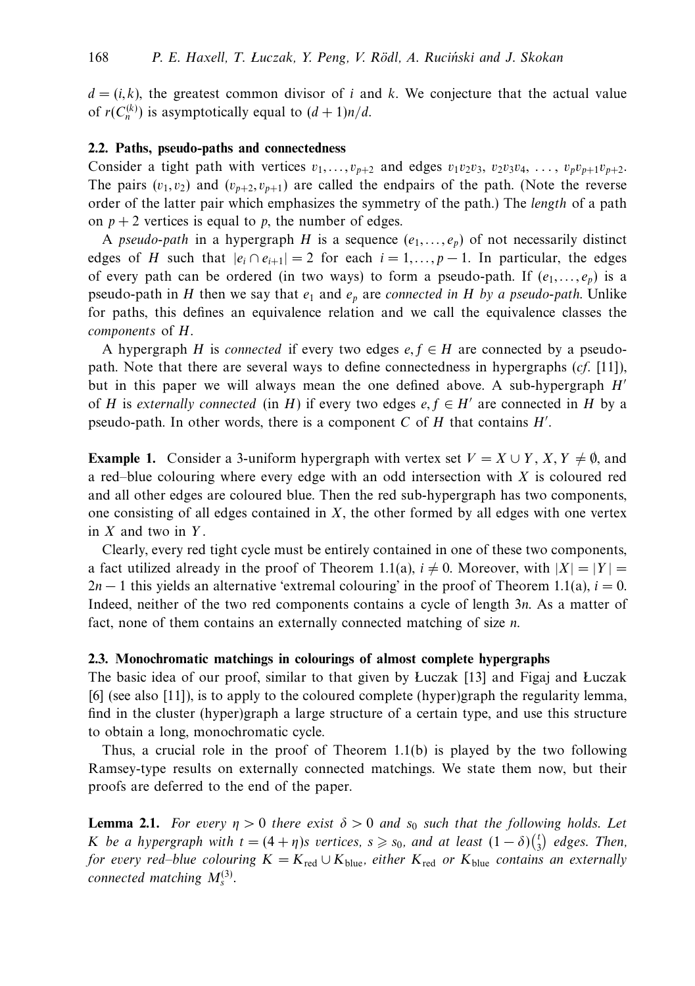$d = (i, k)$ , the greatest common divisor of *i* and *k*. We conjecture that the actual value of  $r(C_n^{(k)})$  is asymptotically equal to  $(d+1)n/d$ .

#### **2.2. Paths, pseudo-paths and connectedness**

Consider a tight path with vertices  $v_1, \ldots, v_{p+2}$  and edges  $v_1v_2v_3, v_2v_3v_4, \ldots, v_pv_{p+1}v_{p+2}$ . The pairs  $(v_1, v_2)$  and  $(v_{p+2}, v_{p+1})$  are called the endpairs of the path. (Note the reverse order of the latter pair which emphasizes the symmetry of the path.) The length of a path on  $p + 2$  vertices is equal to p, the number of edges.

A pseudo-path in a hypergraph *H* is a sequence  $(e_1, \ldots, e_p)$  of not necessarily distinct edges of *H* such that  $|e_i \cap e_{i+1}| = 2$  for each  $i = 1, ..., p - 1$ . In particular, the edges of every path can be ordered (in two ways) to form a pseudo-path. If  $(e_1, \ldots, e_p)$  is a pseudo-path in *H* then we say that  $e_1$  and  $e_p$  are connected in *H* by a pseudo-path. Unlike for paths, this defines an equivalence relation and we call the equivalence classes the components of *H*.

A hypergraph *H* is connected if every two edges  $e, f \in H$  are connected by a pseudopath. Note that there are several ways to define connectedness in hypergraphs  $(cf. [11])$ , but in this paper we will always mean the one defined above. A sub-hypergraph *H* of *H* is externally connected (in *H*) if every two edges  $e, f \in H'$  are connected in *H* by a pseudo-path. In other words, there is a component *C* of *H* that contains *H'*.

**Example 1.** Consider a 3-uniform hypergraph with vertex set  $V = X \cup Y$ ,  $X, Y \neq \emptyset$ , and a red–blue colouring where every edge with an odd intersection with *X* is coloured red and all other edges are coloured blue. Then the red sub-hypergraph has two components, one consisting of all edges contained in *X*, the other formed by all edges with one vertex in *X* and two in *Y* .

Clearly, every red tight cycle must be entirely contained in one of these two components, a fact utilized already in the proof of Theorem 1.1(a),  $i \neq 0$ . Moreover, with  $|X| = |Y|$  $2n-1$  this yields an alternative 'extremal colouring' in the proof of Theorem 1.1(a),  $i = 0$ . Indeed, neither of the two red components contains a cycle of length 3*n*. As a matter of fact, none of them contains an externally connected matching of size *n*.

#### **2.3. Monochromatic matchings in colourings of almost complete hypergraphs**

The basic idea of our proof, similar to that given by Luczak [13] and Figaj and Luczak [6] (see also [11]), is to apply to the coloured complete (hyper)graph the regularity lemma, find in the cluster (hyper)graph a large structure of a certain type, and use this structure to obtain a long, monochromatic cycle.

Thus, a crucial role in the proof of Theorem  $1.1(b)$  is played by the two following Ramsey-type results on externally connected matchings. We state them now, but their proofs are deferred to the end of the paper.

**Lemma 2.1.** For every  $\eta > 0$  there exist  $\delta > 0$  and  $s_0$  such that the following holds. Let *K* be a hypergraph with  $t = (4 + \eta)s$  vertices,  $s \geq s_0$ , and at least  $(1 - \delta) {t \choose 3}$  edges. Then, for every red–blue colouring  $K = K_{\text{red}} \cup K_{\text{blue}}$ , either  $K_{\text{red}}$  or  $K_{\text{blue}}$  contains an externally connected matching  $M_s^{(3)}$ .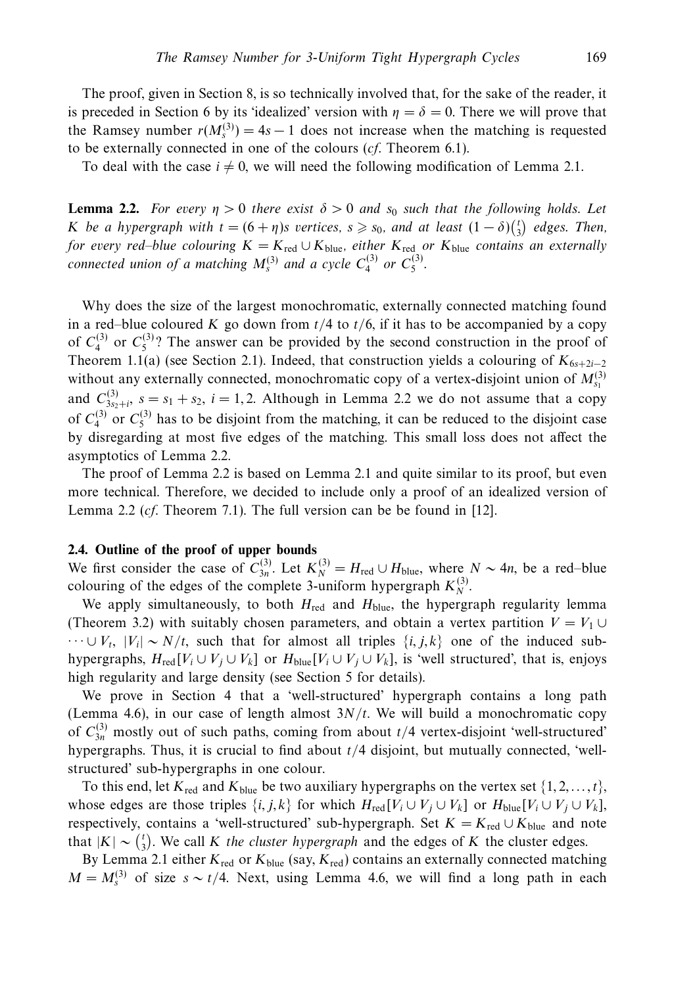The proof, given in Section 8, is so technically involved that, for the sake of the reader, it is preceded in Section 6 by its 'idealized' version with  $\eta = \delta = 0$ . There we will prove that the Ramsey number  $r(M_s^{(3)}) = 4s - 1$  does not increase when the matching is requested to be externally connected in one of the colours (cf. Theorem 6.1).

To deal with the case  $i \neq 0$ , we will need the following modification of Lemma 2.1.

**Lemma 2.2.** For every  $\eta > 0$  there exist  $\delta > 0$  and  $s_0$  such that the following holds. Let *K* be a hypergraph with  $t = (6 + \eta)s$  vertices,  $s \geq s_0$ , and at least  $(1 - \delta) {t \choose 3}$  edges. Then, for every red–blue colouring  $K = K_{\text{red}} \cup K_{\text{blue}}$ , either  $K_{\text{red}}$  or  $K_{\text{blue}}$  contains an externally connected union of a matching  $M_s^{(3)}$  and a cycle  $C_4^{(3)}$  or  $C_5^{(3)}$ .

Why does the size of the largest monochromatic, externally connected matching found in a red–blue coloured K go down from  $t/4$  to  $t/6$ , if it has to be accompanied by a copy of  $C_4^{(3)}$  or  $C_5^{(3)}$ ? The answer can be provided by the second construction in the proof of Theorem 1.1(a) (see Section 2.1). Indeed, that construction yields a colouring of  $K_{6s+2i-2}$ without any externally connected, monochromatic copy of a vertex-disjoint union of  $M_{s_1}^{(3)}$ and  $C_{3s_2+i}^{(3)}$ ,  $s = s_1 + s_2$ ,  $i = 1, 2$ . Although in Lemma 2.2 we do not assume that a copy of  $C_4^{(3)}$  or  $C_5^{(3)}$  has to be disjoint from the matching, it can be reduced to the disjoint case by disregarding at most five edges of the matching. This small loss does not affect the asymptotics of Lemma 2.2.

The proof of Lemma 2.2 is based on Lemma 2.1 and quite similar to its proof, but even more technical. Therefore, we decided to include only a proof of an idealized version of Lemma 2.2 (cf. Theorem 7.1). The full version can be be found in [12].

#### **2.4. Outline of the proof of upper bounds**

We first consider the case of  $C_{3n}^{(3)}$ . Let  $K_N^{(3)} = H_{\text{red}} \cup H_{\text{blue}}$ , where  $N \sim 4n$ , be a red–blue colouring of the edges of the complete 3-uniform hypergraph  $K_N^{(3)}$ .

We apply simultaneously, to both  $H_{\text{red}}$  and  $H_{\text{blue}}$ , the hypergraph regularity lemma (Theorem 3.2) with suitably chosen parameters, and obtain a vertex partition  $V = V_1 \cup$  $\cdots \cup V_t$ ,  $|V_i| \sim N/t$ , such that for almost all triples  $\{i, j, k\}$  one of the induced subhypergraphs,  $H_{\text{red}}[V_i \cup V_j \cup V_k]$  or  $H_{\text{blue}}[V_i \cup V_j \cup V_k]$ , is 'well structured', that is, enjoys high regularity and large density (see Section 5 for details).

We prove in Section 4 that a 'well-structured' hypergraph contains a long path (Lemma 4.6), in our case of length almost  $3N/t$ . We will build a monochromatic copy of  $C_{3n}^{(3)}$  mostly out of such paths, coming from about  $t/4$  vertex-disjoint 'well-structured' hypergraphs. Thus, it is crucial to find about *t/*4 disjoint, but mutually connected, 'wellstructured' sub-hypergraphs in one colour.

To this end, let  $K_{\text{red}}$  and  $K_{\text{blue}}$  be two auxiliary hypergraphs on the vertex set  $\{1, 2, \ldots, t\}$ , whose edges are those triples  $\{i, j, k\}$  for which  $H_{\text{red}}[V_i \cup V_j \cup V_k]$  or  $H_{\text{blue}}[V_i \cup V_j \cup V_k]$ , respectively, contains a 'well-structured' sub-hypergraph. Set  $K = K_{\text{red}} \cup K_{\text{blue}}$  and note that  $|K| \sim {t \choose 3}$ . We call *K* the cluster hypergraph and the edges of *K* the cluster edges.

By Lemma 2.1 either  $K_{\text{red}}$  or  $K_{\text{blue}}$  (say,  $K_{\text{red}}$ ) contains an externally connected matching  $M = M_s^{(3)}$  of size  $s \sim t/4$ . Next, using Lemma 4.6, we will find a long path in each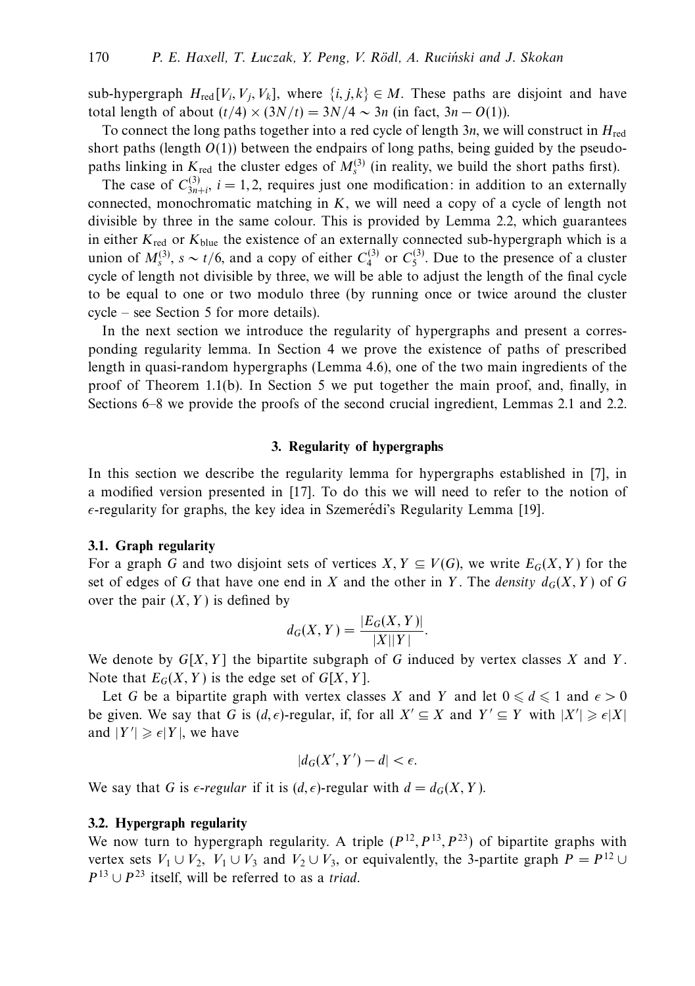sub-hypergraph  $H_{\text{red}}[V_i, V_i, V_k]$ , where  $\{i, j, k\} \in M$ . These paths are disjoint and have total length of about  $(t/4) \times (3N/t) = 3N/4 \sim 3n$  (in fact,  $3n - O(1)$ ).

To connect the long paths together into a red cycle of length 3*n*, we will construct in *H*red short paths (length  $O(1)$ ) between the endpairs of long paths, being guided by the pseudopaths linking in  $K_{\text{red}}$  the cluster edges of  $M_s^{(3)}$  (in reality, we build the short paths first).

The case of  $C_{3n+i}^{(3)}$ ,  $i = 1, 2$ , requires just one modification: in addition to an externally connected, monochromatic matching in *K*, we will need a copy of a cycle of length not divisible by three in the same colour. This is provided by Lemma 2.2, which guarantees in either *K*red or *K*blue the existence of an externally connected sub-hypergraph which is a union of  $M_s^{(3)}$ ,  $s \sim t/6$ , and a copy of either  $C_4^{(3)}$  or  $C_5^{(3)}$ . Due to the presence of a cluster cycle of length not divisible by three, we will be able to adjust the length of the final cycle to be equal to one or two modulo three (by running once or twice around the cluster cycle – see Section 5 for more details).

In the next section we introduce the regularity of hypergraphs and present a corresponding regularity lemma. In Section 4 we prove the existence of paths of prescribed length in quasi-random hypergraphs (Lemma 4.6), one of the two main ingredients of the proof of Theorem 1.1(b). In Section 5 we put together the main proof, and, finally, in Sections 6–8 we provide the proofs of the second crucial ingredient, Lemmas 2.1 and 2.2.

#### **3. Regularity of hypergraphs**

In this section we describe the regularity lemma for hypergraphs established in [7], in a modified version presented in [17]. To do this we will need to refer to the notion of  $\epsilon$ -regularity for graphs, the key idea in Szemerédi's Regularity Lemma [19].

#### **3.1. Graph regularity**

For a graph *G* and two disjoint sets of vertices *X, Y*  $\subseteq$  *V*(*G*), we write  $E_G(X, Y)$  for the set of edges of *G* that have one end in *X* and the other in *Y*. The *density*  $d_G(X, Y)$  of *G* over the pair  $(X, Y)$  is defined by

$$
d_G(X, Y) = \frac{|E_G(X, Y)|}{|X||Y|}.
$$

We denote by  $G[X, Y]$  the bipartite subgraph of G induced by vertex classes X and Y. Note that  $E_G(X, Y)$  is the edge set of  $G[X, Y]$ .

Let *G* be a bipartite graph with vertex classes *X* and *Y* and let  $0 \le d \le 1$  and  $\epsilon > 0$ be given. We say that *G* is  $(d, \epsilon)$ -regular, if, for all  $X' \subseteq X$  and  $Y' \subseteq Y$  with  $|X'| \geq \epsilon |X|$ and  $|Y'| \geqslant \epsilon |Y|$ , we have

$$
|d_G(X',Y') - d| < \epsilon.
$$

We say that *G* is  $\epsilon$ -regular if it is  $(d, \epsilon)$ -regular with  $d = d_G(X, Y)$ .

#### **3.2. Hypergraph regularity**

We now turn to hypergraph regularity. A triple  $(P^{12}, P^{13}, P^{23})$  of bipartite graphs with vertex sets  $V_1 \cup V_2$ ,  $V_1 \cup V_3$  and  $V_2 \cup V_3$ , or equivalently, the 3-partite graph  $P = P^{12} \cup$  $P^{13} \cup P^{23}$  itself, will be referred to as a *triad*.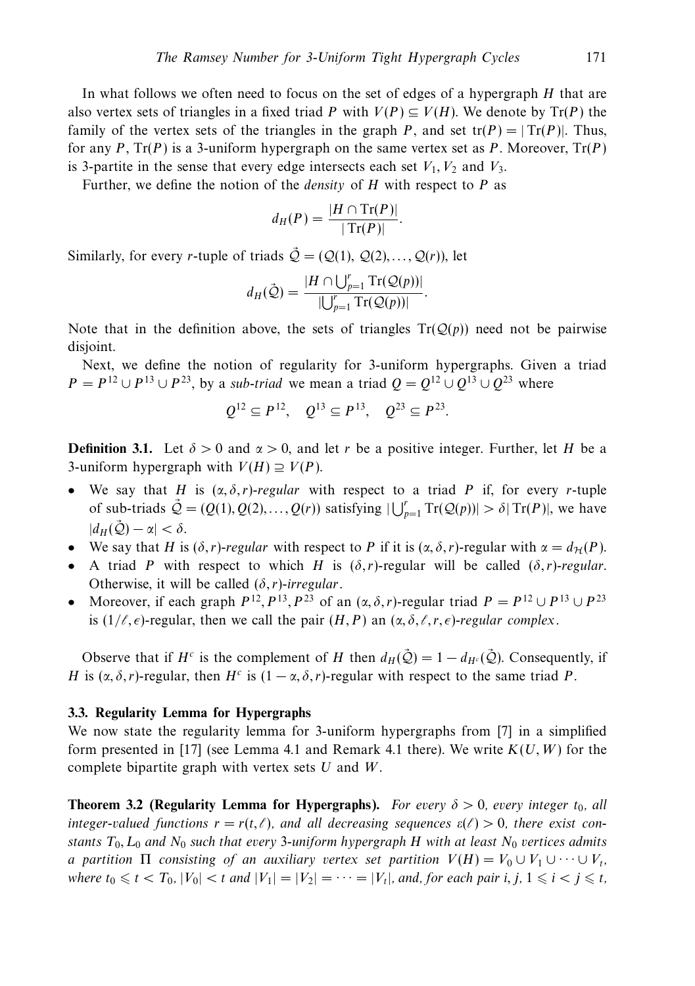In what follows we often need to focus on the set of edges of a hypergraph *H* that are also vertex sets of triangles in a fixed triad *P* with  $V(P) \subseteq V(H)$ . We denote by  $Tr(P)$  the family of the vertex sets of the triangles in the graph *P*, and set  $tr(P) = |Tr(P)|$ . Thus, for any *P*, Tr(*P*) is a 3-uniform hypergraph on the same vertex set as *P*. Moreover, Tr(*P*) is 3-partite in the sense that every edge intersects each set  $V_1$ ,  $V_2$  and  $V_3$ .

Further, we define the notion of the density of *H* with respect to *P* as

$$
d_H(P) = \frac{|H \cap \text{Tr}(P)|}{|\text{Tr}(P)|}.
$$

Similarly, for every *r*-tuple of triads  $\vec{Q} = (Q(1), Q(2), \dots, Q(r))$ , let

$$
d_H(\mathcal{Q}) = \frac{|H \cap \bigcup_{p=1}^r \mathrm{Tr}(\mathcal{Q}(p))|}{|\bigcup_{p=1}^r \mathrm{Tr}(\mathcal{Q}(p))|}.
$$

Note that in the definition above, the sets of triangles  $Tr(Q(p))$  need not be pairwise disjoint.

Next, we define the notion of regularity for 3-uniform hypergraphs. Given a triad *P* = *P*<sup>12</sup> ∪ *P*<sup>13</sup> ∪ *P*<sup>23</sup>, by a sub-triad we mean a triad  $Q = Q^{12} \cup Q^{13} \cup Q^{23}$  where

$$
Q^{12} \subseteq P^{12}
$$
,  $Q^{13} \subseteq P^{13}$ ,  $Q^{23} \subseteq P^{23}$ .

**Definition 3.1.** Let  $\delta > 0$  and  $\alpha > 0$ , and let r be a positive integer. Further, let *H* be a 3-uniform hypergraph with  $V(H) \supseteq V(P)$ .

- We say that *H* is  $(\alpha, \delta, r)$ -regular with respect to a triad *P* if, for every *r*-tuple of sub-triads  $\vec{Q} = (Q(1), Q(2), \dots, Q(r))$  satisfying  $|\bigcup_{p=1}^{r} \text{Tr}(Q(p))| > \delta |\text{Tr}(P)|$ , we have  $|d_H(\mathcal{Q}) - \alpha| < \delta.$
- We say that *H* is  $(\delta, r)$ -regular with respect to *P* if it is  $(\alpha, \delta, r)$ -regular with  $\alpha = d_{\mathcal{H}}(P)$ .
- A triad *P* with respect to which *H* is  $(\delta, r)$ -regular will be called  $(\delta, r)$ -regular. Otherwise, it will be called  $(\delta, r)$ -irregular.
- Moreover, if each graph  $P^{12}, P^{13}, P^{23}$  of an  $(\alpha, \delta, r)$ -regular triad  $P = P^{12} \cup P^{13} \cup P^{23}$ is  $(1/\ell, \epsilon)$ -regular, then we call the pair  $(H, P)$  an  $(\alpha, \delta, \ell, r, \epsilon)$ -regular complex.

Observe that if *H<sup>c</sup>* is the complement of *H* then  $d_H(\tilde{Q}) = 1 - d_{H^c}(\tilde{Q})$ . Consequently, if *H* is  $(\alpha, \delta, r)$ -regular, then  $H^c$  is  $(1 - \alpha, \delta, r)$ -regular with respect to the same triad *P*.

#### **3.3. Regularity Lemma for Hypergraphs**

We now state the regularity lemma for 3-uniform hypergraphs from [7] in a simplified form presented in [17] (see Lemma 4.1 and Remark 4.1 there). We write *K*(*U,W*) for the complete bipartite graph with vertex sets *U* and *W*.

**Theorem 3.2 (Regularity Lemma for Hypergraphs).** For every  $\delta > 0$ , every integer  $t_0$ , all integer-valued functions  $r = r(t,\ell)$ , and all decreasing sequences  $\varepsilon(\ell) > 0$ , there exist constants  $T_0$ ,  $L_0$  and  $N_0$  such that every 3-uniform hypergraph *H* with at least  $N_0$  vertices admits a partition  $\Pi$  consisting of an auxiliary vertex set partition  $V(H) = V_0 \cup V_1 \cup \cdots \cup V_t$ , where  $t_0 \le t < T_0$ ,  $|V_0| < t$  and  $|V_1| = |V_2| = \cdots = |V_t|$ , and, for each pair *i*, *j*,  $1 \le i < j \le t$ ,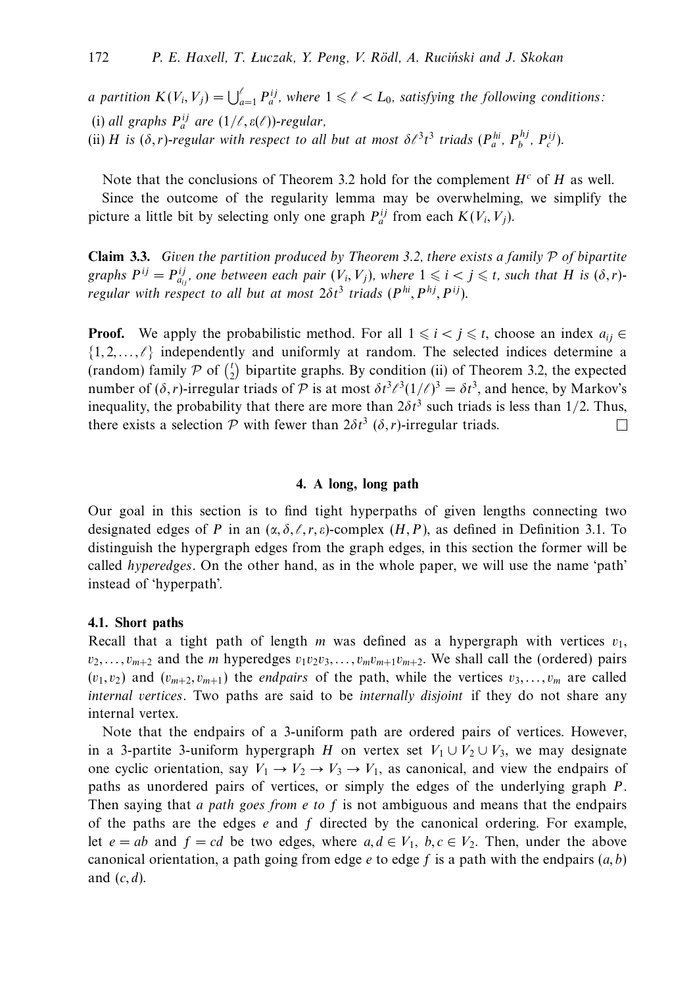*a* partition  $K(V_i, V_j) = \bigcup_{a=1}^{\ell} P_a^{ij}$ , where  $1 \leq \ell < L_0$ , satisfying the following conditions: (i) all graphs  $P_a^{ij}$  are  $(1/\ell, \varepsilon(\ell))$ -regular, (ii) *H* is  $(\delta, r)$ -regular with respect to all but at most  $\delta \ell^3 t^3$  triads  $(P_a^{hi}, P_b^{hj}, P_c^{ij})$ .

Note that the conclusions of Theorem 3.2 hold for the complement  $H^c$  of  $H$  as well.

Since the outcome of the regularity lemma may be overwhelming, we simplify the picture a little bit by selecting only one graph  $P_a^{ij}$  from each  $K(V_i, V_j)$ .

**Claim 3.3.** Given the partition produced by Theorem 3.2, there exists a family P of bipartite graphs  $P^{ij} = P^{ij}_{a_{ij}}$ , one between each pair  $(V_i, V_j)$ , where  $1 \leq i \leq j \leq t$ , such that *H* is  $(\delta, r)$ regular with respect to all but at most  $2\delta t^3$  triads ( $P^{hi}, P^{hj}, P^{ij}$ ).

**Proof.** We apply the probabilistic method. For all  $1 \le i \le j \le t$ , choose an index  $a_{ij} \in$  $\{1, 2, \ldots, \ell\}$  independently and uniformly at random. The selected indices determine a (random) family  $P$  of  $\binom{t}{2}$  bipartite graphs. By condition (ii) of Theorem 3.2, the expected number of  $(\delta, r)$ -irregular triads of P is at most  $\delta t^3 \ell^3 (1/\ell)^3 = \delta t^3$ , and hence, by Markov's inequality, the probability that there are more than  $2\delta t^3$  such triads is less than 1/2. Thus, there exists a selection  $P$  with fewer than  $2\delta t^3$  ( $\delta$ , *r*)-irregular triads.  $\Box$ 

#### **4. A long, long path**

Our goal in this section is to find tight hyperpaths of given lengths connecting two designated edges of *P* in an  $(\alpha, \delta, \ell, r, \varepsilon)$ -complex  $(H, P)$ , as defined in Definition 3.1. To distinguish the hypergraph edges from the graph edges, in this section the former will be called hyperedges. On the other hand, as in the whole paper, we will use the name 'path' instead of 'hyperpath'.

#### **4.1. Short paths**

Recall that a tight path of length *m* was defined as a hypergraph with vertices  $v_1$ ,  $v_2, \ldots, v_{m+2}$  and the *m* hyperedges  $v_1v_2v_3, \ldots, v_mv_{m+1}v_{m+2}$ . We shall call the (ordered) pairs  $(v_1, v_2)$  and  $(v_{m+2}, v_{m+1})$  the *endpairs* of the path, while the vertices  $v_3, \ldots, v_m$  are called internal vertices. Two paths are said to be internally disjoint if they do not share any internal vertex.

Note that the endpairs of a 3-uniform path are ordered pairs of vertices. However, in a 3-partite 3-uniform hypergraph *H* on vertex set  $V_1 \cup V_2 \cup V_3$ , we may designate one cyclic orientation, say  $V_1 \rightarrow V_2 \rightarrow V_3 \rightarrow V_1$ , as canonical, and view the endpairs of paths as unordered pairs of vertices, or simply the edges of the underlying graph *P*. Then saying that a path goes from *e* to *f* is not ambiguous and means that the endpairs of the paths are the edges *e* and *f* directed by the canonical ordering. For example, let  $e = ab$  and  $f = cd$  be two edges, where  $a, d \in V_1$ ,  $b, c \in V_2$ . Then, under the above canonical orientation, a path going from edge *e* to edge *f* is a path with the endpairs (*a, b*) and (*c, d*).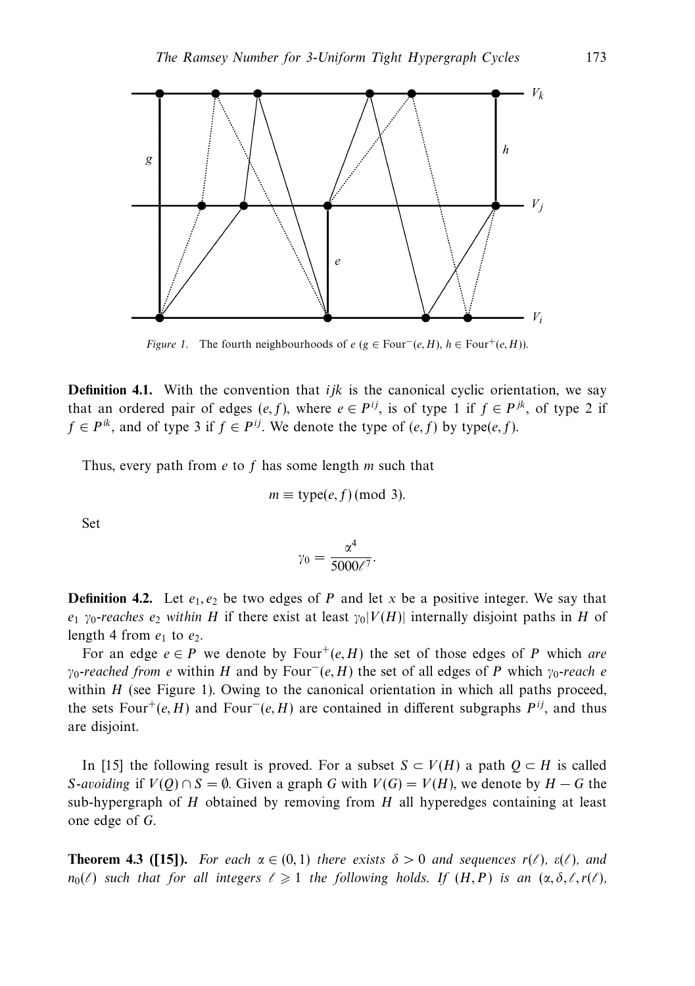

*Figure 1.* The fourth neighbourhoods of  $e$  ( $g \in Four^-(e, H)$ ,  $h \in Four^+(e, H)$ ).

**Definition 4.1.** With the convention that *ijk* is the canonical cyclic orientation, we say that an ordered pair of edges  $(e, f)$ , where  $e \in P^{ij}$ , is of type 1 if  $f \in P^{jk}$ , of type 2 if *f* ∈ *P*<sup>*ik*</sup>, and of type 3 if *f* ∈ *P*<sup>*ij*</sup>. We denote the type of (*e, f*) by type(*e, f*).

Thus, every path from *e* to *f* has some length *m* such that

$$
m \equiv \text{type}(e, f) \, (\text{mod } 3).
$$

Set

$$
\gamma_0 = \frac{\alpha^4}{5000\ell^7}.
$$

**Definition 4.2.** Let  $e_1, e_2$  be two edges of *P* and let *x* be a positive integer. We say that *e*<sub>1</sub> *γ*<sub>0</sub>-reaches *e*<sub>2</sub> within *H* if there exist at least  $\gamma_0|V(H)|$  internally disjoint paths in *H* of length 4 from  $e_1$  to  $e_2$ .

For an edge  $e \in P$  we denote by Four<sup>+</sup>(*e, H*) the set of those edges of *P* which are *γ*<sub>0</sub>-reached from *e* within *H* and by Four<sup>−</sup>(*e, H*) the set of all edges of *P* which *γ*<sub>0</sub>-reach *e* within *H* (see Figure 1). Owing to the canonical orientation in which all paths proceed, the sets Four<sup>+</sup>(*e, H*) and Four<sup>−</sup>(*e, H*) are contained in different subgraphs  $P^{ij}$ , and thus are disjoint.

In [15] the following result is proved. For a subset *S* ⊂ *V*(*H*) a path  $Q$  ⊂ *H* is called *S*-avoiding if  $V(Q) \cap S = \emptyset$ . Given a graph *G* with  $V(G) = V(H)$ , we denote by  $H - G$  the sub-hypergraph of *H* obtained by removing from *H* all hyperedges containing at least one edge of *G*.

**Theorem 4.3 ([15]).** For each  $\alpha \in (0,1)$  there exists  $\delta > 0$  and sequences  $r(\ell)$ ,  $\varepsilon(\ell)$ , and  $n_0(\ell)$  such that for all integers  $\ell \geqslant 1$  the following holds. If  $(H, P)$  is an  $(\alpha, \delta, \ell, r(\ell))$ ,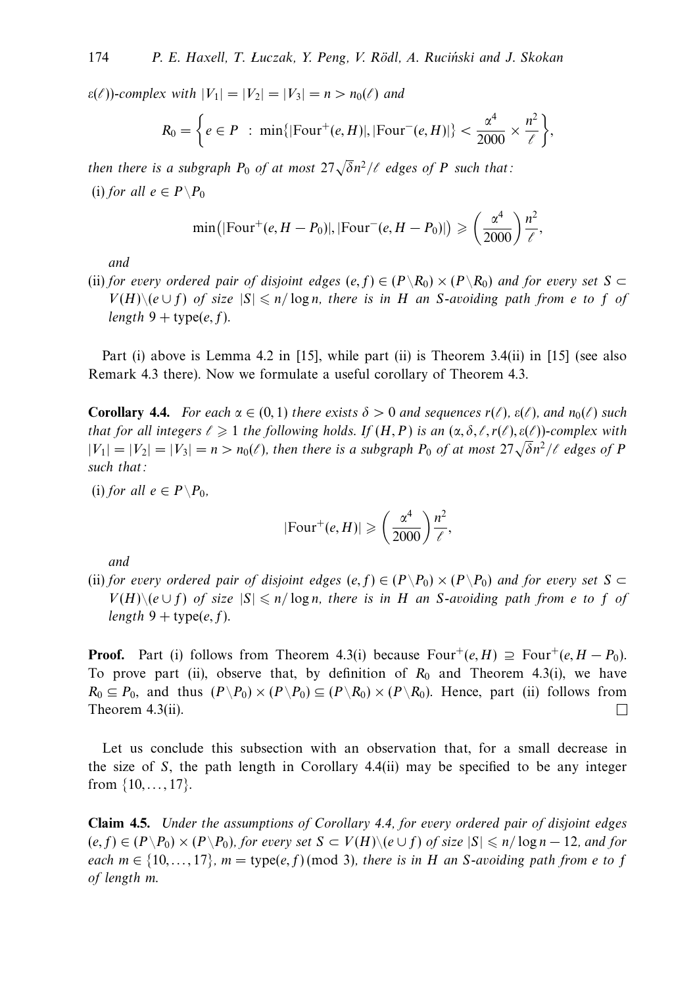$\varepsilon(\ell)$ )-complex with  $|V_1| = |V_2| = |V_3| = n > n_0(\ell)$  and

$$
R_0 = \bigg\{ e \in P \; : \; \min\{|\text{Four}^+(e,H)|, |\text{Four}^-(e,H)|\} < \frac{\alpha^4}{2000} \times \frac{n^2}{\ell} \bigg\},
$$

then there is a subgraph  $P_0$  of at most  $27\sqrt{\delta}n^2/\ell$  edges of  $P$  such that: (i) for all  $e \in P \backslash P_0$ 

$$
\min(|\mathrm{Four}^+(e, H - P_0)|, |\mathrm{Four}^-(e, H - P_0)|) \ge \left(\frac{\alpha^4}{2000}\right) \frac{n^2}{\ell},
$$

and

(ii) for every ordered pair of disjoint edges  $(e, f) \in (P \setminus R_0) \times (P \setminus R_0)$  and for every set  $S \subset$ *V*(*H*)\( $e \cup f$ ) of size  $|S| \le n/\log n$ , there is in *H* an *S*-avoiding path from *e* to *f* of length  $9 + type(e, f)$ .

Part (i) above is Lemma 4.2 in [15], while part (ii) is Theorem 3.4(ii) in [15] (see also Remark 4.3 there). Now we formulate a useful corollary of Theorem 4.3.

**Corollary 4.4.** For each  $\alpha \in (0,1)$  there exists  $\delta > 0$  and sequences  $r(\ell)$ ,  $\varepsilon(\ell)$ , and  $n_0(\ell)$  such that for all integers  $\ell \geqslant 1$  the following holds. If  $(H, P)$  is an  $(\alpha, \delta, \ell, r(\ell), \varepsilon(\ell))$ -complex with  $|V_1| = |V_2| = |V_3| = n > n_0(\ell)$ , then there is a subgraph  $P_0$  of at most  $27\sqrt{\delta}n^2/\ell$  edges of *P* such that:

(i) for all  $e \in P \backslash P_0$ ,

$$
|\text{Four}^+(e, H)| \geqslant \left(\frac{\alpha^4}{2000}\right) \frac{n^2}{\ell},
$$

and

(ii) for every ordered pair of disjoint edges  $(e, f) \in (P \backslash P_0) \times (P \backslash P_0)$  and for every set  $S \subset$ *V*(*H*)\( $e$  ∪ *f*) of size  $|S|$   $\leq$  *n*/log *n*, there is in *H* an *S*-avoiding path from *e* to *f* of length  $9 + \text{type}(e, f)$ .

**Proof.** Part (i) follows from Theorem 4.3(i) because  $Four^+(e, H) \supseteq Four^+(e, H - P_0)$ . To prove part (ii), observe that, by definition of  $R_0$  and Theorem 4.3(i), we have  $R_0 \subseteq P_0$ , and thus  $(P \backslash P_0) \times (P \backslash P_0) \subseteq (P \backslash R_0) \times (P \backslash R_0)$ . Hence, part (ii) follows from Theorem 4.3(ii).  $\Box$ 

Let us conclude this subsection with an observation that, for a small decrease in the size of *S*, the path length in Corollary 4.4(ii) may be specified to be any integer from {10*,...,* 17}.

**Claim 4.5.** Under the assumptions of Corollary 4.4, for every ordered pair of disjoint edges  $(e, f) \in (P \setminus P_0) \times (P \setminus P_0)$ , for every set *S* ⊂ *V*(*H*) $\setminus$ ( $e \cup f$ ) of size  $|S| \le n/\log n - 12$ , and for each  $m \in \{10,\ldots,17\}$ ,  $m = \text{type}(e,f) \text{ (mod 3)}$ , there is in *H* an *S*-avoiding path from *e* to *f* of length *m*.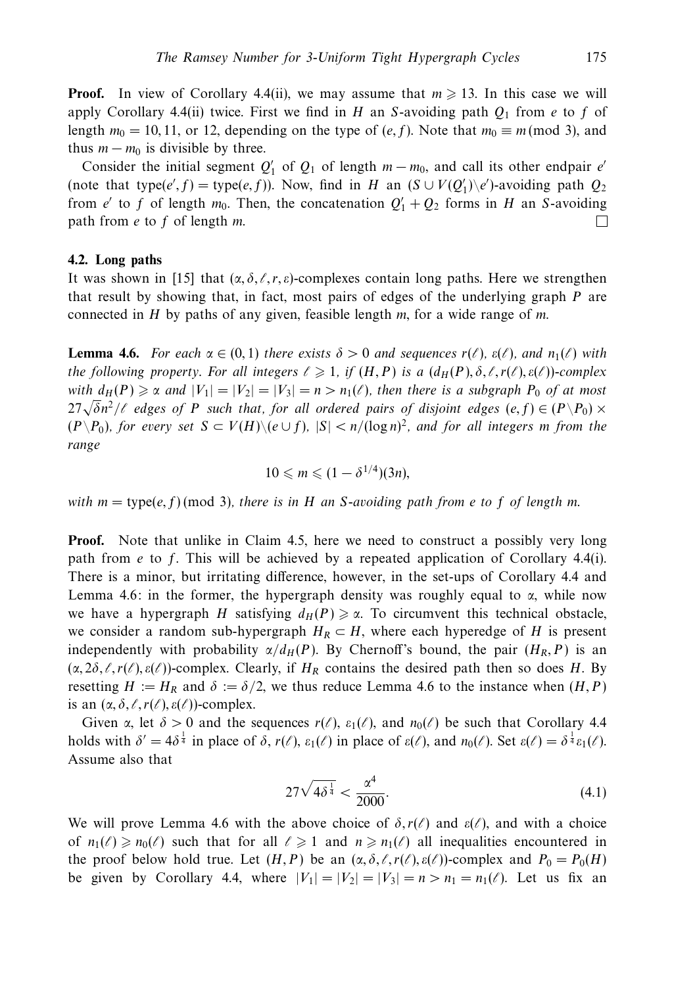**Proof.** In view of Corollary 4.4(ii), we may assume that  $m \geq 13$ . In this case we will apply Corollary 4.4(ii) twice. First we find in *H* an *S*-avoiding path  $Q_1$  from *e* to *f* of length  $m_0 = 10, 11$ , or 12, depending on the type of  $(e, f)$ . Note that  $m_0 \equiv m \pmod{3}$ , and thus  $m - m_0$  is divisible by three.

Consider the initial segment  $Q'_1$  of  $Q_1$  of length  $m - m_0$ , and call its other endpair *e'* (note that type( $e$ ', f) = type( $e$ , f)). Now, find in *H* an ( $S \cup V(Q'_1) \setminus e'$ )-avoiding path  $Q_2$ from *e'* to *f* of length  $m_0$ . Then, the concatenation  $Q'_1 + Q_2$  forms in *H* an *S*-avoiding path from *e* to *f* of length *m*. ⊔

#### **4.2. Long paths**

It was shown in [15] that  $(\alpha, \delta, \ell, r, \varepsilon)$ -complexes contain long paths. Here we strengthen that result by showing that, in fact, most pairs of edges of the underlying graph *P* are connected in *H* by paths of any given, feasible length *m*, for a wide range of *m*.

**Lemma 4.6.** For each  $\alpha \in (0,1)$  there exists  $\delta > 0$  and sequences  $r(\ell)$ ,  $\varepsilon(\ell)$ , and  $n_1(\ell)$  with the following property. For all integers  $\ell \geqslant 1$ , if  $(H, P)$  is a  $(d_H(P), \delta, \ell, r(\ell), \varepsilon(\ell))$ -complex with  $d_H(P) \geq \alpha$  and  $|V_1| = |V_2| = |V_3| = n > n_1(\ell)$ , then there is a subgraph  $P_0$  of at most  $27\sqrt{\delta}n^2/\ell$  edges of *P* such that, for all ordered pairs of disjoint edges  $(e, f) \in (P \setminus P_0) \times$ <br> $27\sqrt{\delta}n^2/\ell$  edges of *P* such that, for all ordered pairs of disjoint edges  $(e, f) \in (P \setminus P_0) \times$ (*P*\*P*0), for every set *S* ⊂ *V*(*H*)\(*e* ∪ *f*), |*S*| *< n/*(log *n*) <sup>2</sup>, and for all integers *m* from the range

$$
10 \leqslant m \leqslant (1 - \delta^{1/4})(3n),
$$

with  $m = \text{type}(e, f) \text{ (mod 3)},$  there is in *H* an *S*-avoiding path from *e* to *f* of length *m*.

**Proof.** Note that unlike in Claim 4.5, here we need to construct a possibly very long path from *e* to *f*. This will be achieved by a repeated application of Corollary 4.4(i). There is a minor, but irritating difference, however, in the set-ups of Corollary 4.4 and Lemma 4.6: in the former, the hypergraph density was roughly equal to  $\alpha$ , while now we have a hypergraph *H* satisfying  $d_H(P) \ge \alpha$ . To circumvent this technical obstacle, we consider a random sub-hypergraph  $H_R \subset H$ , where each hyperedge of *H* is present independently with probability  $\alpha/d_H(P)$ . By Chernoff's bound, the pair  $(H_R, P)$  is an  $(\alpha, 2\delta, \ell, r(\ell), \varepsilon(\ell))$ -complex. Clearly, if  $H_R$  contains the desired path then so does *H*. By resetting  $H := H_R$  and  $\delta := \delta/2$ , we thus reduce Lemma 4.6 to the instance when  $(H, P)$ is an  $(\alpha, \delta, \ell, r(\ell), \varepsilon(\ell))$ -complex.

Given *α*, let  $\delta > 0$  and the sequences  $r(\ell)$ ,  $\varepsilon_1(\ell)$ , and  $n_0(\ell)$  be such that Corollary 4.4 holds with  $\delta' = 4\delta^{\frac{1}{4}}$  in place of  $\delta$ ,  $r(\ell)$ ,  $\varepsilon_1(\ell)$  in place of  $\varepsilon(\ell)$ , and  $n_0(\ell)$ . Set  $\varepsilon(\ell) = \delta^{\frac{1}{4}} \varepsilon_1(\ell)$ . Assume also that

$$
27\sqrt{4\delta^{\frac{1}{4}}} < \frac{\alpha^4}{2000}.\tag{4.1}
$$

We will prove Lemma 4.6 with the above choice of  $\delta$ ,  $r(\ell)$  and  $\varepsilon(\ell)$ , and with a choice of  $n_1(\ell) \ge n_0(\ell)$  such that for all  $\ell \ge 1$  and  $n \ge n_1(\ell)$  all inequalities encountered in the proof below hold true. Let  $(H, P)$  be an  $(\alpha, \delta, \ell, r(\ell), \varepsilon(\ell))$ -complex and  $P_0 = P_0(H)$ be given by Corollary 4.4, where  $|V_1| = |V_2| = |V_3| = n > n_1 = n_1(\ell)$ . Let us fix an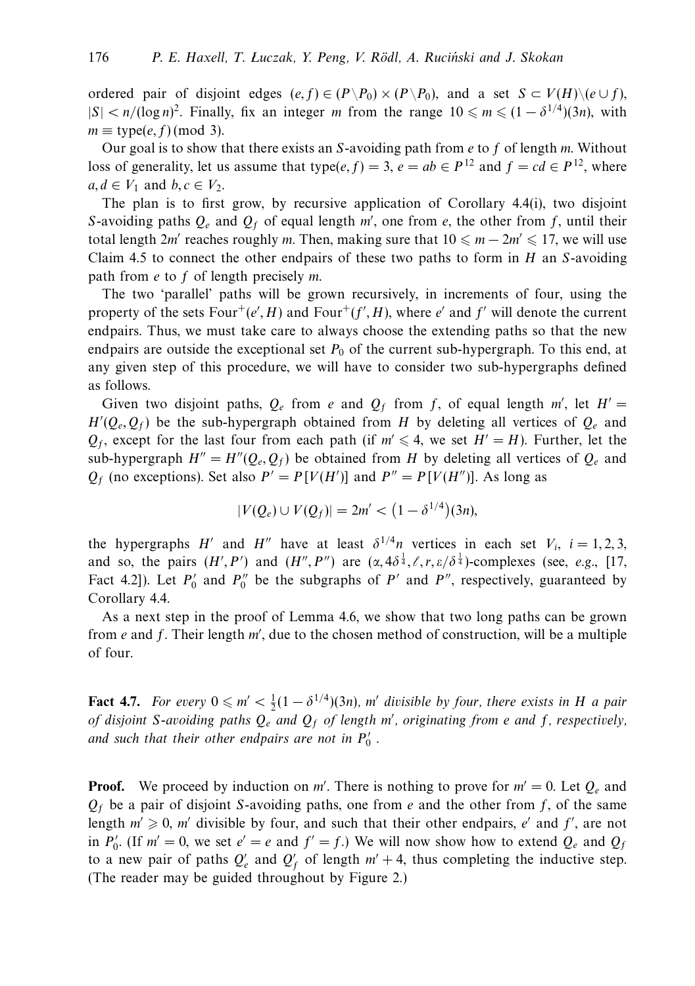ordered pair of disjoint edges  $(e, f) \in (P \backslash P_0) \times (P \backslash P_0)$ , and a set  $S \subset V(H) \backslash (e \cup f)$ ,  $|S| < n/(\log n)^2$ . Finally, fix an integer *m* from the range  $10 \le m \le (1 - \delta^{1/4})(3n)$ , with  $m \equiv$  type(*e, f*) (mod 3).

Our goal is to show that there exists an *S*-avoiding path from *e* to *f* of length *m*. Without loss of generality, let us assume that type(*e, f*) = 3, *e* = *ab*  $\in$  *P*<sup>12</sup> and *f* = *cd*  $\in$  *P*<sup>12</sup>, where *a, d* ∈  $V_1$  and *b, c* ∈  $V_2$ .

The plan is to first grow, by recursive application of Corollary 4.4(i), two disjoint *S*-avoiding paths  $Q_e$  and  $Q_f$  of equal length  $m'$ , one from *e*, the other from *f*, until their total length 2*m*' reaches roughly *m*. Then, making sure that  $10 \le m - 2m' \le 17$ , we will use Claim 4.5 to connect the other endpairs of these two paths to form in *H* an *S*-avoiding path from *e* to *f* of length precisely *m*.

The two 'parallel' paths will be grown recursively, in increments of four, using the property of the sets  $Four^+(e', H)$  and  $Four^+(f', H)$ , where *e*' and  $f'$  will denote the current endpairs. Thus, we must take care to always choose the extending paths so that the new endpairs are outside the exceptional set  $P_0$  of the current sub-hypergraph. To this end, at any given step of this procedure, we will have to consider two sub-hypergraphs defined as follows.

Given two disjoint paths,  $Q_e$  from *e* and  $Q_f$  from *f*, of equal length *m'*, let  $H' =$  $H'(Q_e, Q_f)$  be the sub-hypergraph obtained from *H* by deleting all vertices of  $Q_e$  and  $Q_f$ , except for the last four from each path (if  $m' \leq 4$ , we set  $H' = H$ ). Further, let the sub-hypergraph  $H'' = H''(Q_e, Q_f)$  be obtained from *H* by deleting all vertices of  $Q_e$  and  $Q_f$  (no exceptions). Set also  $P' = P[V(H')]$  and  $P'' = P[V(H'')]$ . As long as

$$
|V(Q_e) \cup V(Q_f)| = 2m' < \left(1 - \delta^{1/4}\right)(3n),
$$

the hypergraphs *H*<sup>'</sup> and *H*<sup>''</sup> have at least  $\delta^{1/4}n$  vertices in each set  $V_i$ ,  $i = 1, 2, 3$ , and so, the pairs  $(H', P')$  and  $(H'', P'')$  are  $(\alpha, 4\delta^{\frac{1}{4}}, \ell, r, \varepsilon/\delta^{\frac{1}{4}})$ -complexes (see, e.g., [17, Fact 4.2]). Let  $P'_0$  and  $P''_0$  be the subgraphs of  $P'$  and  $P''$ , respectively, guaranteed by Corollary 4.4.

As a next step in the proof of Lemma 4.6, we show that two long paths can be grown from *e* and *f*. Their length *m'*, due to the chosen method of construction, will be a multiple of four.

**Fact 4.7.** For every  $0 \le m' < \frac{1}{2}(1 - \delta^{1/4})(3n)$ , m' divisible by four, there exists in *H* a pair of disjoint *S*-avoiding paths *Qe* and *Qf* of length *m* , originating from *e* and *f*, respectively, and such that their other endpairs are not in  $P_0'$  .

**Proof.** We proceed by induction on *m'*. There is nothing to prove for  $m' = 0$ . Let  $Q_e$  and  $Q_f$  be a pair of disjoint *S*-avoiding paths, one from *e* and the other from *f*, of the same length  $m' \geq 0$ , m' divisible by four, and such that their other endpairs, *e'* and *f'*, are not in  $P'_0$ . (If  $m' = 0$ , we set  $e' = e$  and  $f' = f$ .) We will now show how to extend  $Q_e$  and  $Q_f$ to a new pair of paths  $Q'_e$  and  $Q'_f$  of length  $m' + 4$ , thus completing the inductive step. (The reader may be guided throughout by Figure 2.)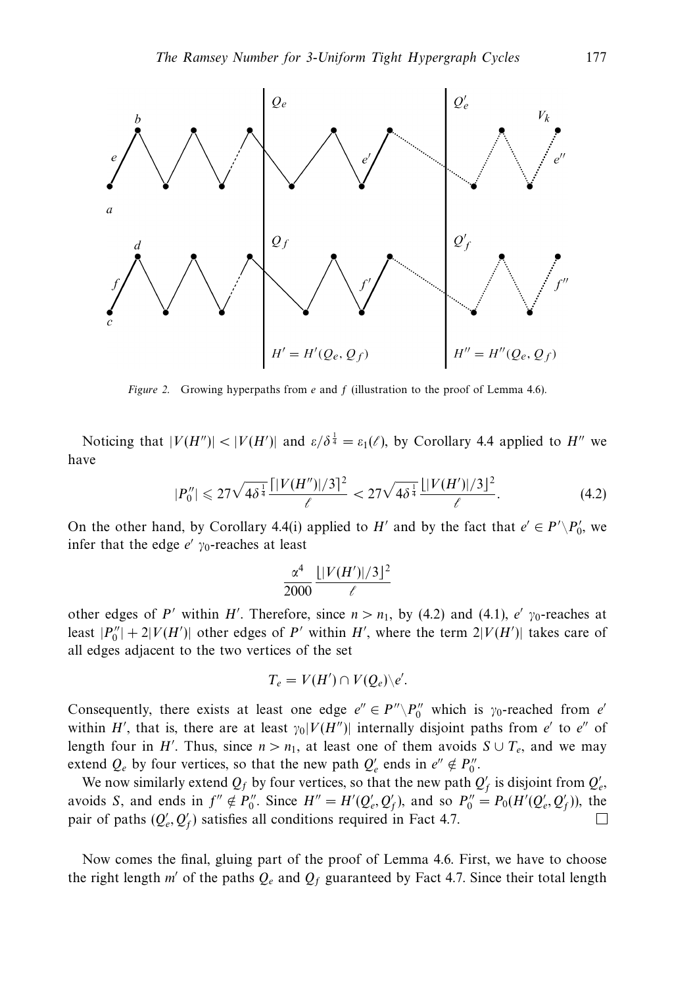

Figure 2. Growing hyperpaths from *e* and *f* (illustration to the proof of Lemma 4.6).

Noticing that  $|V(H'')| < |V(H')|$  and  $\varepsilon/\delta^{\frac{1}{4}} = \varepsilon_1(\ell)$ , by Corollary 4.4 applied to  $H''$  we have

$$
|P_0''| \leq 27\sqrt{4\delta^{\frac{1}{4}}}\frac{\lceil |V(H'')|/3\rceil^2}{\ell} < 27\sqrt{4\delta^{\frac{1}{4}}}\frac{\lfloor |V(H')|/3\rceil^2}{\ell}.\tag{4.2}
$$

On the other hand, by Corollary 4.4(i) applied to *H*<sup>*'*</sup> and by the fact that  $e' \in P' \backslash P'_0$ , we infer that the edge  $e'$   $\gamma_0$ -reaches at least

$$
\frac{\alpha^4}{2000} \frac{\lfloor |V(H')|/3 \rfloor^2}{\ell}
$$

other edges of *P*' within *H*'. Therefore, since  $n > n_1$ , by (4.2) and (4.1), *e*'  $\gamma_0$ -reaches at least  $|P_0''| + 2|V(H')|$  other edges of *P'* within *H'*, where the term  $2|V(H')|$  takes care of all edges adjacent to the two vertices of the set

$$
T_e = V(H') \cap V(Q_e) \backslash e'.
$$

Consequently, there exists at least one edge  $e'' \in P'' \setminus P_0''$  which is  $\gamma_0$ -reached from  $e'$ within *H'*, that is, there are at least  $\gamma_0|V(H'')|$  internally disjoint paths from *e'* to *e''* of length four in *H'*. Thus, since  $n > n_1$ , at least one of them avoids  $S \cup T_e$ , and we may extend  $Q_e$  by four vertices, so that the new path  $Q'_e$  ends in  $e'' \notin P''_0$ .

We now similarly extend  $Q_f$  by four vertices, so that the new path  $Q'_f$  is disjoint from  $Q'_e$ , avoids *S*, and ends in  $f'' \notin P_0''$ . Since  $H'' = H'(Q'_e, Q'_f)$ , and so  $P_0'' = P_0(H'(Q'_e, Q'_f))$ , the pair of paths  $(Q'_e, Q'_f)$  satisfies all conditions required in Fact 4.7. П

Now comes the final, gluing part of the proof of Lemma 4.6. First, we have to choose the right length  $m'$  of the paths  $Q_e$  and  $Q_f$  guaranteed by Fact 4.7. Since their total length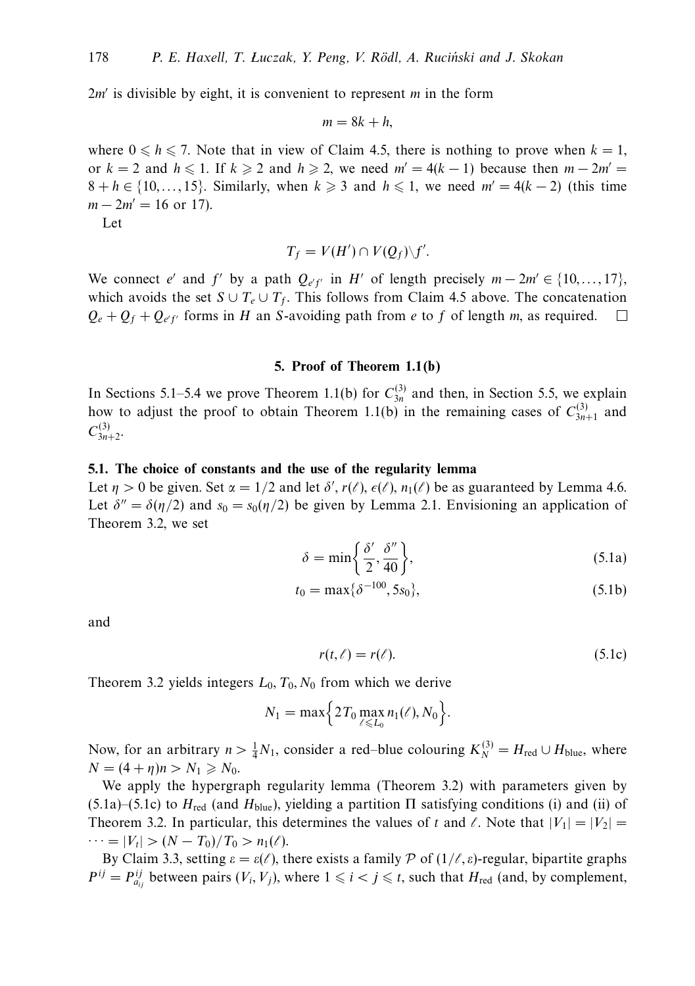$2m'$  is divisible by eight, it is convenient to represent *m* in the form

$$
m=8k+h,
$$

where  $0 \le h \le 7$ . Note that in view of Claim 4.5, there is nothing to prove when  $k = 1$ , or  $k = 2$  and  $h \le 1$ . If  $k \ge 2$  and  $h \ge 2$ , we need  $m' = 4(k - 1)$  because then  $m - 2m' =$  $8 + h \in \{10, \ldots, 15\}$ . Similarly, when  $k \geq 3$  and  $h \leq 1$ , we need  $m' = 4(k - 2)$  (this time  $m - 2m' = 16$  or 17).

Let

$$
T_f=V(H')\cap V(Q_f)\backslash f'.
$$

We connect *e*' and *f*' by a path  $Q_{e'f'}$  in *H*' of length precisely  $m - 2m' \in \{10, ..., 17\}$ , which avoids the set  $S \cup T_e \cup T_f$ . This follows from Claim 4.5 above. The concatenation  $Q_e + Q_f + Q_{e'f'}$  forms in *H* an *S*-avoiding path from *e* to *f* of length *m*, as required.  $\Box$ 

#### **5. Proof of Theorem 1.1(b)**

In Sections 5.1–5.4 we prove Theorem 1.1(b) for  $C_{3n}^{(3)}$  and then, in Section 5.5, we explain how to adjust the proof to obtain Theorem 1.1(b) in the remaining cases of  $C_{3n+1}^{(3)}$  and  $C^{(3)}_{3n+2}$ 

#### **5.1. The choice of constants and the use of the regularity lemma**

Let  $\eta > 0$  be given. Set  $\alpha = 1/2$  and let  $\delta'$ ,  $r(\ell)$ ,  $\epsilon(\ell)$ ,  $n_1(\ell)$  be as guaranteed by Lemma 4.6. Let  $\delta'' = \delta(\eta/2)$  and  $s_0 = s_0(\eta/2)$  be given by Lemma 2.1. Envisioning an application of Theorem 3.2, we set

$$
\delta = \min\left\{\frac{\delta'}{2}, \frac{\delta''}{40}\right\},\tag{5.1a}
$$

$$
t_0 = \max\{\delta^{-100}, 5s_0\},\tag{5.1b}
$$

and

$$
r(t,\ell) = r(\ell). \tag{5.1c}
$$

Theorem 3.2 yields integers *L*0*, T*0*, N*<sup>0</sup> from which we derive

$$
N_1 = \max\Big{2T_0 \max_{\ell \leq L_0} n_1(\ell), N_0\Big}.
$$

Now, for an arbitrary  $n > \frac{1}{4}N_1$ , consider a red–blue colouring  $K_N^{(3)} = H_{\text{red}} \cup H_{\text{blue}}$ , where  $N = (4 + \eta)n > N_1 \ge N_0.$ 

We apply the hypergraph regularity lemma (Theorem 3.2) with parameters given by (5.1a)–(5.1c) to  $H_{\text{red}}$  (and  $H_{\text{blue}}$ ), yielding a partition  $\Pi$  satisfying conditions (i) and (ii) of Theorem 3.2. In particular, this determines the values of *t* and  $\ell$ . Note that  $|V_1| = |V_2|$  $\cdots = |V_t| > (N - T_0)/T_0 > n_1(\ell).$ 

By Claim 3.3, setting  $ε = ε(ℓ)$ , there exists a family  $P$  of  $(1/ℓ, ε)$ -regular, bipartite graphs  $P^{ij} = P^{ij}_{a_{ij}}$  between pairs  $(V_i, V_j)$ , where  $1 \leq i < j \leq t$ , such that  $H_{\text{red}}$  (and, by complement,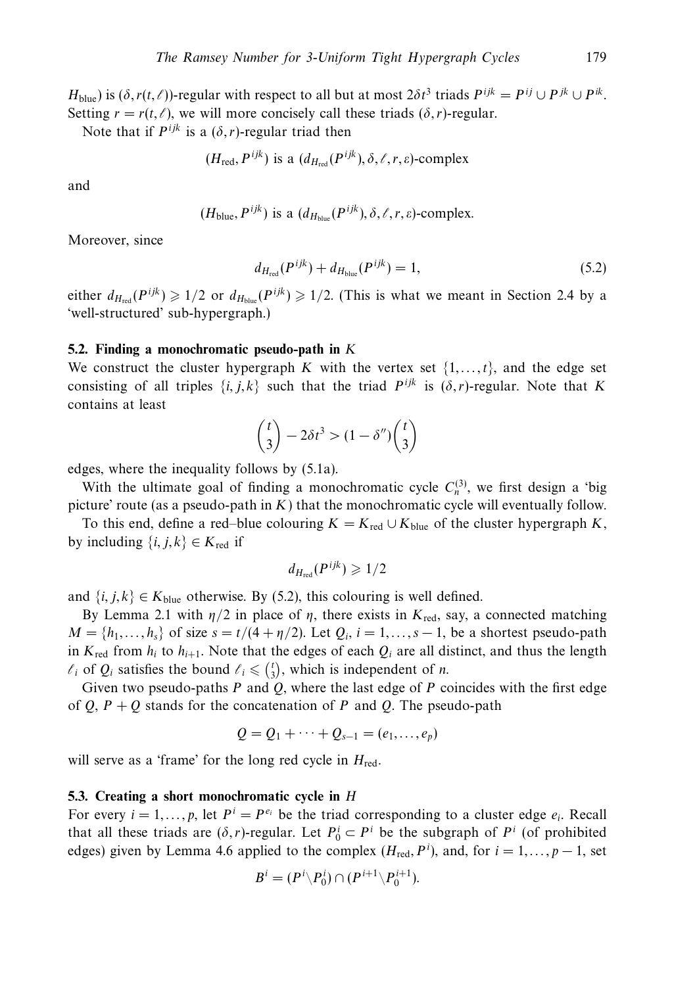*H*<sub>blue</sub>) is  $(\delta, r(t, \ell))$ -regular with respect to all but at most  $2\delta t^3$  triads  $P^{ijk} = P^{ij} \cup P^{jk} \cup P^{ik}$ . Setting  $r = r(t, \ell)$ , we will more concisely call these triads  $(\delta, r)$ -regular.

Note that if  $P^{ijk}$  is a  $(\delta, r)$ -regular triad then

$$
(H_{\text{red}}, P^{ijk})
$$
 is a  $(d_{H_{\text{red}}}(P^{ijk}), \delta, \ell, r, \varepsilon)$ -complex

and

$$
(H_{blue}, P^{ijk})
$$
 is a  $(d_{H_{blue}}(P^{ijk}), \delta, \ell, r, \varepsilon)$ -complex.

Moreover, since

$$
d_{H_{\text{red}}}(P^{ijk}) + d_{H_{\text{blue}}}(P^{ijk}) = 1, \tag{5.2}
$$

either  $d_{H_{\text{red}}}(P^{ijk}) \geq 1/2$  or  $d_{H_{\text{blue}}}(P^{ijk}) \geq 1/2$ . (This is what we meant in Section 2.4 by a 'well-structured' sub-hypergraph.)

#### **5.2. Finding a monochromatic pseudo-path in** *K*

We construct the cluster hypergraph *K* with the vertex set  $\{1, \ldots, t\}$ , and the edge set consisting of all triples  $\{i, j, k\}$  such that the triad  $P^{ijk}$  is  $(\delta, r)$ -regular. Note that *K* contains at least

$$
\binom{t}{3} - 2\delta t^3 > (1 - \delta'') \binom{t}{3}
$$

edges, where the inequality follows by (5.1a).

With the ultimate goal of finding a monochromatic cycle  $C_n^{(3)}$ , we first design a 'big picture' route (as a pseudo-path in *K*) that the monochromatic cycle will eventually follow.

To this end, define a red–blue colouring  $K = K_{\text{red}} \cup K_{\text{blue}}$  of the cluster hypergraph *K*, by including  $\{i, j, k\} \in K_{\text{red}}$  if

$$
d_{H_{\text{red}}}(P^{ijk}) \geqslant 1/2
$$

and  $\{i, j, k\} \in K_{blue}$  otherwise. By (5.2), this colouring is well defined.

By Lemma 2.1 with  $η/2$  in place of *η*, there exists in  $K_{\text{red}}$ , say, a connected matching  $M = \{h_1, \ldots, h_s\}$  of size  $s = t/(4 + \eta/2)$ . Let  $Q_i$ ,  $i = 1, \ldots, s-1$ , be a shortest pseudo-path in  $K_{\text{red}}$  from  $h_i$  to  $h_{i+1}$ . Note that the edges of each  $Q_i$  are all distinct, and thus the length  $\ell_i$  of  $Q_i$  satisfies the bound  $\ell_i \leq \binom{t}{3}$ , which is independent of *n*.

Given two pseudo-paths *P* and *Q*, where the last edge of *P* coincides with the first edge of  $Q$ ,  $P + Q$  stands for the concatenation of  $P$  and  $Q$ . The pseudo-path

$$
Q = Q_1 + \cdots + Q_{s-1} = (e_1, \ldots, e_p)
$$

will serve as a 'frame' for the long red cycle in *H*red.

#### **5.3. Creating a short monochromatic cycle in** *H*

For every  $i = 1, ..., p$ , let  $P^i = P^{e_i}$  be the triad corresponding to a cluster edge  $e_i$ . Recall that all these triads are  $(\delta, r)$ -regular. Let  $P_0^i \subset P^i$  be the subgraph of  $P^i$  (of prohibited edges) given by Lemma 4.6 applied to the complex  $(H_{\text{red}}, P^i)$ , and, for  $i = 1, ..., p - 1$ , set

$$
B^i=(P^i\backslash P_0^i)\cap (P^{i+1}\backslash P_0^{i+1}).
$$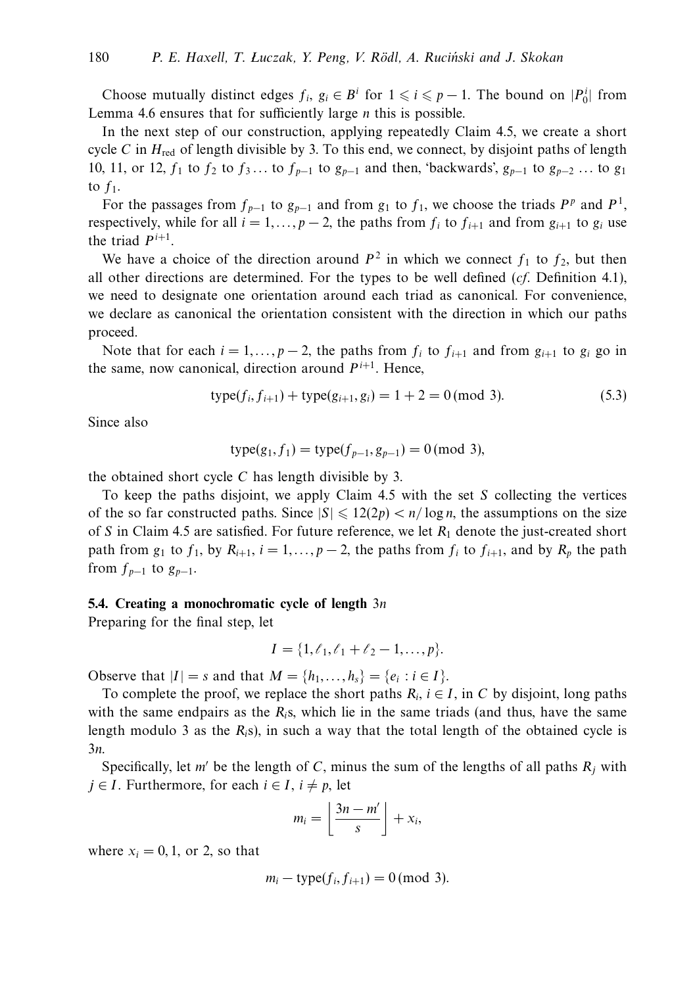Choose mutually distinct edges  $f_i$ ,  $g_i \in B^i$  for  $1 \leq i \leq p-1$ . The bound on  $|P_0^i|$  from Lemma 4.6 ensures that for sufficiently large *n* this is possible.

In the next step of our construction, applying repeatedly Claim 4.5, we create a short cycle *C* in  $H_{\text{red}}$  of length divisible by 3. To this end, we connect, by disjoint paths of length 10, 11, or 12,  $f_1$  to  $f_2$  to  $f_3$ ... to  $f_{p-1}$  to  $g_{p-1}$  and then, 'backwards',  $g_{p-1}$  to  $g_{p-2}$  ... to  $g_1$ to  $f_1$ .

For the passages from  $f_{p-1}$  to  $g_{p-1}$  and from  $g_1$  to  $f_1$ , we choose the triads  $P^p$  and  $P^1$ , respectively, while for all  $i = 1, \ldots, p - 2$ , the paths from  $f_i$  to  $f_{i+1}$  and from  $g_{i+1}$  to  $g_i$  use the triad  $P^{i+1}$ .

We have a choice of the direction around  $P^2$  in which we connect  $f_1$  to  $f_2$ , but then all other directions are determined. For the types to be well defined  $(cf.$  Definition 4.1), we need to designate one orientation around each triad as canonical. For convenience, we declare as canonical the orientation consistent with the direction in which our paths proceed.

Note that for each  $i = 1, \ldots, p-2$ , the paths from  $f_i$  to  $f_{i+1}$  and from  $g_{i+1}$  to  $g_i$  go in the same, now canonical, direction around  $P^{i+1}$ . Hence,

$$
type(f_i, f_{i+1}) + type(g_{i+1}, g_i) = 1 + 2 = 0 \pmod{3}.
$$
\n(5.3)

Since also

$$
type(g_1, f_1) = type(f_{p-1}, g_{p-1}) = 0 \pmod{3},
$$

the obtained short cycle *C* has length divisible by 3.

To keep the paths disjoint, we apply Claim 4.5 with the set *S* collecting the vertices of the so far constructed paths. Since  $|S| \leq 12(2p) < n/\log n$ , the assumptions on the size of *S* in Claim 4.5 are satisfied. For future reference, we let *R*<sup>1</sup> denote the just-created short path from  $g_1$  to  $f_1$ , by  $R_{i+1}$ ,  $i = 1, \ldots, p-2$ , the paths from  $f_i$  to  $f_{i+1}$ , and by  $R_p$  the path from  $f_{p-1}$  to  $g_{p-1}$ .

#### **5.4. Creating a monochromatic cycle of length** 3*n*

Preparing for the final step, let

$$
I = \{1, \ell_1, \ell_1 + \ell_2 - 1, \ldots, p\}.
$$

Observe that  $|I| = s$  and that  $M = \{h_1, \ldots, h_s\} = \{e_i : i \in I\}.$ 

To complete the proof, we replace the short paths  $R_i$ ,  $i \in I$ , in C by disjoint, long paths with the same endpairs as the  $R_i$ s, which lie in the same triads (and thus, have the same length modulo 3 as the  $R_i$ s), in such a way that the total length of the obtained cycle is 3*n*.

Specifically, let *m'* be the length of *C*, minus the sum of the lengths of all paths  $R_i$  with *j* ∈ *I*. Furthermore, for each *i* ∈ *I*, *i*  $\neq$  *p*, let

$$
m_i = \left\lfloor \frac{3n-m'}{s} \right\rfloor + x_i,
$$

where  $x_i = 0, 1$ , or 2, so that

$$
m_i - \text{type}(f_i, f_{i+1}) = 0 \pmod{3}.
$$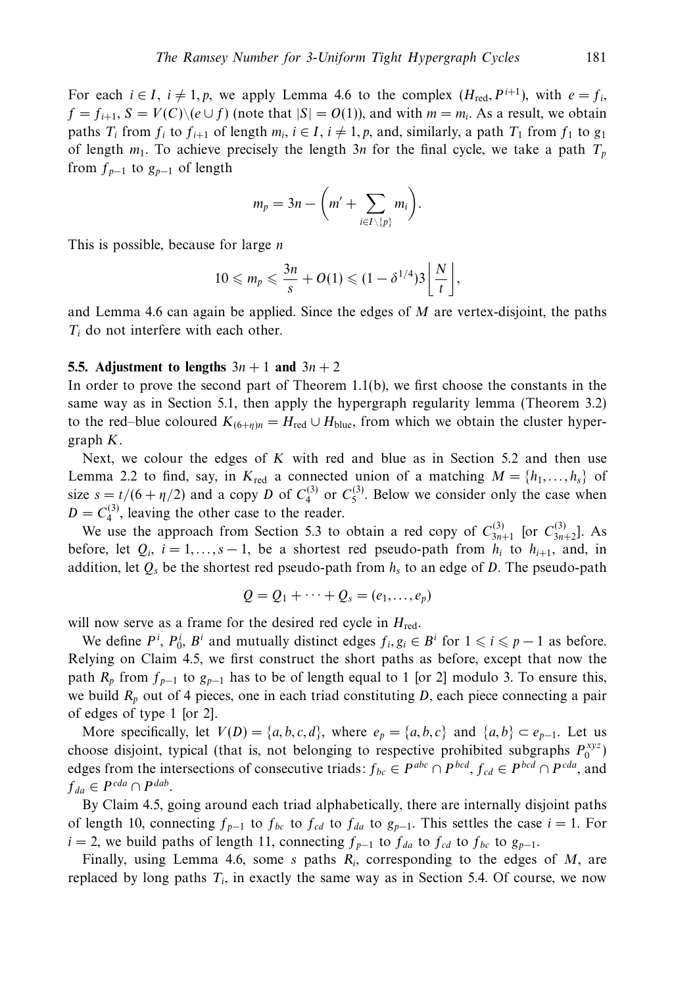For each  $i \in I$ ,  $i \neq 1, p$ , we apply Lemma 4.6 to the complex  $(H_{red}, P^{i+1})$ , with  $e = f_i$ ,  $f = f_{i+1}$ ,  $S = V(C) \setminus (e \cup f)$  (note that  $|S| = O(1)$ ), and with  $m = m_i$ . As a result, we obtain paths  $T_i$  from  $f_i$  to  $f_{i+1}$  of length  $m_i$ ,  $i \in I$ ,  $i \neq 1$ ,  $p$ , and, similarly, a path  $T_1$  from  $f_1$  to  $g_1$ of length  $m_1$ . To achieve precisely the length  $3n$  for the final cycle, we take a path  $T_p$ from  $f_{p-1}$  to  $g_{p-1}$  of length

$$
m_p=3n-\bigg(m'+\sum_{i\in I\setminus\{p\}}m_i\bigg).
$$

This is possible, because for large *n*

$$
10 \leqslant m_p \leqslant \frac{3n}{s} + O(1) \leqslant (1 - \delta^{1/4})3 \left\lfloor \frac{N}{t} \right\rfloor,
$$

and Lemma 4.6 can again be applied. Since the edges of *M* are vertex-disjoint, the paths *Ti* do not interfere with each other.

#### **5.5.** Adjustment to lengths  $3n + 1$  and  $3n + 2$

In order to prove the second part of Theorem  $1.1(b)$ , we first choose the constants in the same way as in Section 5.1, then apply the hypergraph regularity lemma (Theorem 3.2) to the red–blue coloured  $K_{(6+\eta)n} = H_{\text{red}} \cup H_{\text{blue}}$ , from which we obtain the cluster hypergraph *K*.

Next, we colour the edges of *K* with red and blue as in Section 5.2 and then use Lemma 2.2 to find, say, in  $K_{\text{red}}$  a connected union of a matching  $M = \{h_1, \ldots, h_s\}$  of size  $s = t/(6 + \eta/2)$  and a copy *D* of  $C_4^{(3)}$  or  $C_5^{(3)}$ . Below we consider only the case when  $D = C_4^{(3)}$ , leaving the other case to the reader.

We use the approach from Section 5.3 to obtain a red copy of  $C_{3n+1}^{(3)}$  [or  $C_{3n+2}^{(3)}$ ]. As before, let  $Q_i$ ,  $i = 1, ..., s - 1$ , be a shortest red pseudo-path from  $h_i$  to  $h_{i+1}$ , and, in addition, let  $Q_s$  be the shortest red pseudo-path from  $h_s$  to an edge of *D*. The pseudo-path

$$
Q = Q_1 + \cdots + Q_s = (e_1, \ldots, e_p)
$$

will now serve as a frame for the desired red cycle in  $H_{\text{red}}$ .

We define  $P^i$ ,  $P^i_0$ ,  $B^i$  and mutually distinct edges  $f_i, g_i \in B^i$  for  $1 \leq i \leq p-1$  as before. Relying on Claim 4.5, we first construct the short paths as before, except that now the path  $R_p$  from  $f_{p-1}$  to  $g_{p-1}$  has to be of length equal to 1 [or 2] modulo 3. To ensure this, we build  $R_p$  out of 4 pieces, one in each triad constituting *D*, each piece connecting a pair of edges of type 1 [or 2].

More specifically, let  $V(D) = \{a, b, c, d\}$ , where  $e_p = \{a, b, c\}$  and  $\{a, b\} \subset e_{p-1}$ . Let us choose disjoint, typical (that is, not belonging to respective prohibited subgraphs  $P_0^{xyz}$ ) edges from the intersections of consecutive triads:  $f_{bc} \in P^{abc} \cap P^{bcd}$ ,  $f_{cd} \in P^{bcd} \cap P^{cda}$ , and  $f_{da} \in P^{cda} \cap P^{dab}$ .

By Claim 4.5, going around each triad alphabetically, there are internally disjoint paths of length 10, connecting  $f_{p-1}$  to  $f_{bc}$  to  $f_{cd}$  to  $f_{da}$  to  $g_{p-1}$ . This settles the case  $i = 1$ . For  $i = 2$ , we build paths of length 11, connecting  $f_{p-1}$  to  $f_{da}$  to  $f_{cd}$  to  $f_{bc}$  to  $g_{p-1}$ .

Finally, using Lemma 4.6, some *s* paths *Ri*, corresponding to the edges of *M*, are replaced by long paths *Ti*, in exactly the same way as in Section 5.4. Of course, we now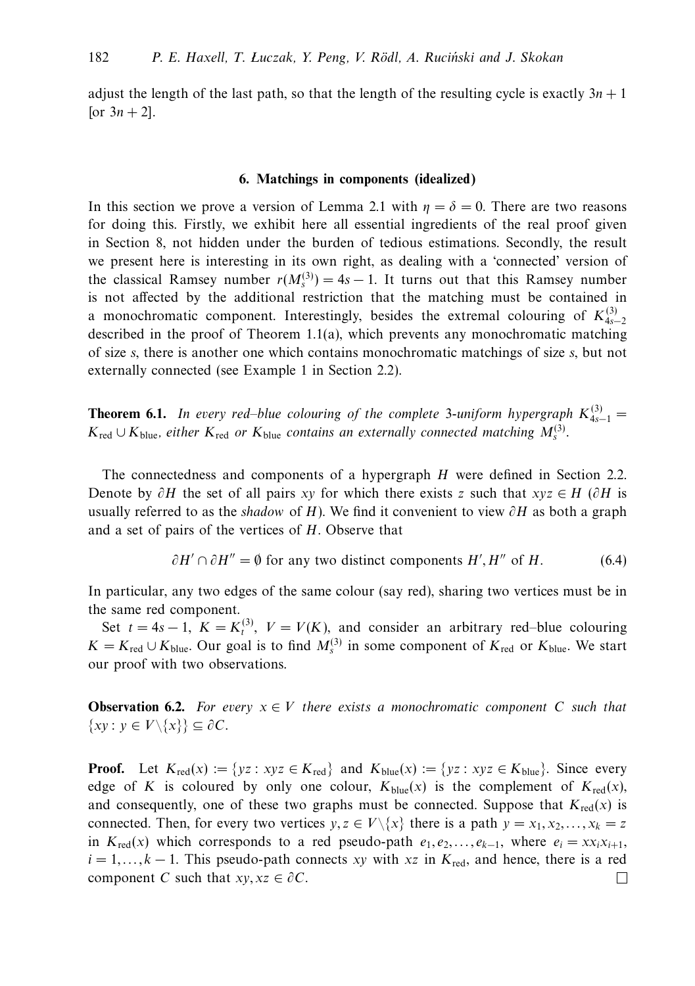adjust the length of the last path, so that the length of the resulting cycle is exactly  $3n + 1$ [or  $3n + 2$ ].

#### **6. Matchings in components (idealized)**

In this section we prove a version of Lemma 2.1 with  $\eta = \delta = 0$ . There are two reasons for doing this. Firstly, we exhibit here all essential ingredients of the real proof given in Section 8, not hidden under the burden of tedious estimations. Secondly, the result we present here is interesting in its own right, as dealing with a 'connected' version of the classical Ramsey number  $r(M_s^{(3)}) = 4s - 1$ . It turns out that this Ramsey number is not affected by the additional restriction that the matching must be contained in a monochromatic component. Interestingly, besides the extremal colouring of  $K_{4s-2}^{(3)}$ described in the proof of Theorem 1.1(a), which prevents any monochromatic matching of size *s*, there is another one which contains monochromatic matchings of size *s*, but not externally connected (see Example 1 in Section 2.2).

**Theorem 6.1.** In every red–blue colouring of the complete 3-uniform hypergraph  $K_{4s-1}^{(3)}$  =  $K_{\text{red}}$  ∪  $K_{\text{blue}}$ , either  $K_{\text{red}}$  or  $K_{\text{blue}}$  contains an externally connected matching  $M_s^{(3)}$ .

The connectedness and components of a hypergraph *H* were defined in Section 2.2. Denote by *∂H* the set of all pairs *xy* for which there exists *z* such that *xyz* ∈ *H* (*∂H* is usually referred to as the shadow of *H*). We find it convenient to view *∂H* as both a graph and a set of pairs of the vertices of *H*. Observe that

$$
\partial H' \cap \partial H'' = \emptyset
$$
 for any two distinct components  $H', H''$  of  $H$ . (6.4)

In particular, any two edges of the same colour (say red), sharing two vertices must be in the same red component.

Set  $t = 4s - 1$ ,  $K = K_t^{(3)}$ ,  $V = V(K)$ , and consider an arbitrary red–blue colouring *K* = *K*<sub>red</sub> ∪ *K*<sub>blue</sub>. Our goal is to find  $M_s^{(3)}$  in some component of *K*<sub>red</sub> or *K*<sub>blue</sub>. We start our proof with two observations.

**Observation 6.2.** For every  $x \in V$  there exists a monochromatic component C such that {*xy* : *y* ∈ *V*\{*x*}} ⊆ *∂C*.

**Proof.** Let  $K_{\text{red}}(x) := \{ yz : xyz \in K_{\text{red}} \}$  and  $K_{\text{blue}}(x) := \{ yz : xyz \in K_{\text{blue}} \}$ . Since every edge of *K* is coloured by only one colour,  $K_{blue}(x)$  is the complement of  $K_{red}(x)$ , and consequently, one of these two graphs must be connected. Suppose that  $K_{\text{red}}(x)$  is connected. Then, for every two vertices  $y, z \in V\{\{x\} \}$  there is a path  $y = x_1, x_2, \ldots, x_k = z$ in  $K_{\text{red}}(x)$  which corresponds to a red pseudo-path  $e_1, e_2, \ldots, e_{k-1}$ , where  $e_i = x x_i x_{i+1}$ ,  $i = 1, \ldots, k - 1$ . This pseudo-path connects *xy* with *xz* in  $K_{\text{red}}$ , and hence, there is a red component *C* such that  $xy, xz \in \partial C$ . ⊔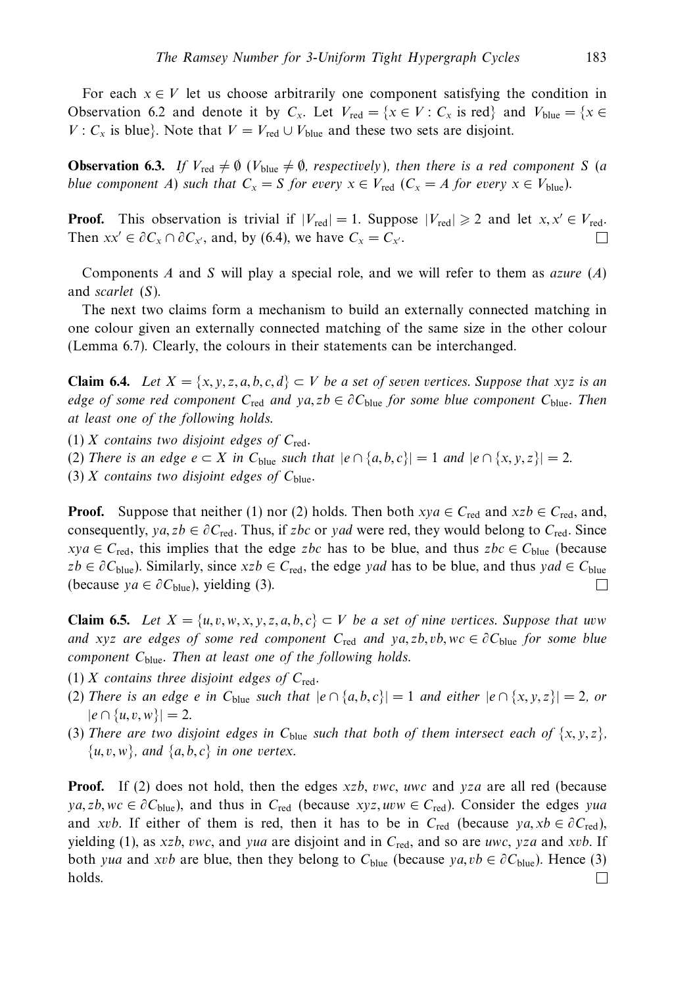For each  $x \in V$  let us choose arbitrarily one component satisfying the condition in Observation 6.2 and denote it by  $C_x$ . Let  $V_{\text{red}} = \{x \in V : C_x \text{ is red}\}\$  and  $V_{\text{blue}} = \{x \in V : C_x \text{ is red}\}\$ *V* :  $C_x$  is blue}. Note that  $V = V_{\text{red}} \cup V_{\text{blue}}$  and these two sets are disjoint.

**Observation 6.3.** If  $V_{\text{red}} \neq \emptyset$  ( $V_{\text{blue}} \neq \emptyset$ , respectively), then there is a red component *S* (a *blue component A) such that*  $C_x = S$  *for every*  $x \in V_{\text{red}}$  ( $C_x = A$  *for every*  $x \in V_{\text{blue}}$ ).

**Proof.** This observation is trivial if  $|V_{\text{red}}| = 1$ . Suppose  $|V_{\text{red}}| \ge 2$  and let  $x, x' \in V_{\text{red}}$ . Then  $xx' \in \partial C_x \cap \partial C_{x'}$ , and, by (6.4), we have  $C_x = C_{x'}$ .  $\Box$ 

Components *A* and *S* will play a special role, and we will refer to them as azure (*A*) and scarlet (*S*).

The next two claims form a mechanism to build an externally connected matching in one colour given an externally connected matching of the same size in the other colour (Lemma 6.7). Clearly, the colours in their statements can be interchanged.

**Claim 6.4.** Let  $X = \{x, y, z, a, b, c, d\} \subset V$  be a set of seven vertices. Suppose that *xyz* is an edge of some red component  $C_{\text{red}}$  and  $ya, zb \in \partial C_{\text{blue}}$  for some blue component  $C_{\text{blue}}$ . Then at least one of the following holds.

 $(1)$  *X* contains two disjoint edges of  $C_{\text{red}}$ .

(2) There is an edge  $e \subset X$  in  $C_{blue}$  such that  $|e \cap \{a, b, c\}| = 1$  and  $|e \cap \{x, y, z\}| = 2$ .

(3) *X* contains two disjoint edges of  $C_{blue}$ .

**Proof.** Suppose that neither (1) nor (2) holds. Then both  $xya \in C_{\text{red}}$  and  $xzb \in C_{\text{red}}$ , and, consequently, *ya, zb* ∈  $\partial C_{\text{red}}$ . Thus, if *zbc* or *yad* were red, they would belong to  $C_{\text{red}}$ . Since  $xya \in C_{\text{red}}$ , this implies that the edge *zbc* has to be blue, and thus  $zbc \in C_{\text{blue}}$  (because  $zb \in \partial C_{blue}$ ). Similarly, since  $xzb \in C_{red}$ , the edge *yad* has to be blue, and thus *yad* ∈  $C_{blue}$ (because *ya*  $\in \partial C_{blue}$ ), yielding (3).  $\Box$ 

**Claim 6.5.** Let *X* = {*u, v, w, x, y, z, a, b, c*} ⊂ *V* be a set of nine vertices. Suppose that *uvw* and *xyz* are edges of some red component  $C_{\text{red}}$  and  $ya$ , zb, vb, wc  $\in \partial C_{\text{blue}}$  for some blue component C<sub>blue</sub>. Then at least one of the following holds.

- $(1)$  *X* contains three disjoint edges of  $C_{\text{red}}$ .
- (2) There is an edge *e* in  $C_{blue}$  such that  $|e \cap \{a, b, c\}| = 1$  and either  $|e \cap \{x, y, z\}| = 2$ , or  $|e \cap \{u, v, w\}| = 2.$
- (3) There are two disjoint edges in  $C_{blue}$  such that both of them intersect each of  $\{x, y, z\}$ ,  $\{u, v, w\}$ , and  $\{a, b, c\}$  in one vertex.

**Proof.** If (2) does not hold, then the edges *xzb*, *vwc*, *uwc* and *yza* are all red (because  $ya, zb, wc \in \partial C_{blue}$ , and thus in  $C_{red}$  (because *xyz, uvw*  $\in C_{red}$ ). Consider the edges *yua* and *xvb*. If either of them is red, then it has to be in  $C_{\text{red}}$  (because  $ya, xb \in \partial C_{\text{red}}$ ), yielding (1), as *xzb*, *vwc*, and *yua* are disjoint and in *C*red, and so are *uwc*, *yza* and *xvb*. If both *yua* and *xvb* are blue, then they belong to  $C_{blue}$  (because  $ya, vb \in \partial C_{blue}$ ). Hence (3) holds.⊔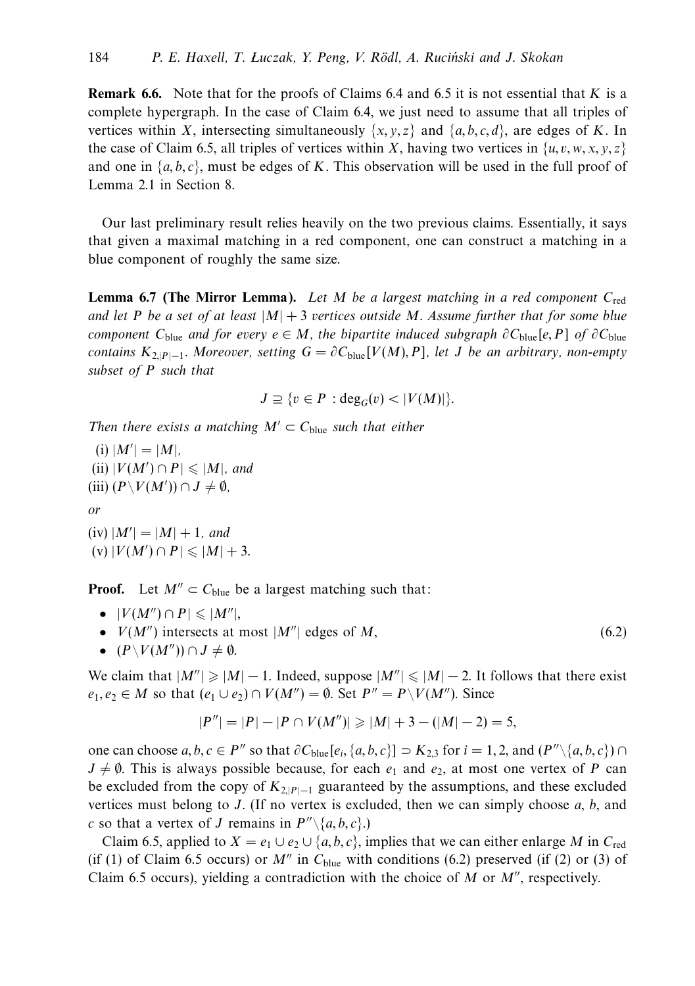**Remark 6.6.** Note that for the proofs of Claims 6.4 and 6.5 it is not essential that *K* is a complete hypergraph. In the case of Claim 6.4, we just need to assume that all triples of vertices within *X*, intersecting simultaneously  $\{x, y, z\}$  and  $\{a, b, c, d\}$ , are edges of *K*. In the case of Claim 6.5, all triples of vertices within *X*, having two vertices in  $\{u, v, w, x, y, z\}$ and one in  $\{a, b, c\}$ , must be edges of *K*. This observation will be used in the full proof of Lemma 2.1 in Section 8.

Our last preliminary result relies heavily on the two previous claims. Essentially, it says that given a maximal matching in a red component, one can construct a matching in a blue component of roughly the same size.

**Lemma 6.7 (The Mirror Lemma).** Let *M* be a largest matching in a red component *C*red and let *P* be a set of at least  $|M| + 3$  vertices outside *M*. Assume further that for some blue component  $C_{blue}$  and for every  $e \in M$ , the bipartite induced subgraph  $\partial C_{blue}[e, P]$  of  $\partial C_{blue}$ contains  $K_{2|P|-1}$ . Moreover, setting  $G = \partial C_{blue}[V(M), P]$ , let *J* be an arbitrary, non-empty subset of *P* such that

$$
J \supseteq \{v \in P : \deg_G(v) < |V(M)|\}.
$$

Then there exists a matching  $M' \subset C_{blue}$  such that either

 $(i)$   $|M'| = |M|$ ,  $(iii)$   $|V(M') \cap P| \leq |M|$ , and (iii)  $(P\setminus V(M'))$  ∩ *J*  $\neq$  Ø, or  $(iv)$   $|M'| = |M| + 1$ , and

 $(V) |V(M') \cap P| \leq |M| + 3.$ 

**Proof.** Let  $M'' \subset C_{blue}$  be a largest matching such that:

- $|V(M'') \cap P| \leqslant |M''|$ ,
- $V(M'')$  intersects at most  $|M''|$  edges of M,
- $(P\setminus V(M'')) \cap J \neq \emptyset$ .

We claim that  $|M''| \geq |M| - 1$ . Indeed, suppose  $|M''| \leq |M| - 2$ . It follows that there exist  $e_1, e_2 \in M$  so that  $(e_1 \cup e_2) \cap V(M'') = \emptyset$ . Set  $P'' = P \setminus V(M'')$ . Since

(6.2)

$$
|P''| = |P| - |P \cap V(M'')| \geq |M| + 3 - (|M| - 2) = 5,
$$

one can choose  $a, b, c \in P''$  so that  $\partial C_{blue}[e_i, \{a, b, c\}]$  ⊃  $K_{2,3}$  for  $i = 1, 2$ , and  $(P'' \setminus \{a, b, c\})$  ∩  $J \neq \emptyset$ . This is always possible because, for each  $e_1$  and  $e_2$ , at most one vertex of *P* can be excluded from the copy of  $K_{2|P|-1}$  guaranteed by the assumptions, and these excluded vertices must belong to *J*. (If no vertex is excluded, then we can simply choose *a*, *b*, and *c* so that a vertex of *J* remains in  $P^{\prime\prime}\setminus\{a,b,c\}.$ 

Claim 6.5, applied to  $X = e_1 \cup e_2 \cup \{a, b, c\}$ , implies that we can either enlarge *M* in  $C_{\text{red}}$ (if (1) of Claim 6.5 occurs) or  $M''$  in  $C_{blue}$  with conditions (6.2) preserved (if (2) or (3) of Claim 6.5 occurs), yielding a contradiction with the choice of  $M$  or  $M''$ , respectively.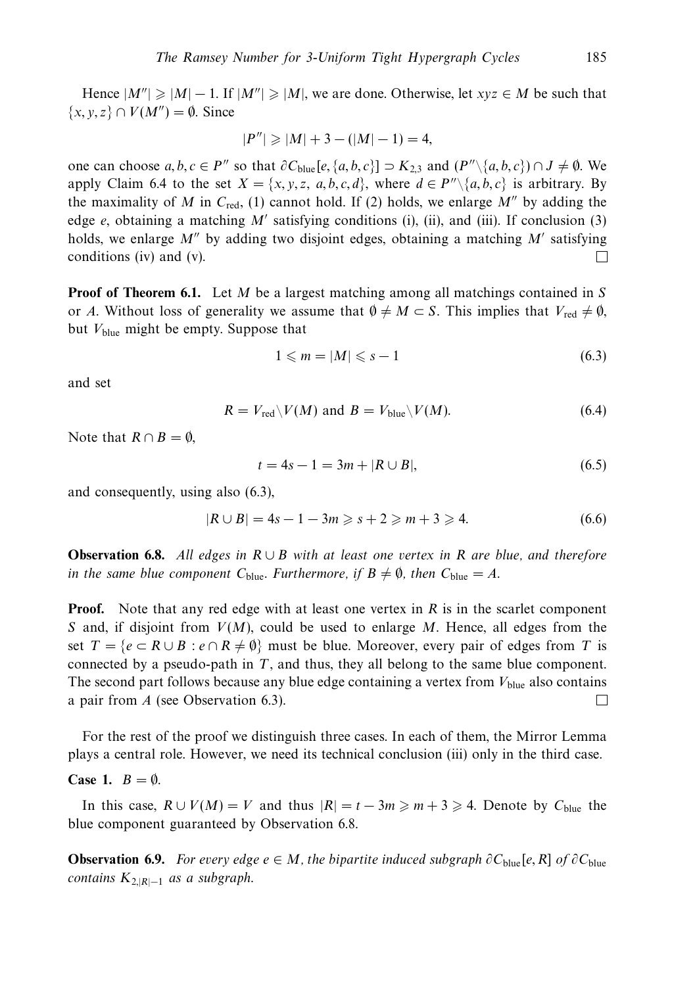Hence  $|M''| \ge |M| - 1$ . If  $|M''| \ge |M|$ , we are done. Otherwise, let  $xyz \in M$  be such that  $\{x, y, z\} \cap V(M'') = \emptyset$ . Since

$$
|P''| \geq |M| + 3 - (|M| - 1) = 4,
$$

one can choose  $a, b, c \in P''$  so that  $\partial C_{blue}[e, \{a, b, c\}]$  ⊃  $K_{2,3}$  and  $(P'' \setminus \{a, b, c\})$  ∩ *J*  $\neq \emptyset$ . We apply Claim 6.4 to the set  $X = \{x, y, z, a, b, c, d\}$ , where  $d \in P'' \setminus \{a, b, c\}$  is arbitrary. By the maximality of *M* in  $C_{\text{red}}$ , (1) cannot hold. If (2) holds, we enlarge *M''* by adding the edge  $e$ , obtaining a matching  $M'$  satisfying conditions (i), (ii), and (iii). If conclusion (3) holds, we enlarge  $M''$  by adding two disjoint edges, obtaining a matching  $M'$  satisfying conditions (iv) and (v).  $\Box$ 

**Proof of Theorem 6.1.** Let *M* be a largest matching among all matchings contained in *S* or *A*. Without loss of generality we assume that  $\emptyset \neq M \subset S$ . This implies that  $V_{\text{red}} \neq \emptyset$ , but  $V_{blue}$  might be empty. Suppose that

$$
1 \leqslant m = |M| \leqslant s - 1 \tag{6.3}
$$

and set

$$
R = V_{\text{red}} \setminus V(M) \text{ and } B = V_{\text{blue}} \setminus V(M). \tag{6.4}
$$

Note that  $R \cap B = \emptyset$ ,

$$
t = 4s - 1 = 3m + |R \cup B|,
$$
\n(6.5)

and consequently, using also (6.3),

$$
|R \cup B| = 4s - 1 - 3m \ge s + 2 \ge m + 3 \ge 4. \tag{6.6}
$$

**Observation 6.8.** All edges in *R* ∪ *B* with at least one vertex in *R* are blue, and therefore in the same blue component  $C_{blue}$ . Furthermore, if  $B \neq \emptyset$ , then  $C_{blue} = A$ .

**Proof.** Note that any red edge with at least one vertex in *R* is in the scarlet component *S* and, if disjoint from *V*(*M*), could be used to enlarge *M*. Hence, all edges from the set  $T = \{e \subset R \cup B : e \cap R \neq \emptyset\}$  must be blue. Moreover, every pair of edges from *T* is connected by a pseudo-path in *T*, and thus, they all belong to the same blue component. The second part follows because any blue edge containing a vertex from  $V_{blue}$  also contains a pair from *A* (see Observation 6.3). П

For the rest of the proof we distinguish three cases. In each of them, the Mirror Lemma plays a central role. However, we need its technical conclusion (iii) only in the third case.

#### **Case 1.**  $B = \emptyset$ .

In this case,  $R \cup V(M) = V$  and thus  $|R| = t - 3m \ge m + 3 \ge 4$ . Denote by  $C_{blue}$  the blue component guaranteed by Observation 6.8.

**Observation 6.9.** For every edge  $e \in M$ , the bipartite induced subgraph  $\partial C_{blue}[e, R]$  of  $\partial C_{blue}$ contains  $K_{2,|R|-1}$  as a subgraph.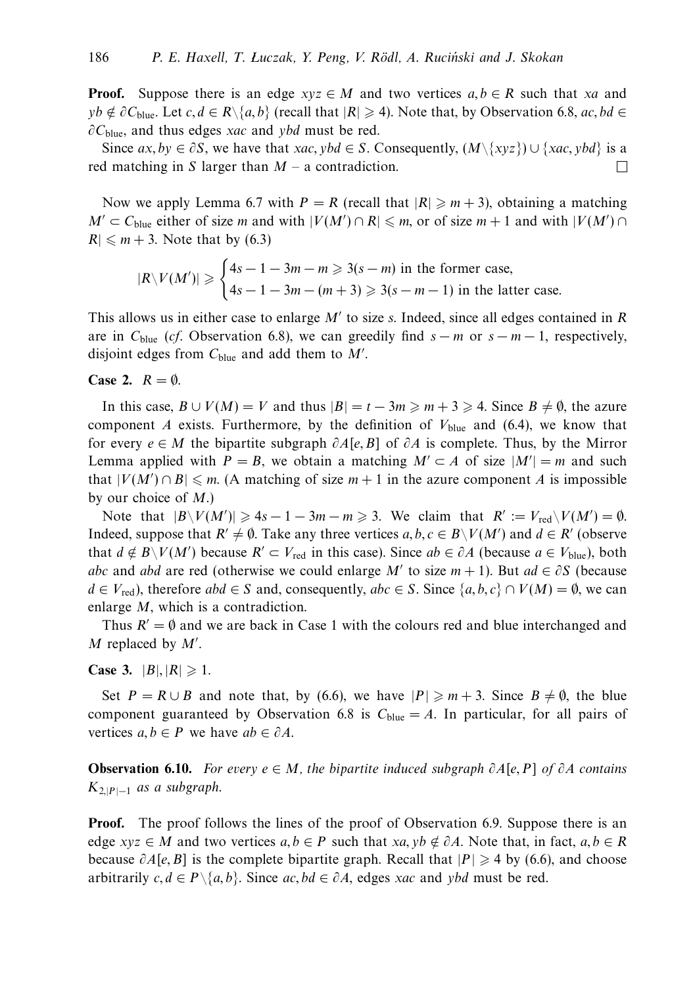**Proof.** Suppose there is an edge  $xyz \in M$  and two vertices  $a, b \in R$  such that *xa* and *yb* ∉ ∂C<sub>blue</sub>. Let *c*, *d* ∈ *R*\{*a*, *b*} (recall that |*R*| ≥ 4). Note that, by Observation 6.8, *ac*, *bd* ∈ *∂C*blue, and thus edges *xac* and *ybd* must be red.

Since  $ax, by \in \partial S$ , we have that *xac*, ybd  $\in S$ . Consequently,  $(M \setminus \{xyz\}) \cup \{xac, ybd\}$  is a red matching in *S* larger than  $M - a$  contradiction.  $\perp$ 

Now we apply Lemma 6.7 with  $P = R$  (recall that  $|R| \ge m+3$ ), obtaining a matching *M*<sup> $\prime$ </sup> ⊂ *C*<sub>blue</sub> either of size *m* and with  $|V(M') \cap R| \le m$ , or of size *m* + 1 and with  $|V(M') \cap R|$  $R \leq m + 3$ . Note that by (6.3)

$$
|R\backslash V(M')| \geqslant \begin{cases} 4s - 1 - 3m - m \geqslant 3(s - m) \text{ in the former case,} \\ 4s - 1 - 3m - (m + 3) \geqslant 3(s - m - 1) \text{ in the latter case.} \end{cases}
$$

This allows us in either case to enlarge *M* to size *s*. Indeed, since all edges contained in *R* are in  $C_{blue}$  (*cf.* Observation 6.8), we can greedily find  $s - m$  or  $s - m - 1$ , respectively, disjoint edges from  $C_{blue}$  and add them to  $M'$ .

#### **Case 2.**  $R = \emptyset$ .

In this case,  $B \cup V(M) = V$  and thus  $|B| = t - 3m \ge m + 3 \ge 4$ . Since  $B \ne \emptyset$ , the azure component *A* exists. Furthermore, by the definition of  $V_{blue}$  and (6.4), we know that for every *e* ∈ *M* the bipartite subgraph *∂A*[*e, B*] of *∂A* is complete. Thus, by the Mirror Lemma applied with  $P = B$ , we obtain a matching  $M' \subset A$  of size  $|M'| = m$  and such that  $|V(M') \cap B| \le m$ . (A matching of size  $m + 1$  in the azure component *A* is impossible by our choice of *M*.)

Note that  $|B\setminus V(M')|\geq 4s-1-3m-m\geq 3$ . We claim that  $R':=V_{\text{red}}\setminus V(M')=\emptyset$ . Indeed, suppose that  $R' \neq \emptyset$ . Take any three vertices  $a, b, c \in B \setminus V(M')$  and  $d \in R'$  (observe that  $d \notin B\backslash V(M')$  because  $R' \subset V_{\text{red}}$  in this case). Since  $ab \in \partial A$  (because  $a \in V_{\text{blue}}$ ), both *abc* and *abd* are red (otherwise we could enlarge *M*<sup>'</sup> to size  $m + 1$ ). But  $ad \in \partial S$  (because *d* ∈ *V*<sub>red</sub>), therefore *abd* ∈ *S* and, consequently, *abc* ∈ *S*. Since {*a, b, c*} ∩ *V*(*M*) =  $\emptyset$ , we can enlarge *M*, which is a contradiction.

Thus  $R' = \emptyset$  and we are back in Case 1 with the colours red and blue interchanged and *M* replaced by  $M'$ .

**Case 3.**  $|B|, |R| \ge 1$ .

Set  $P = R \cup B$  and note that, by (6.6), we have  $|P| \ge m+3$ . Since  $B \ne \emptyset$ , the blue component guaranteed by Observation 6.8 is  $C_{blue} = A$ . In particular, for all pairs of vertices  $a, b \in P$  we have  $ab \in \partial A$ .

**Observation 6.10.** For every *e* ∈ *M*, the bipartite induced subgraph *∂A*[*e, P*] of *∂A* contains  $K_{2,|P|-1}$  as a subgraph.

**Proof.** The proof follows the lines of the proof of Observation 6.9. Suppose there is an edge *xyz*  $\in$  *M* and two vertices  $a, b \in P$  such that *xa, yb*  $\notin \partial A$ . Note that, in fact,  $a, b \in R$ because  $\partial A[e, B]$  is the complete bipartite graph. Recall that  $|P| \geq 4$  by (6.6), and choose arbitrarily  $c, d \in P \setminus \{a, b\}$ . Since  $ac, bd \in \partial A$ , edges *xac* and *ybd* must be red.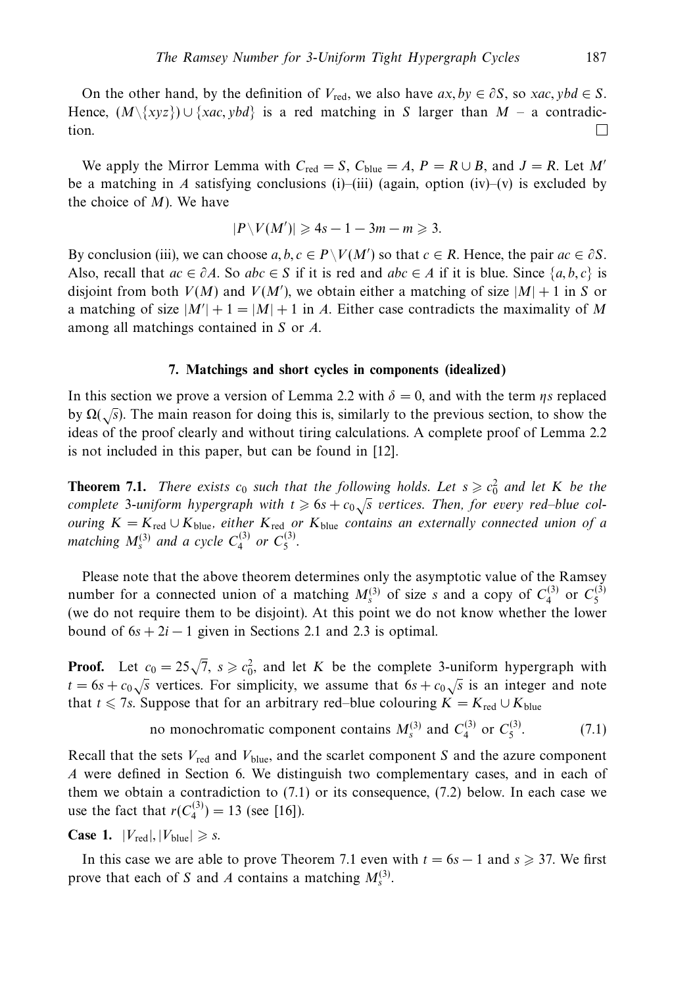On the other hand, by the definition of  $V_{\text{red}}$ , we also have  $ax, by \in \partial S$ , so  $xac, ybd \in S$ . Hence,  $(M\{xyz\}) \cup \{xac, ybd\}$  is a red matching in *S* larger than *M* – a contradiction.  $\Box$ 

We apply the Mirror Lemma with  $C_{\text{red}} = S$ ,  $C_{\text{blue}} = A$ ,  $P = R \cup B$ , and  $J = R$ . Let M' be a matching in *A* satisfying conclusions (i)–(iii) (again, option (iv)–(v) is excluded by the choice of *M*). We have

$$
|P\setminus V(M')|\geqslant 4s-1-3m-m\geqslant 3.
$$

By conclusion (iii), we can choose  $a, b, c \in P\setminus V(M')$  so that  $c \in R$ . Hence, the pair  $ac \in \partial S$ . Also, recall that  $ac \in \partial A$ . So  $abc \in S$  if it is red and  $abc \in A$  if it is blue. Since  $\{a, b, c\}$  is disjoint from both  $V(M)$  and  $V(M')$ , we obtain either a matching of size  $|M|+1$  in *S* or a matching of size  $|M'| + 1 = |M| + 1$  in *A*. Either case contradicts the maximality of *M* among all matchings contained in *S* or *A*.

#### **7. Matchings and short cycles in components (idealized)**

In this section we prove a version of Lemma 2.2 with  $\delta = 0$ , and with the term *ηs* replaced by  $\Omega(\sqrt{s})$ . The main reason for doing this is, similarly to the previous section, to show the ideas of the proof clearly and without tiring calculations. A complete proof of Lemma 2.2 is not included in this paper, but can be found in [12].

**Theorem 7.1.** There exists  $c_0$  such that the following holds. Let  $s \geqslant c_0^2$  and let K be the complete 3-uniform hypergraph with  $t \geq 6s + c_0\sqrt{s}$  vertices. Then, for every red–blue col*ouring*  $K = K_{\text{red}} ∪ K_{\text{blue}}$ , either  $K_{\text{red}}$  or  $K_{\text{blue}}$  contains an externally connected union of a matching  $M_s^{(3)}$  and a cycle  $C_4^{(3)}$  or  $C_5^{(3)}$ .

Please note that the above theorem determines only the asymptotic value of the Ramsey number for a connected union of a matching  $M_s^{(3)}$  of size *s* and a copy of  $C_4^{(3)}$  or  $C_5^{(3)}$ (we do not require them to be disjoint). At this point we do not know whether the lower bound of  $6s + 2i - 1$  given in Sections 2.1 and 2.3 is optimal.

**Proof.** Let  $c_0 = 25\sqrt{7}$ ,  $s \geq c_0^2$ , and let *K* be the complete 3-uniform hypergraph with *t* = 6*s* +  $c_0$  /*s* vertices. For simplicity, we assume that 6*s* +  $c_0$  /*s* is an integer and note that *t* ≤ 7*s*. Suppose that for an arbitrary red–blue colouring  $K = K_{\text{red}} \cup K_{\text{blue}}$ 

no monochromatic component contains 
$$
M_s^{(3)}
$$
 and  $C_4^{(3)}$  or  $C_5^{(3)}$ . (7.1)

Recall that the sets *V*red and *V*blue, and the scarlet component *S* and the azure component *A* were defined in Section 6. We distinguish two complementary cases, and in each of them we obtain a contradiction to (7.1) or its consequence, (7.2) below. In each case we use the fact that  $r(C_4^{(3)}) = 13$  (see [16]).

**Case 1.**  $|V_{\text{red}}|, |V_{\text{blue}}| \geq s$ .

In this case we are able to prove Theorem 7.1 even with  $t = 6s - 1$  and  $s \ge 37$ . We first prove that each of *S* and *A* contains a matching  $M_s^{(3)}$ .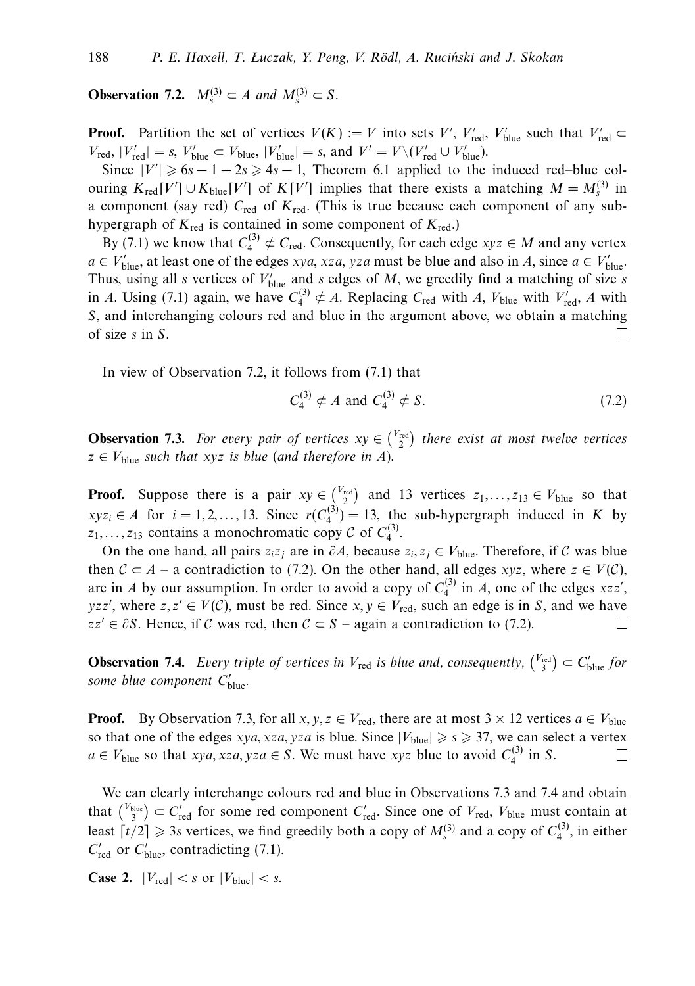**Observation 7.2.**  $M_s^{(3)} \subset A$  and  $M_s^{(3)} \subset S$ .

**Proof.** Partition the set of vertices  $V(K) := V$  into sets  $V'$ ,  $V'_{\text{red}}$ ,  $V'_{\text{blue}}$  such that  $V'_{\text{red}} \subset$  $V_{\text{red}}$ ,  $|V'_{\text{red}}| = s$ ,  $V'_{\text{blue}} \subset V_{\text{blue}}$ ,  $|V'_{\text{blue}}| = s$ , and  $V' = V \setminus (V'_{\text{red}} \cup V'_{\text{blue}})$ .

Since  $|V'| \ge 6s - 1 - 2s \ge 4s - 1$ , Theorem 6.1 applied to the induced red–blue colouring  $K_{\text{red}}[V'] \cup K_{\text{blue}}[V']$  of  $K[V']$  implies that there exists a matching  $M = M_s^{(3)}$  in a component (say red) *C*red of *K*red. (This is true because each component of any subhypergraph of  $K_{\text{red}}$  is contained in some component of  $K_{\text{red}}$ .)

By (7.1) we know that  $C_4^{(3)} \notin C_{\text{red}}$ . Consequently, for each edge  $xyz \in M$  and any vertex  $a \in V'_{blue}$ , at least one of the edges *xya*, *xza*, *yza* must be blue and also in *A*, since  $a \in V'_{blue}$ . Thus, using all *s* vertices of  $V'_{blue}$  and *s* edges of *M*, we greedily find a matching of size *s* in *A*. Using (7.1) again, we have  $C_4^{(3)} \notin A$ . Replacing  $C_{\text{red}}$  with *A*,  $V_{\text{blue}}$  with  $V'_{\text{red}}$ , *A* with *S*, and interchanging colours red and blue in the argument above, we obtain a matching of size *s* in *S*.  $\Box$ 

In view of Observation 7.2, it follows from (7.1) that

$$
C_4^{(3)} \neq A \text{ and } C_4^{(3)} \neq S. \tag{7.2}
$$

**Observation 7.3.** For every pair of vertices  $xy \in \binom{V_{\text{red}}}{2}$  there exist at most twelve vertices  $z \in V_{\text{blue}}$  *such that xyz is blue (and therefore in A).* 

**Proof.** Suppose there is a pair  $xy \in \binom{V_{\text{red}}}{2}$  and 13 vertices  $z_1, \ldots, z_{13} \in V_{\text{blue}}$  so that  $xyz_i \in A$  for  $i = 1, 2, ..., 13$ . Since  $r(C_4^{(3)}) = 13$ , the sub-hypergraph induced in *K* by  $z_1, \ldots, z_{13}$  contains a monochromatic copy C of  $C_4^{(3)}$ .

On the one hand, all pairs  $z_iz_j$  are in  $\partial A$ , because  $z_i, z_j \in V_{blue}$ . Therefore, if C was blue then  $C \subset A$  – a contradiction to (7.2). On the other hand, all edges *xyz*, where  $z \in V(C)$ , are in *A* by our assumption. In order to avoid a copy of  $C_4^{(3)}$  in *A*, one of the edges  $xzz'$ , *yzz'*, where  $z, z' \in V(C)$ , must be red. Since  $x, y \in V_{\text{red}}$ , such an edge is in *S*, and we have  $zz' \in \partial S$ . Hence, if C was red, then  $C \subset S$  – again a contradiction to (7.2).

**Observation 7.4.** Every triple of vertices in  $V_{\text{red}}$  is blue and, consequently,  $\binom{V_{\text{red}}}{3} \subset C'_{\text{blue}}$  for some blue component  $C'_{blue}$ .

**Proof.** By Observation 7.3, for all *x*, *y*, *z*  $\in$  *V*<sub>red</sub>, there are at most 3  $\times$  12 vertices *a*  $\in$  *V*<sub>blue</sub> so that one of the edges *xya, xza, yza* is blue. Since  $|V_{blue}| \ge s \ge 37$ , we can select a vertex *a* ∈ *V*<sub>blue</sub> so that *xya, xza, yza* ∈ *S*. We must have *xyz* blue to avoid  $C_4^{(3)}$  in *S*.  $\Box$ 

We can clearly interchange colours red and blue in Observations 7.3 and 7.4 and obtain that  $\binom{V_{blue}}{3} \subset C'_{red}$  for some red component  $C'_{red}$ . Since one of  $V_{red}$ ,  $V_{blue}$  must contain at least  $\lceil t/2 \rceil \geq 3s$  vertices, we find greedily both a copy of  $M_s^{(3)}$  and a copy of  $C_4^{(3)}$ , in either  $C'_{\text{red}}$  or  $C'_{\text{blue}}$ , contradicting (7.1).

**Case 2.**  $|V_{\text{red}}| < s$  or  $|V_{\text{blue}}| < s$ .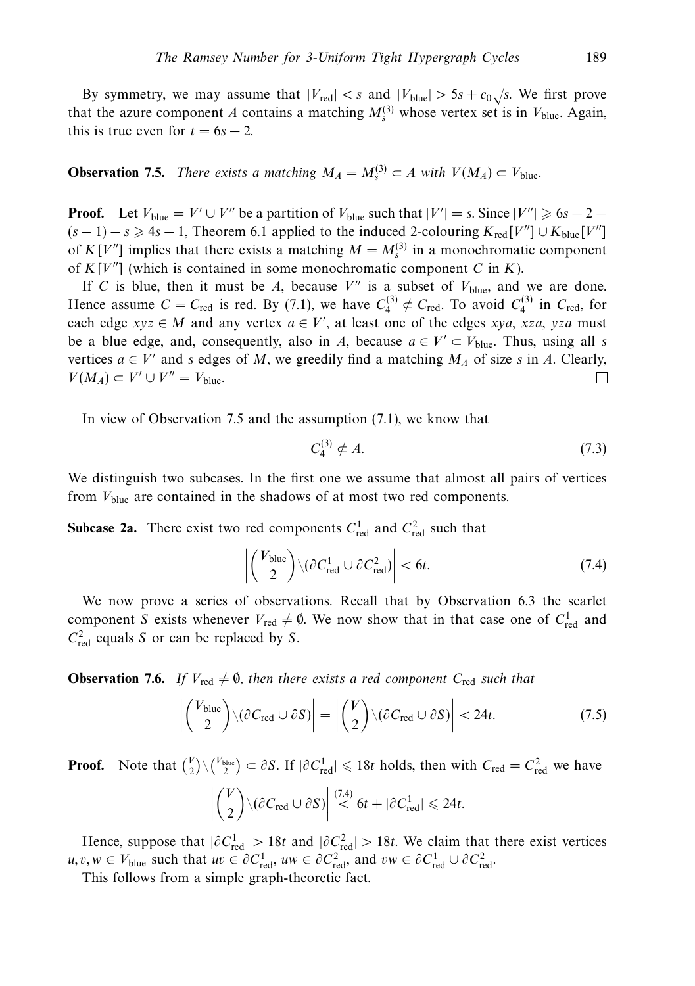By symmetry, we may assume that  $|V_{\text{red}}| < s$  and  $|V_{\text{blue}}| > 5s + c_0 \sqrt{s}$ . We first prove that the azure component *A* contains a matching  $M_s^{(3)}$  whose vertex set is in  $V_{blue}$ . Again, this is true even for  $t = 6s - 2$ .

**Observation 7.5.** There exists a matching  $M_A = M_s^{(3)} \subset A$  with  $V(M_A) \subset V_{blue}$ .

**Proof.** Let  $V_{blue} = V' \cup V''$  be a partition of  $V_{blue}$  such that  $|V'| = s$ . Since  $|V''| \ge 6s - 2 - 1$  $(s-1) - s \geq 4s - 1$ , Theorem 6.1 applied to the induced 2-colouring  $K_{\text{red}}[V''] \cup K_{\text{blue}}[V'']$ of  $K[V^{\prime\prime}]$  implies that there exists a matching  $M = M_s^{(3)}$  in a monochromatic component of  $K[V'']$  (which is contained in some monochromatic component *C* in *K*).

If *C* is blue, then it must be *A*, because  $V''$  is a subset of  $V_{blue}$ , and we are done. Hence assume  $C = C_{\text{red}}$  is red. By (7.1), we have  $C_4^{(3)} \notin C_{\text{red}}$ . To avoid  $C_4^{(3)}$  in  $C_{\text{red}}$ , for each edge  $xyz \in M$  and any vertex  $a \in V'$ , at least one of the edges  $xya$ ,  $xza$ ,  $yza$  must be a blue edge, and, consequently, also in *A*, because  $a \in V' \subset V_{blue}$ . Thus, using all *s* vertices  $a \in V'$  and *s* edges of *M*, we greedily find a matching  $M_A$  of size *s* in *A*. Clearly,  $V(M_A) \subset V' \cup V'' = V_{\text{blue}}.$ П

In view of Observation 7.5 and the assumption (7.1), we know that

$$
C_4^{(3)} \notin A. \tag{7.3}
$$

We distinguish two subcases. In the first one we assume that almost all pairs of vertices from *V*blue are contained in the shadows of at most two red components.

**Subcase 2a.** There exist two red components  $C_{\text{red}}^1$  and  $C_{\text{red}}^2$  such that

$$
\left| \binom{V_{blue}}{2} \backslash (\partial C_{red}^1 \cup \partial C_{red}^2) \right| < 6t. \tag{7.4}
$$

We now prove a series of observations. Recall that by Observation 6.3 the scarlet component *S* exists whenever  $V_{\text{red}} \neq \emptyset$ . We now show that in that case one of  $C_{\text{red}}^1$  and  $C_{\text{red}}^2$  equals *S* or can be replaced by *S*.

**Observation 7.6.** If  $V_{\text{red}} \neq \emptyset$ , then there exists a red component  $C_{\text{red}}$  such that

$$
\left| \binom{V_{\text{blue}}}{2} \backslash (\partial C_{\text{red}} \cup \partial S) \right| = \left| \binom{V}{2} \backslash (\partial C_{\text{red}} \cup \partial S) \right| < 24t. \tag{7.5}
$$

**Proof.** Note that  $\binom{V}{2} \setminus \binom{V_{blue}}{2} \subset \partial S$ . If  $|\partial C_{red}^1| \le 18t$  holds, then with  $C_{red} = C_{red}^2$  we have  $\overline{\phantom{a}}$ *V* 2  $\bigg)\backslash(\partial C_{\text{red}}\cup\partial S)\bigg|$  $\stackrel{(7.4)}{<} 6t + |\partial C_{\text{red}}^1|$  ≤ 24*t*.

Hence, suppose that  $|\partial C_{\text{red}}^1| > 18t$  and  $|\partial C_{\text{red}}^2| > 18t$ . We claim that there exist vertices *u, v, w* ∈ *V*<sub>blue</sub> such that *uv* ∈  $\partial C_{\text{red}}^1$ , *uw* ∈  $\partial C_{\text{red}}^2$ , and *vw* ∈  $\partial C_{\text{red}}^1$  ∪  $\partial C_{\text{red}}^2$ .

This follows from a simple graph-theoretic fact.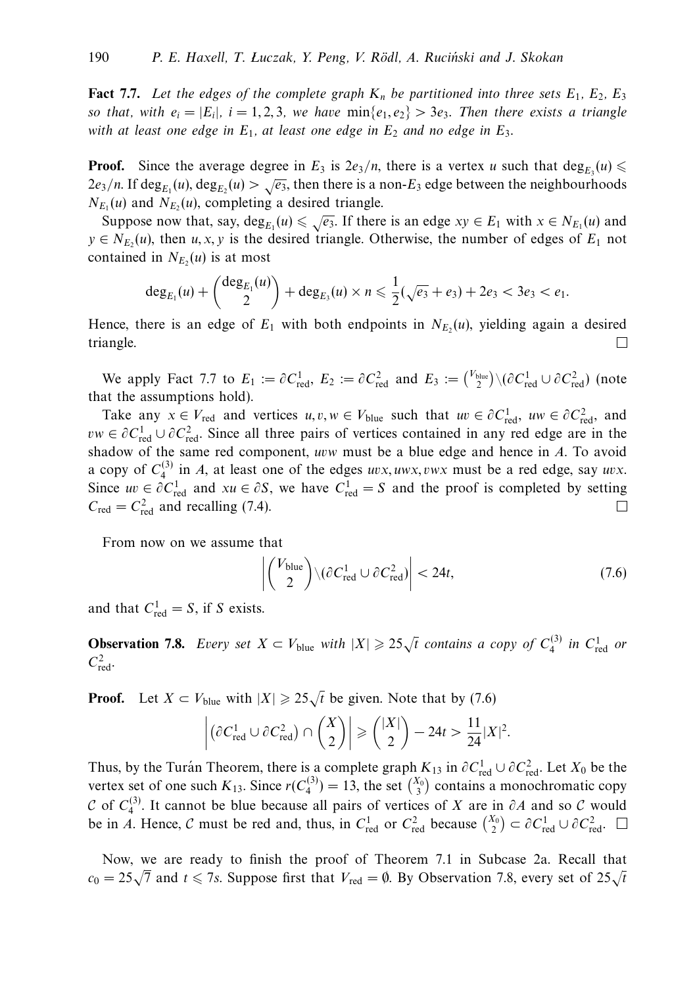**Fact 7.7.** Let the edges of the complete graph  $K_n$  be partitioned into three sets  $E_1$ ,  $E_2$ ,  $E_3$ so that, with  $e_i = |E_i|$ ,  $i = 1, 2, 3$ , we have  $\min\{e_1, e_2\} > 3e_3$ . Then there exists a triangle with at least one edge in  $E_1$ , at least one edge in  $E_2$  and no edge in  $E_3$ .

**Proof.** Since the average degree in  $E_3$  is  $2e_3/n$ , there is a vertex *u* such that  $\deg_{E_3}(u) \leq$  $2e_3/n$ . If deg<sub>E<sub>1</sub>(*u*), deg<sub>E<sub>2</sub></sub>(*u*) >  $\sqrt{e_3}$ , then there is a non-*E*<sub>3</sub> edge between the neighbourhoods</sub>  $N_{E_1}(u)$  and  $N_{E_2}(u)$ , completing a desired triangle.

Suppose now that, say,  $\deg_{E_1}(u) \leq \sqrt{e_3}$ . If there is an edge  $xy \in E_1$  with  $x \in N_{E_1}(u)$  and  $y \in N_{E_2}(u)$ , then *u*, *x*, *y* is the desired triangle. Otherwise, the number of edges of  $E_1$  not contained in  $N_{E_2}(u)$  is at most

$$
\deg_{E_1}(u) + \binom{\deg_{E_1}(u)}{2} + \deg_{E_3}(u) \times n \leq \frac{1}{2}(\sqrt{e_3} + e_3) + 2e_3 < 3e_3 < e_1.
$$

Hence, there is an edge of  $E_1$  with both endpoints in  $N_{E_2}(u)$ , yielding again a desired triangle.  $\Box$ 

We apply Fact 7.7 to  $E_1 := \partial C_{\text{red}}^1$ ,  $E_2 := \partial C_{\text{red}}^2$  and  $E_3 := {V_{\text{blue}} \choose 2} \setminus (\partial C_{\text{red}}^1 \cup \partial C_{\text{red}}^2)$  (note that the assumptions hold).

Take any  $x \in V_{\text{red}}$  and vertices  $u, v, w \in V_{\text{blue}}$  such that  $uv \in \partial C_{\text{red}}^1$ ,  $uw \in \partial C_{\text{red}}^2$ , and  $vw \in \partial C_{\text{red}}^1 \cup \partial C_{\text{red}}^2$ . Since all three pairs of vertices contained in any red edge are in the shadow of the same red component, *uvw* must be a blue edge and hence in *A*. To avoid a copy of  $C_4^{(3)}$  in *A*, at least one of the edges *uvx, uwx, vwx* must be a red edge, say *uvx*. Since  $uv \in \partial C_{\text{red}}^1$  and  $xu \in \partial S$ , we have  $C_{\text{red}}^1 = S$  and the proof is completed by setting  $C_{\text{red}} = C_{\text{red}}^2$  and recalling (7.4).  $\Box$ 

From now on we assume that

$$
\left| \binom{V_{blue}}{2} \backslash (\partial C_{red}^1 \cup \partial C_{red}^2) \right| < 24t,\tag{7.6}
$$

and that  $C_{\text{red}}^1 = S$ , if *S* exists.

**Observation 7.8.** Every set  $X \subset V_{\text{blue}}$  with  $|X| \geq 25\sqrt{t}$  contains a copy of  $C_4^{(3)}$  in  $C_{\text{red}}^1$  or  $C_{\text{red}}^2$ .

**Proof.** Let  $X \subset V_{\text{blue}}$  with  $|X| \geq 25\sqrt{t}$  be given. Note that by (7.6)

$$
\left| \left( \partial C_{\text{red}}^1 \cup \partial C_{\text{red}}^2 \right) \cap {X \choose 2} \right| \geq { |X| \choose 2} - 24t > \frac{11}{24} |X|^2.
$$

Thus, by the Turán Theorem, there is a complete graph  $K_{13}$  in  $\partial C_{\text{red}}^1 \cup \partial C_{\text{red}}^2$ . Let  $X_0$  be the vertex set of one such  $K_{13}$ . Since  $r(C_4^{(3)}) = 13$ , the set  $\binom{X_0}{3}$  contains a monochromatic copy  $\mathcal{C}$  of  $C_4^{(3)}$ . It cannot be blue because all pairs of vertices of *X* are in  $\partial A$  and so  $\mathcal{C}$  would be in *A*. Hence, *C* must be red and, thus, in  $C_{\text{red}}^1$  or  $C_{\text{red}}^2$  because  ${X_0 \choose 2} \subset \partial C_{\text{red}}^1 \cup \partial C_{\text{red}}^2$ 

Now, we are ready to finish the proof of Theorem 7.1 in Subcase 2a. Recall that *c*<sub>0</sub> =  $25\sqrt{7}$  and *t* ≤ 7*s*. Suppose first that *V*<sub>red</sub> = ∅. By Observation 7.8, every set of  $25\sqrt{t}$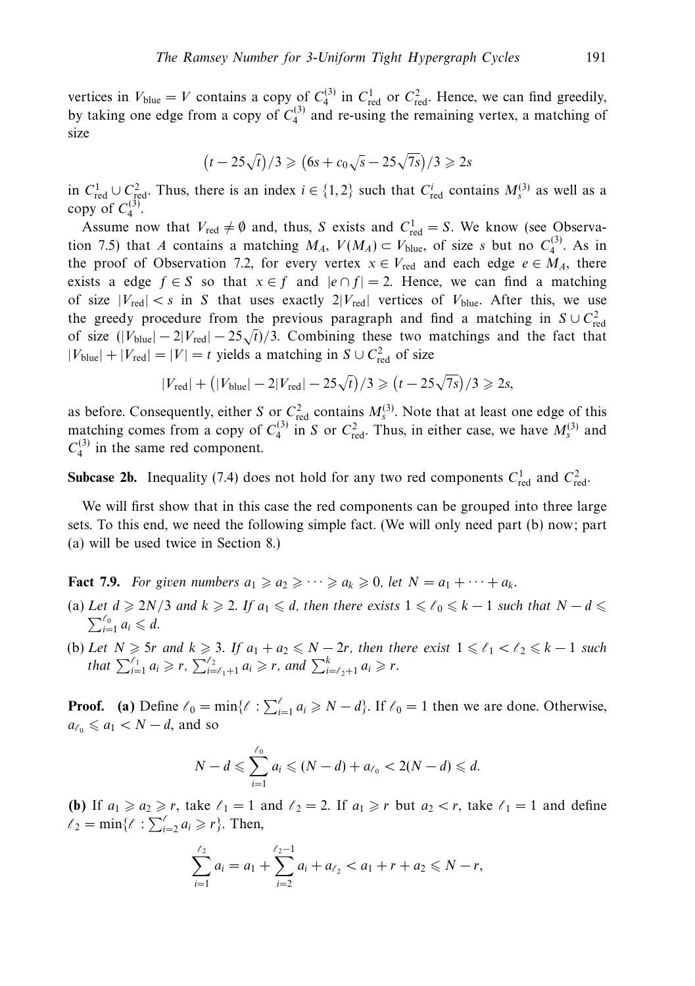vertices in  $V_{blue} = V$  contains a copy of  $C_4^{(3)}$  in  $C_{red}^1$  or  $C_{red}^2$ . Hence, we can find greedily, by taking one edge from a copy of  $C_4^{(3)}$  and re-using the remaining vertex, a matching of size

$$
(t - 25\sqrt{t})/3 \geq (6s + c_0\sqrt{s} - 25\sqrt{7s})/3 \geq 2s
$$

in  $C_{\text{red}}^1 \cup C_{\text{red}}^2$ . Thus, there is an index  $i \in \{1,2\}$  such that  $C_{\text{red}}^i$  contains  $M_s^{(3)}$  as well as a copy of  $C_4^{(3)}$ .

Assume now that  $V_{\text{red}} \neq \emptyset$  and, thus, *S* exists and  $C_{\text{red}}^1 = S$ . We know (see Observation 7.5) that *A* contains a matching  $M_A$ ,  $V(M_A) \subset V_{blue}$ , of size *s* but no  $C_4^{(3)}$ . As in the proof of Observation 7.2, for every vertex  $x \in V_{\text{red}}$  and each edge  $e \in M_A$ , there exists a edge  $f \in S$  so that  $x \in f$  and  $|e \cap f| = 2$ . Hence, we can find a matching of size  $|V_{\text{red}}| < s$  in *S* that uses exactly  $2|V_{\text{red}}|$  vertices of  $V_{\text{blue}}$ . After this, we use the greedy procedure from the previous paragraph and find a matching in  $S \cup C_{\text{red}}^2$ of size  $(|V_{blue}| - 2|V_{red}| - 25\sqrt{t})/3$ . Combining these two matchings and the fact that  $|V_{blue}| + |V_{red}| = |V| = t$  yields a matching in  $S \cup C_{red}^2$  of size

$$
|V_{\text{red}}| + (|V_{\text{blue}}| - 2|V_{\text{red}}| - 25\sqrt{t})/3 \ge (t - 25\sqrt{7s})/3 \ge 2s
$$

as before. Consequently, either *S* or  $C_{\text{red}}^2$  contains  $M_s^{(3)}$ . Note that at least one edge of this matching comes from a copy of  $C_4^{(3)}$  in *S* or  $C_{\text{red}}^2$ . Thus, in either case, we have  $M_s^{(3)}$  and  $C_4^{(3)}$  in the same red component.

**Subcase 2b.** Inequality (7.4) does not hold for any two red components  $C_{\text{red}}^1$  and  $C_{\text{red}}^2$ .

We will first show that in this case the red components can be grouped into three large sets. To this end, we need the following simple fact. (We will only need part (b) now; part (a) will be used twice in Section 8.)

**Fact 7.9.** For given numbers  $a_1 \geq a_2 \geq \cdots \geq a_k \geq 0$ , let  $N = a_1 + \cdots + a_k$ .

- (a) Let *d*  $\ge$  2*N*/3 and *k*  $\ge$  2. If *a*<sub>1</sub> ≤ *d*, then there exists 1 ≤  $\ell$ <sub>0</sub> ≤ *k* − 1 such that *N* − *d* ≤  $\sum_{i=1}^{\ell_0} a_i \leq d.$
- (b) Let  $N \ge 5r$  and  $k \ge 3$ . If  $a_1 + a_2 \le N 2r$ , then there exist  $1 \le \ell_1 < \ell_2 \le k 1$  such that  $\sum_{i=1}^{\ell_1} a_i \geq r$ ,  $\sum_{i=\ell_1+1}^{\ell_2} a_i \geq r$ , and  $\sum_{i=\ell_2+1}^k a_i \geq r$ .

**Proof.** (a) Define  $\ell_0 = \min\{\ell : \sum_{i=1}^{\ell} a_i \ge N - d\}$ . If  $\ell_0 = 1$  then we are done. Otherwise,  $a_{\ell_0} \leq a_1 < N - d$ , and so

$$
N - d \leqslant \sum_{i=1}^{\ell_0} a_i \leqslant (N - d) + a_{\ell_0} < 2(N - d) \leqslant d.
$$

**(b)** If  $a_1 \ge a_2 \ge r$ , take  $\ell_1 = 1$  and  $\ell_2 = 2$ . If  $a_1 \ge r$  but  $a_2 < r$ , take  $\ell_1 = 1$  and define  $\ell_2 = \min\{\ell : \sum_{i=2}^{\ell} a_i \geq r\}.$  Then,

$$
\sum_{i=1}^{\ell_2} a_i = a_1 + \sum_{i=2}^{\ell_2-1} a_i + a_{\ell_2} < a_1 + r + a_2 \leq N - r,
$$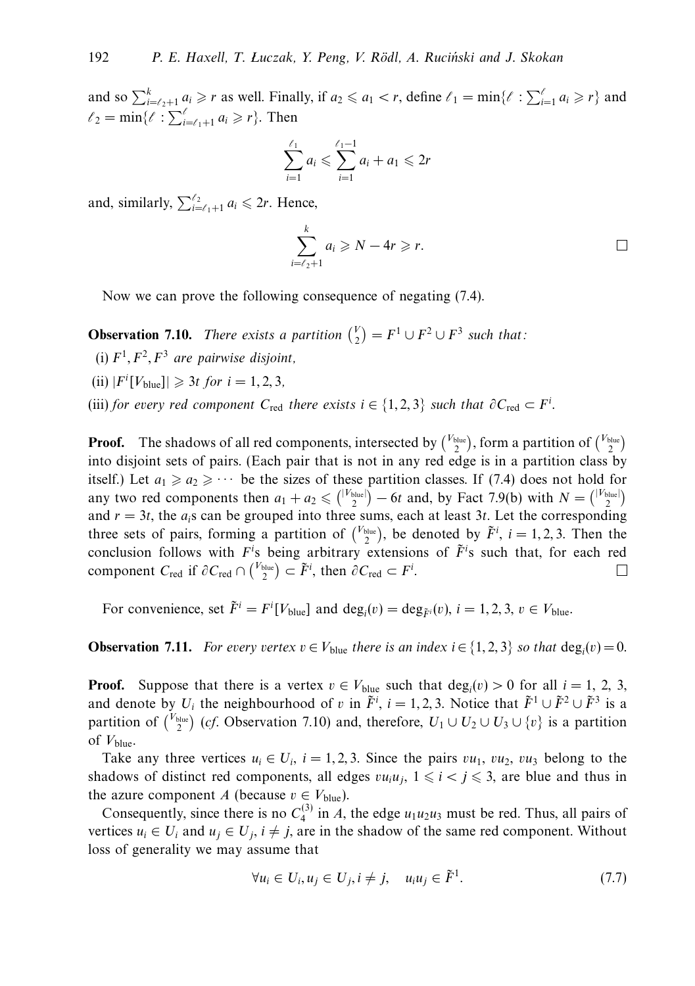and so  $\sum_{i=\ell_2+1}^k a_i \geq r$  as well. Finally, if  $a_2 \leq a_1 < r$ , define  $\ell_1 = \min\{\ell : \sum_{i=1}^{\ell} a_i \geq r\}$  and  $\ell_2 = \min\{\ell : \sum_{i=\ell_1+1}^{\ell} a_i \geq r\}.$  Then

$$
\sum_{i=1}^{\ell_1} a_i \leqslant \sum_{i=1}^{\ell_1 - 1} a_i + a_1 \leqslant 2r
$$

and, similarly,  $\sum_{i=\ell_1+1}^{\ell_2} a_i \leq 2r$ . Hence,

$$
\sum_{i=\ell_2+1}^k a_i \geqslant N-4r \geqslant r.
$$

Now we can prove the following consequence of negating (7.4).

**Observation 7.10.** There exists a partition  $\binom{V}{2} = F^1 \cup F^2 \cup F^3$  such that:

- (i)  $F^1$ ,  $F^2$ ,  $F^3$  are pairwise disjoint.
- $(iii)$   $|F^i[V_{blue}]| \geq 3t$  *for*  $i = 1, 2, 3$ ,
- (iii) for every red component  $C_{\text{red}}$  there exists  $i \in \{1, 2, 3\}$  such that  $\partial C_{\text{red}} \subset F^i$ .

**Proof.** The shadows of all red components, intersected by  $\binom{V_{blue}}{2}$ , form a partition of  $\binom{V_{blue}}{2}$ into disjoint sets of pairs. (Each pair that is not in any red edge is in a partition class by itself.) Let  $a_1 \ge a_2 \ge \cdots$  be the sizes of these partition classes. If (7.4) does not hold for any two red components then  $a_1 + a_2 \leq { |V_{blue}| \choose 2} - 6t$  and, by Fact 7.9(b) with  $N = { |V_{blue}| \choose 2}$ and  $r = 3t$ , the  $a_i$ s can be grouped into three sums, each at least 3*t*. Let the corresponding three sets of pairs, forming a partition of  $\binom{V_{blue}}{2}$ , be denoted by  $\tilde{F}^i$ ,  $i = 1, 2, 3$ . Then the conclusion follows with  $F^i$ s being arbitrary extensions of  $\tilde{F}^i$ s such that, for each red component  $C_{\text{red}}$  if  $\partial C_{\text{red}} \cap {V_{\text{blue}}} \choose 2 \subset \tilde{F}^i$ , then  $\partial C_{\text{red}} \subset F^i$ .  $\Box$ 

For convenience, set  $\tilde{F}^i = F^i[V_{blue}]$  and  $\deg_i(v) = \deg_{\tilde{F}^i}(v)$ ,  $i = 1, 2, 3, v \in V_{blue}$ .

**Observation 7.11.** For every vertex  $v \in V_{blue}$  there is an index  $i \in \{1, 2, 3\}$  so that deg<sub>i</sub>( $v$ ) = 0.

**Proof.** Suppose that there is a vertex  $v \in V_{blue}$  such that  $deg_i(v) > 0$  for all  $i = 1, 2, 3$ , and denote by  $U_i$  the neighbourhood of *v* in  $\tilde{F}^i$ ,  $i = 1, 2, 3$ . Notice that  $\tilde{F}^1 \cup \tilde{F}^2 \cup \tilde{F}^3$  is a partition of  $\binom{V_{blue}}{2}$  (*cf.* Observation 7.10) and, therefore,  $U_1 \cup U_2 \cup U_3 \cup \{v\}$  is a partition of *V*blue.

Take any three vertices  $u_i \in U_i$ ,  $i = 1, 2, 3$ . Since the pairs  $vu_1, vu_2, vu_3$  belong to the shadows of distinct red components, all edges  $vu_iu_i$ ,  $1 \leq i \leq j \leq 3$ , are blue and thus in the azure component *A* (because  $v \in V_{blue}$ ).

Consequently, since there is no  $C_4^{(3)}$  in *A*, the edge  $u_1u_2u_3$  must be red. Thus, all pairs of vertices  $u_i \in U_i$  and  $u_j \in U_j$ ,  $i \neq j$ , are in the shadow of the same red component. Without loss of generality we may assume that

$$
\forall u_i \in U_i, u_j \in U_j, i \neq j, \quad u_i u_j \in \tilde{F}^1. \tag{7.7}
$$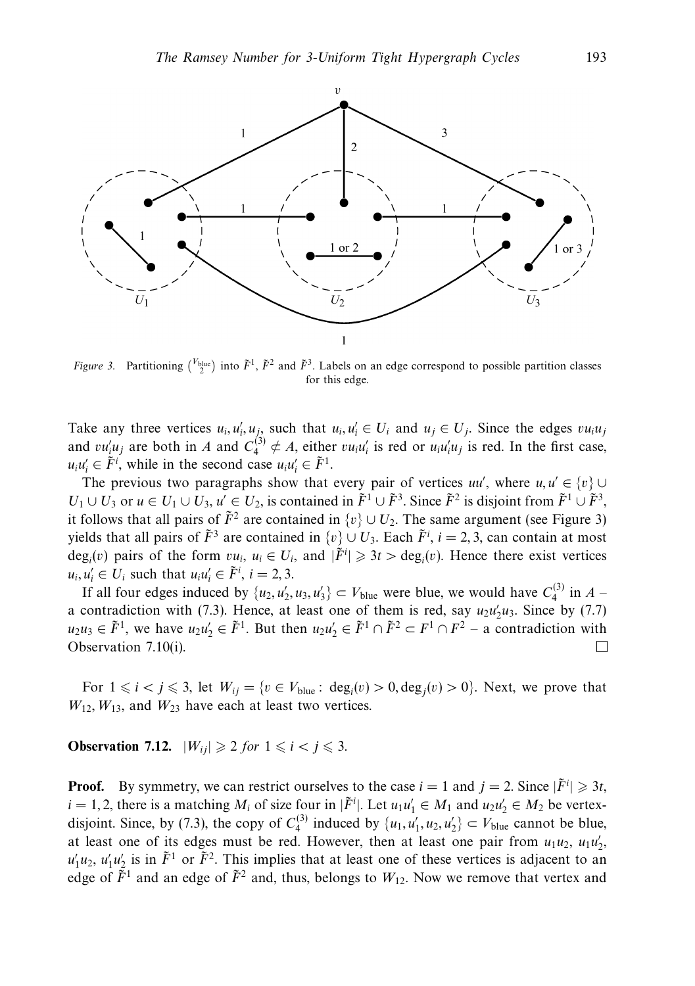

*Figure 3.* Partitioning  $\binom{V_{blue}}{2}$  into  $\tilde{F}^1$ ,  $\tilde{F}^2$  and  $\tilde{F}^3$ . Labels on an edge correspond to possible partition classes for this edge.

Take any three vertices  $u_i, u'_i, u_j$  such that  $u_i, u'_i \in U_i$  and  $u_j \in U_j$ . Since the edges  $vu_iu_j$ and  $vu'_i u_j$  are both in *A* and  $C_4^{(3)} \notin A$ , either  $vu_i u'_i$  is red or  $u_i u'_i u_j$  is red. In the first case,  $u_i u'_i \in \tilde{F}^i$ , while in the second case  $u_i u'_i \in \tilde{F}^1$ .

The previous two paragraphs show that every pair of vertices  $uu'$ , where  $u, u' \in \{v\} \cup$ *U*<sub>1</sub> ∪ *U*<sub>3</sub> or *u* ∈ *U*<sub>1</sub> ∪ *U*<sub>3</sub>, *u*<sup>'</sup> ∈ *U*<sub>2</sub>, is contained in  $\tilde{F}$ <sup>1</sup> ∪  $\tilde{F}$ <sup>3</sup>. Since  $\tilde{F}$ <sup>2</sup> is disjoint from  $\tilde{F}$ <sup>1</sup> ∪  $\tilde{F}$ <sup>3</sup>, it follows that all pairs of  $\tilde{F}^2$  are contained in  $\{v\} \cup U_2$ . The same argument (see Figure 3) yields that all pairs of  $\tilde{F}^3$  are contained in  $\{v\} \cup U_3$ . Each  $\tilde{F}^i$ ,  $i = 2, 3$ , can contain at most deg<sub>*i*</sub>(*v*) pairs of the form  $vu_i$ ,  $u_i \in U_i$ , and  $|\tilde{F}^i| \geq 3t > \text{deg}_i(v)$ . Hence there exist vertices  $u_i, u'_i \in U_i$  such that  $u_i u'_i \in \tilde{F}^i$ ,  $i = 2, 3$ .

If all four edges induced by  $\{u_2, u'_2, u_3, u'_3\} \subset V_{blue}$  were blue, we would have  $C_4^{(3)}$  in  $A$ a contradiction with (7.3). Hence, at least one of them is red, say  $u_2u_2'u_3$ . Since by (7.7) *u*<sub>2</sub>*u*<sub>3</sub> ∈  $\tilde{F}$ <sup>1</sup>, we have *u*<sub>2</sub>*u*'<sub>2</sub> ∈  $\tilde{F}$ <sup>1</sup>. But then *u*<sub>2</sub>*u*'<sub>2</sub> ∈  $\tilde{F}$ <sup>1</sup> ∩  $\tilde{F}$ <sup>2</sup> ⊂ *F*<sup>1</sup> ∩  $F$ <sup>2</sup> − a contradiction with Observation 7.10(i).

For  $1 \leq i < j \leq 3$ , let  $W_{ij} = \{v \in V_{blue} : deg_i(v) > 0, deg_j(v) > 0\}$ . Next, we prove that  $W_{12}$ ,  $W_{13}$ , and  $W_{23}$  have each at least two vertices.

**Observation 7.12.**  $|W_{ij}| \geqslant 2$  for  $1 \leqslant i < j \leqslant 3$ .

**Proof.** By symmetry, we can restrict ourselves to the case  $i = 1$  and  $j = 2$ . Since  $|\tilde{F}^i| \geq 3t$ ,  $i = 1, 2$ , there is a matching  $M_i$  of size four in  $|\tilde{F}^i|$ . Let  $u_1u'_1 \in M_1$  and  $u_2u'_2 \in M_2$  be vertexdisjoint. Since, by (7.3), the copy of  $C_4^{(3)}$  induced by  $\{u_1, u'_1, u_2, u'_2\} \subset V_{blue}$  cannot be blue, at least one of its edges must be red. However, then at least one pair from  $u_1u_2$ ,  $u_1u'_2$ ,  $u'_1u_2$ ,  $u'_1u'_2$  is in  $\tilde{F}^1$  or  $\tilde{F}^2$ . This implies that at least one of these vertices is adjacent to an edge of  $\tilde{F}^1$  and an edge of  $\tilde{F}^2$  and, thus, belongs to  $W_{12}$ . Now we remove that vertex and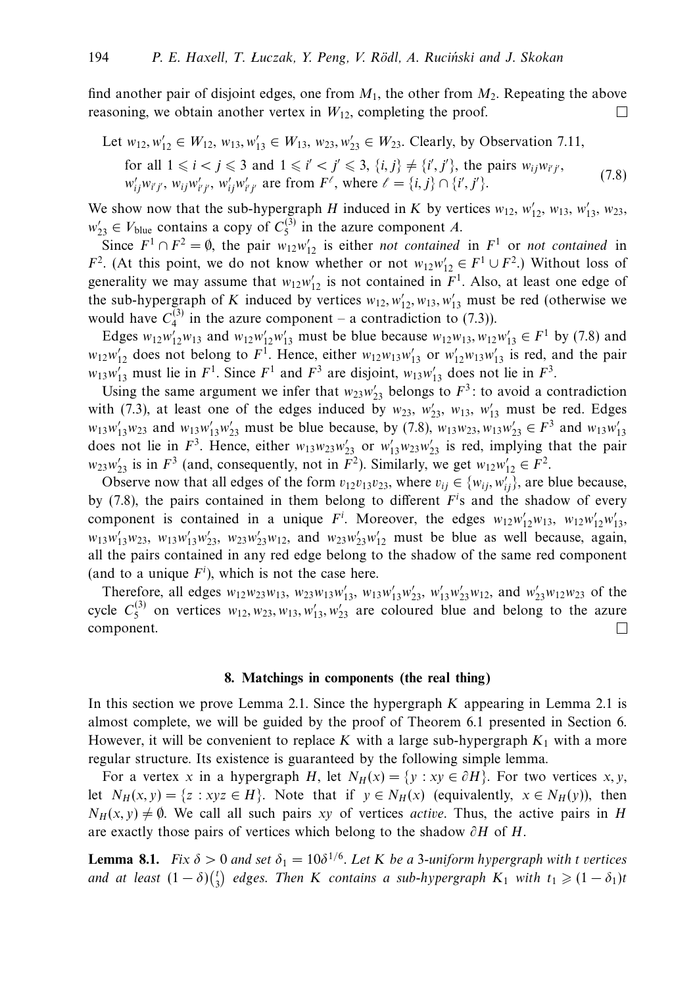find another pair of disjoint edges, one from  $M_1$ , the other from  $M_2$ . Repeating the above reasoning, we obtain another vertex in  $W_{12}$ , completing the proof.  $\Box$ 

Let  $w_{12}, w'_{12} \in W_{12}, w_{13}, w'_{13} \in W_{13}, w_{23}, w'_{23} \in W_{23}$ . Clearly, by Observation 7.11, for all  $1 \leq i < j \leq 3$  and  $1 \leq i' < j' \leq 3$ ,  $\{i, j\} \neq \{i', j'\}$ , the pairs  $w_{ij}w_{i'j'}$ ,  $w'_{ij}w_{i'j'}$ ,  $w_{ij}w'_{i'j'}$ ,  $w'_{ij}w'_{i'j'}$  are from  $F^{\ell}$ , where  $\ell = \{i, j\} \cap \{i', j'\}$  $\}$ . (7.8)

We show now that the sub-hypergraph *H* induced in *K* by vertices  $w_{12}$ ,  $w'_{12}$ ,  $w_{13}$ ,  $w'_{13}$ ,  $w_{23}$ ,  $w'_{23} \in V_{blue}$  contains a copy of  $C_5^{(3)}$  in the azure component *A*.

Since  $F^1 \cap F^2 = \emptyset$ , the pair  $w_{12}w'_{12}$  is either *not contained* in  $F^1$  or *not contained* in *F*<sup>2</sup>. (At this point, we do not know whether or not  $w_{12}w'_{12} \in F^1 \cup F^2$ .) Without loss of generality we may assume that  $w_{12}w'_{12}$  is not contained in  $F^1$ . Also, at least one edge of the sub-hypergraph of *K* induced by vertices  $w_{12}, w'_{12}, w_{13}, w'_{13}$  must be red (otherwise we would have  $C_4^{(3)}$  in the azure component – a contradiction to (7.3)).

Edges  $w_{12}w_{12}'w_{13}$  and  $w_{12}w_{12}'w_{13}'$  must be blue because  $w_{12}w_{13}$ ,  $w_{12}w_{13}' \in F^1$  by (7.8) and  $w_{12}w_{12}$  does not belong to  $F^1$ . Hence, either  $w_{12}w_{13}w_{13}'$  or  $w_{12}'w_{13}w_{13}'$  is red, and the pair  $w_{13}w'_{13}$  must lie in  $F^1$ . Since  $F^1$  and  $F^3$  are disjoint,  $w_{13}w'_{13}$  does not lie in  $F^3$ .

Using the same argument we infer that  $w_{23}w'_{23}$  belongs to  $F^3$ : to avoid a contradiction with (7.3), at least one of the edges induced by  $w_{23}$ ,  $w'_{23}$ ,  $w'_{13}$ ,  $w'_{13}$  must be red. Edges  $w_{13}w'_{13}w_{23}$  and  $w_{13}w'_{13}w'_{23}$  must be blue because, by (7.8),  $w_{13}w_{23}$ ,  $w_{13}w'_{23} \in F^3$  and  $w_{13}w'_{13}$ does not lie in  $F^3$ . Hence, either  $w_{13}w_{23}w'_{23}$  or  $w'_{13}w_{23}w'_{23}$  is red, implying that the pair  $w_{23}w'_{23}$  is in  $F^3$  (and, consequently, not in  $F^2$ ). Similarly, we get  $w_{12}w'_{12} \in F^2$ .

Observe now that all edges of the form  $v_{12}v_{13}v_{23}$ , where  $v_{ij} \in \{w_{ij}, w'_{ij}\}$ , are blue because, by  $(7.8)$ , the pairs contained in them belong to different  $F<sup>i</sup>$ s and the shadow of every component is contained in a unique  $F^i$ . Moreover, the edges  $w_{12}w'_{12}w_{13}$ ,  $w_{12}w'_{12}w'_{13}$  $w_{13}w'_{13}w_{23}$ ,  $w_{13}w'_{13}w'_{23}$ ,  $w_{23}w'_{23}w_{12}$ , and  $w_{23}w'_{23}w'_{12}$  must be blue as well because, again, all the pairs contained in any red edge belong to the shadow of the same red component (and to a unique  $F<sup>i</sup>$ ), which is not the case here.

Therefore, all edges  $w_{12}w_{23}w_{13}$ ,  $w_{23}w_{13}w'_{13}$ ,  $w_{13}w'_{13}w'_{23}$ ,  $w'_{13}w'_{23}w_{12}$ , and  $w'_{23}w_{12}w_{23}$  of the cycle  $C_5^{(3)}$  on vertices  $w_{12}, w_{23}, w_{13}, w'_{13}, w'_{23}$  are coloured blue and belong to the azure component.  $\Box$ 

#### **8. Matchings in components (the real thing)**

In this section we prove Lemma 2.1. Since the hypergraph *K* appearing in Lemma 2.1 is almost complete, we will be guided by the proof of Theorem 6.1 presented in Section 6. However, it will be convenient to replace  $K$  with a large sub-hypergraph  $K_1$  with a more regular structure. Its existence is guaranteed by the following simple lemma.

For a vertex *x* in a hypergraph *H*, let  $N_H(x) = \{y : xy \in \partial H\}$ . For two vertices *x*, *y*, let  $N_H(x, y) = \{z : xyz \in H\}$ . Note that if  $y \in N_H(x)$  (equivalently,  $x \in N_H(y)$ ), then  $N_H(x, y) \neq \emptyset$ . We call all such pairs *xy* of vertices *active*. Thus, the active pairs in *H* are exactly those pairs of vertices which belong to the shadow *∂H* of *H*.

**Lemma 8.1.** Fix  $\delta > 0$  and set  $\delta_1 = 10\delta^{1/6}$ . Let *K* be a 3-uniform hypergraph with *t* vertices and at least  $(1 - \delta) {t \choose 3}$  edges. Then *K* contains a sub-hypergraph  $K_1$  with  $t_1 \geqslant (1 - \delta_1)t$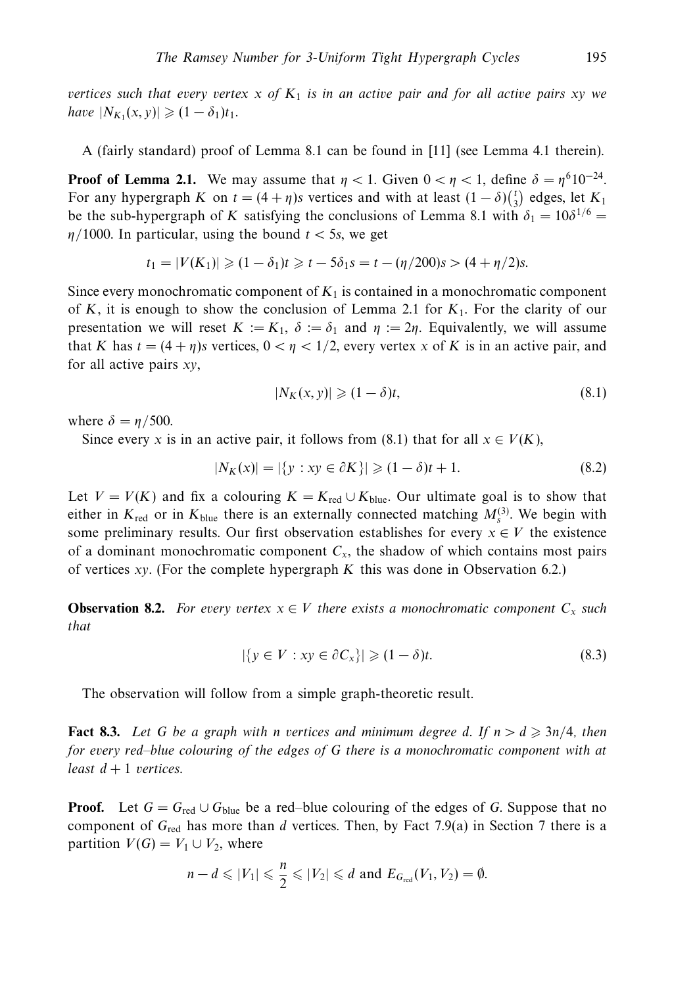vertices such that every vertex  $x$  of  $K_1$  is in an active pair and for all active pairs  $xy$  we  $|N_{K_1}(x, y)| \geqslant (1 - \delta_1)t_1.$ 

A (fairly standard) proof of Lemma 8.1 can be found in [11] (see Lemma 4.1 therein).

**Proof of Lemma 2.1.** We may assume that  $\eta < 1$ . Given  $0 < \eta < 1$ , define  $\delta = \eta^6 10^{-24}$ . For any hypergraph *K* on  $t = (4 + \eta)s$  vertices and with at least  $(1 - \delta)\binom{t}{3}$  edges, let  $K_1$ be the sub-hypergraph of *K* satisfying the conclusions of Lemma 8.1 with  $\delta_1 = 10\delta^{1/6}$  $\eta$ /1000. In particular, using the bound  $t < 5s$ , we get

$$
t_1 = |V(K_1)| \ge (1 - \delta_1)t \ge t - 5\delta_1 s = t - (\eta/200)s > (4 + \eta/2)s.
$$

Since every monochromatic component of  $K_1$  is contained in a monochromatic component of  $K$ , it is enough to show the conclusion of Lemma 2.1 for  $K_1$ . For the clarity of our presentation we will reset  $K := K_1$ ,  $\delta := \delta_1$  and  $\eta := 2\eta$ . Equivalently, we will assume that *K* has  $t = (4 + \eta)s$  vertices,  $0 < \eta < 1/2$ , every vertex *x* of *K* is in an active pair, and for all active pairs *xy*,

$$
|N_K(x, y)| \geqslant (1 - \delta)t,\tag{8.1}
$$

where  $\delta = \eta/500$ .

Since every *x* is in an active pair, it follows from (8.1) that for all  $x \in V(K)$ ,

$$
|N_K(x)| = |\{y : xy \in \partial K\}| \geq (1 - \delta)t + 1.
$$
 (8.2)

Let  $V = V(K)$  and fix a colouring  $K = K_{\text{red}} \cup K_{\text{blue}}$ . Our ultimate goal is to show that either in  $K_{\text{red}}$  or in  $K_{\text{blue}}$  there is an externally connected matching  $M_s^{(3)}$ . We begin with some preliminary results. Our first observation establishes for every  $x \in V$  the existence of a dominant monochromatic component  $C_x$ , the shadow of which contains most pairs of vertices *xy*. (For the complete hypergraph *K* this was done in Observation 6.2.)

**Observation 8.2.** For every vertex  $x \in V$  there exists a monochromatic component  $C_x$  such that

$$
|\{y \in V : xy \in \partial C_x\}| \geqslant (1 - \delta)t. \tag{8.3}
$$

The observation will follow from a simple graph-theoretic result.

**Fact 8.3.** Let G be a graph with *n* vertices and minimum degree d. If  $n > d \geqslant 3n/4$ , then for every red–blue colouring of the edges of *G* there is a monochromatic component with at least  $d+1$  vertices.

**Proof.** Let  $G = G_{\text{red}} \cup G_{\text{blue}}$  be a red–blue colouring of the edges of G. Suppose that no component of *G*red has more than *d* vertices. Then, by Fact 7.9(a) in Section 7 there is a partition  $V(G) = V_1 \cup V_2$ , where

$$
n-d \leqslant |V_1| \leqslant \frac{n}{2} \leqslant |V_2| \leqslant d \text{ and } E_{G_{\text{red}}}(V_1, V_2) = \emptyset.
$$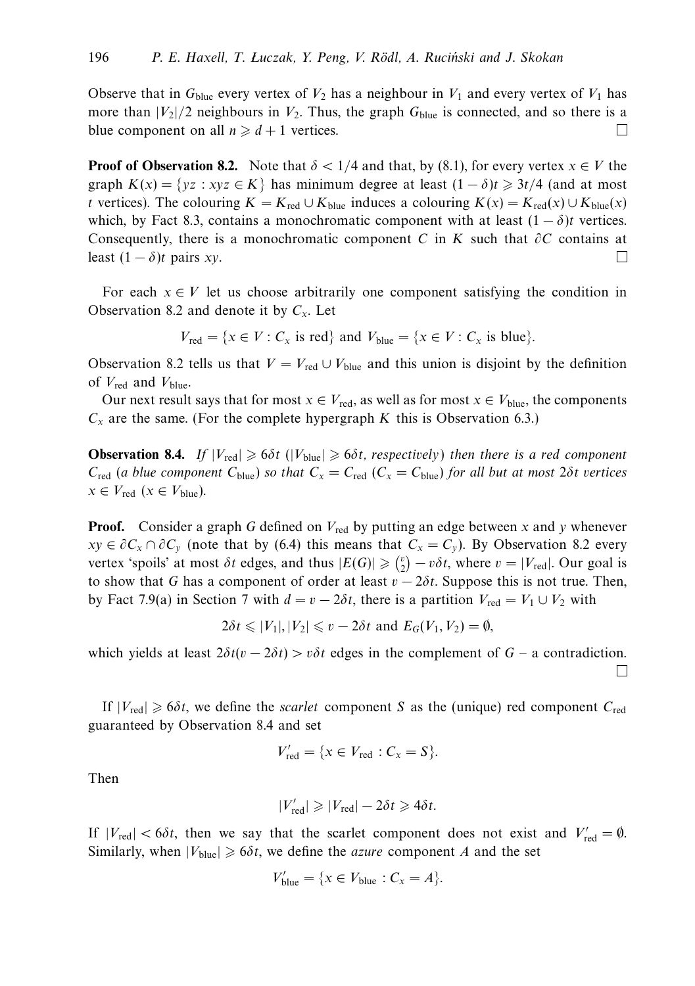Observe that in  $G_{blue}$  every vertex of  $V_2$  has a neighbour in  $V_1$  and every vertex of  $V_1$  has more than  $|V_2|/2$  neighbours in  $V_2$ . Thus, the graph  $G_{blue}$  is connected, and so there is a blue component on all  $n \geq d+1$  vertices.  $\Box$ 

**Proof of Observation 8.2.** Note that  $\delta$  < 1/4 and that, by (8.1), for every vertex  $x \in V$  the graph  $K(x) = \{yz : xyz \in K\}$  has minimum degree at least  $(1 - \delta)t \geq 3t/4$  (and at most *t* vertices). The colouring  $K = K_{\text{red}} \cup K_{\text{blue}}$  induces a colouring  $K(x) = K_{\text{red}}(x) \cup K_{\text{blue}}(x)$ which, by Fact 8.3, contains a monochromatic component with at least  $(1 - \delta)t$  vertices. Consequently, there is a monochromatic component *C* in *K* such that  $\partial C$  contains at least  $(1 - \delta)t$  pairs *xy*.  $\Box$ 

For each  $x \in V$  let us choose arbitrarily one component satisfying the condition in Observation 8.2 and denote it by *Cx*. Let

$$
V_{\text{red}} = \{x \in V : C_x \text{ is red}\} \text{ and } V_{\text{blue}} = \{x \in V : C_x \text{ is blue}\}.
$$

Observation 8.2 tells us that  $V = V_{\text{red}} \cup V_{\text{blue}}$  and this union is disjoint by the definition of *V*red and *V*blue.

Our next result says that for most  $x \in V_{\text{red}}$ , as well as for most  $x \in V_{\text{blue}}$ , the components  $C_x$  are the same. (For the complete hypergraph *K* this is Observation 6.3.)

**Observation 8.4.** If  $|V_{\text{red}}| \ge 6\delta t$  ( $|V_{\text{blue}}| \ge 6\delta t$ , respectively) then there is a red component *C*<sub>red</sub> (a blue component *C*<sub>blue</sub>) so that  $C_x = C_{\text{red}}$  ( $C_x = C_{\text{blue}}$ ) for all but at most 2 $\delta t$  vertices  $x \in V_{\text{red}} \ (x \in V_{\text{blue}}).$ 

**Proof.** Consider a graph G defined on  $V_{\text{red}}$  by putting an edge between *x* and *y* whenever *xy* ∈  $\partial C_x \cap \partial C_y$  (note that by (6.4) this means that  $C_x = C_y$ ). By Observation 8.2 every vertex 'spoils' at most  $\delta t$  edges, and thus  $|E(G)| \geq {v \choose 2} - v \delta t$ , where  $v = |V_{\text{red}}|$ . Our goal is to show that *G* has a component of order at least  $v - 2\delta t$ . Suppose this is not true. Then, by Fact 7.9(a) in Section 7 with  $d = v - 2\delta t$ , there is a partition  $V_{\text{red}} = V_1 \cup V_2$  with

$$
2\delta t \leq |V_1|, |V_2| \leq v - 2\delta t \text{ and } E_G(V_1, V_2) = \emptyset,
$$

which yields at least  $2\delta t(v - 2\delta t) > v\delta t$  edges in the complement of  $G - a$  contradiction.  $\perp$ 

If  $|V_{\text{red}}| \ge 6\delta t$ , we define the *scarlet* component *S* as the (unique) red component  $C_{\text{red}}$ guaranteed by Observation 8.4 and set

$$
V'_{\text{red}} = \{x \in V_{\text{red}} : C_x = S\}.
$$

Then

$$
|V'_{\text{red}}| \geq |V_{\text{red}}| - 2\delta t \geq 4\delta t.
$$

If  $|V_{\text{red}}| < 6\delta t$ , then we say that the scarlet component does not exist and  $V'_{\text{red}} = \emptyset$ . Similarly, when  $|V_{blue}| \ge 6\delta t$ , we define the *azure* component *A* and the set

$$
V'_{\text{blue}} = \{x \in V_{\text{blue}} : C_x = A\}.
$$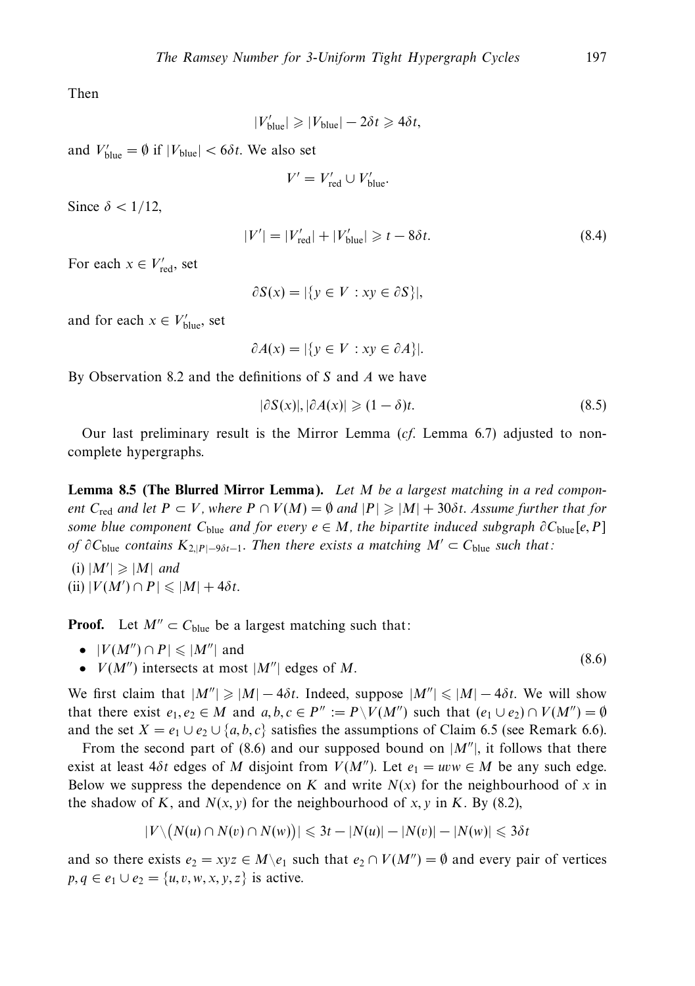Then

$$
|V'_{\text{blue}}| \geqslant |V_{\text{blue}}| - 2\delta t \geqslant 4\delta t,
$$

and  $V'_{blue} = \emptyset$  if  $|V_{blue}| < 6\delta t$ . We also set

$$
V' = V'_{\text{red}} \cup V'_{\text{blue}}.
$$

Since  $\delta$  < 1/12,

$$
|V'| = |V'_{\text{red}}| + |V'_{\text{blue}}| \geq t - 8\delta t. \tag{8.4}
$$

For each  $x \in V'_{\text{red}}$ , set

$$
\partial S(x) = |\{ y \in V : xy \in \partial S \}|,
$$

and for each  $x \in V'_{blue}$ , set

$$
\partial A(x) = |\{ y \in V : xy \in \partial A \}|.
$$

By Observation 8.2 and the definitions of *S* and *A* we have

$$
|\partial S(x)|, |\partial A(x)| \geqslant (1 - \delta)t. \tag{8.5}
$$

Our last preliminary result is the Mirror Lemma  $(cf.$  Lemma 6.7) adjusted to noncomplete hypergraphs.

**Lemma 8.5 (The Blurred Mirror Lemma).** Let *M* be a largest matching in a red component  $C_{\text{red}}$  and let  $P \subset V$ , where  $P \cap V(M) = \emptyset$  and  $|P| \geqslant |M| + 30\delta t$ . Assume further that for some blue component  $C_{blue}$  and for every  $e \in M$ , the bipartite induced subgraph  $\partial C_{blue}[e, P]$ *of*  $∂C_{blue}$  contains  $K_{2|P|−9\delta t−1}$ . Then there exists a matching  $M' ⊂ C_{blue}$  such that:

 $(i)$   $|M'| \geqslant |M|$  and  $(iii)$   $|V(M') \cap P| \leq |M| + 4\delta t$ .

**Proof.** Let  $M'' \subset C_{blue}$  be a largest matching such that:

- $|V(M'') \cap P| \leq |M''|$  and
- $V(M'')$  intersects at most  $|M''|$  edges of *M*. (8.6)

We first claim that  $|M''| \geq |M| - 4\delta t$ . Indeed, suppose  $|M''| \leq |M| - 4\delta t$ . We will show that there exist  $e_1, e_2 \in M$  and  $a, b, c \in P'' := P\setminus V(M'')$  such that  $(e_1 \cup e_2) \cap V(M'') = \emptyset$ and the set  $X = e_1 \cup e_2 \cup \{a, b, c\}$  satisfies the assumptions of Claim 6.5 (see Remark 6.6).

From the second part of (8.6) and our supposed bound on  $|M''|$ , it follows that there exist at least  $4\delta t$  edges of *M* disjoint from  $V(M'')$ . Let  $e_1 = uww \in M$  be any such edge. Below we suppress the dependence on *K* and write  $N(x)$  for the neighbourhood of *x* in the shadow of *K*, and  $N(x, y)$  for the neighbourhood of *x*, *y* in *K*. By (8.2),

$$
|V \setminus (N(u) \cap N(v) \cap N(w))| \leq 3t - |N(u)| - |N(v)| - |N(w)| \leq 3\delta t
$$

and so there exists  $e_2 = xyz \in M \setminus e_1$  such that  $e_2 \cap V(M'') = \emptyset$  and every pair of vertices *p*, *q* ∈ *e*<sub>1</sub> ∪ *e*<sub>2</sub> = {*u*, *v*, *w*, *x*, *y*, *z*} is active.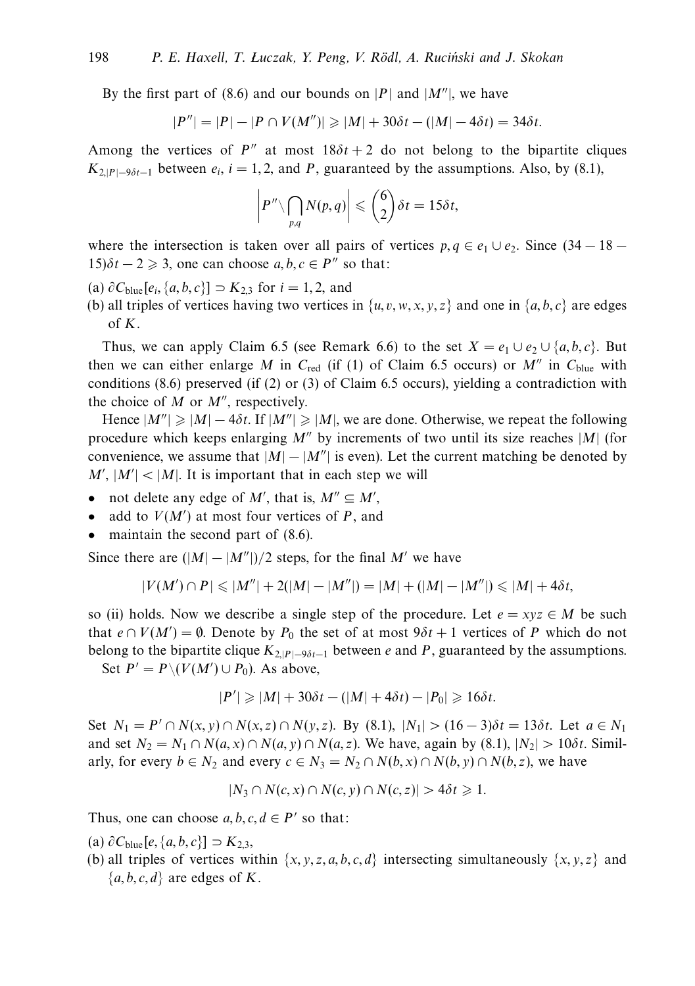By the first part of (8.6) and our bounds on |*P*| and  $|M''|$ , we have

$$
|P''| = |P| - |P \cap V(M'')| \ge |M| + 30\delta t - (|M| - 4\delta t) = 34\delta t.
$$

Among the vertices of  $P''$  at most  $18\delta t + 2$  do not belong to the bipartite cliques  $K_{2|P|=9\delta t-1}$  between  $e_i$ ,  $i=1,2$ , and *P*, guaranteed by the assumptions. Also, by (8.1),

$$
\left|P''\backslash \bigcap_{p,q} N(p,q)\right| \leqslant {6 \choose 2} \delta t = 15 \delta t,
$$

where the intersection is taken over all pairs of vertices  $p, q \in e_1 \cup e_2$ . Since  $(34 - 18 15)\delta t - 2 \geq 3$ , one can choose  $a, b, c \in P''$  so that:

 $(a) ∂C_{blue}[e_i, {a, b, c}]$  ⊃  $K_{2,3}$  for  $i = 1, 2$ , and

(b) all triples of vertices having two vertices in  $\{u, v, w, x, y, z\}$  and one in  $\{a, b, c\}$  are edges of *K*.

Thus, we can apply Claim 6.5 (see Remark 6.6) to the set  $X = e_1 \cup e_2 \cup \{a, b, c\}$ . But then we can either enlarge *M* in  $C_{\text{red}}$  (if (1) of Claim 6.5 occurs) or  $M''$  in  $C_{\text{blue}}$  with conditions  $(8.6)$  preserved  $(if(2)$  or  $(3)$  of Claim 6.5 occurs), yielding a contradiction with the choice of  $M$  or  $M''$ , respectively.

Hence  $|M''| \ge |M| - 4\delta t$ . If  $|M''| \ge |M|$ , we are done. Otherwise, we repeat the following procedure which keeps enlarging  $M''$  by increments of two until its size reaches  $|M|$  (for convenience, we assume that  $|M| - |M''|$  is even). Let the current matching be denoted by  $M'$ ,  $|M'|$  <  $|M|$ . It is important that in each step we will

- not delete any edge of  $M'$ , that is,  $M'' \subseteq M'$ ,
- add to  $V(M')$  at most four vertices of  $P$ , and
- maintain the second part of  $(8.6)$ .

Since there are  $(|M|-|M''|)/2$  steps, for the final M' we have

$$
|V(M') \cap P| \leq |M''| + 2(|M| - |M''|) = |M| + (|M| - |M''|) \leq |M| + 4\delta t,
$$

so (ii) holds. Now we describe a single step of the procedure. Let  $e = xyz \in M$  be such that  $e \cap V(M') = \emptyset$ . Denote by  $P_0$  the set of at most  $9\delta t + 1$  vertices of P which do not belong to the bipartite clique  $K_{2|P|-\frac{9\delta t-1}{2}}$  between *e* and *P*, guaranteed by the assumptions.

Set  $P' = P \setminus (V(M') \cup P_0)$ . As above,

$$
|P'| \geq |M| + 30\delta t - (|M| + 4\delta t) - |P_0| \geq 16\delta t.
$$

Set  $N_1 = P' \cap N(x, y) \cap N(x, z) \cap N(y, z)$ . By (8.1),  $|N_1| > (16 - 3)\delta t = 13\delta t$ . Let  $a \in N_1$ and set  $N_2 = N_1 \cap N(a, x) \cap N(a, y) \cap N(a, z)$ . We have, again by (8.1),  $|N_2| > 10\delta t$ . Similarly, for every  $b \in N_2$  and every  $c \in N_3 = N_2 \cap N(b, x) \cap N(b, y) \cap N(b, z)$ , we have

$$
|N_3 \cap N(c, x) \cap N(c, y) \cap N(c, z)| > 4\delta t \geq 1.
$$

Thus, one can choose  $a, b, c, d \in P'$  so that:

- $(a)$  ∂C<sub>blue</sub>[e, {*a*, *b*, *c*}] ⊃  $K_{2,3}$ ,
- (b) all triples of vertices within  $\{x, y, z, a, b, c, d\}$  intersecting simultaneously  $\{x, y, z\}$  and  ${a, b, c, d}$  are edges of *K*.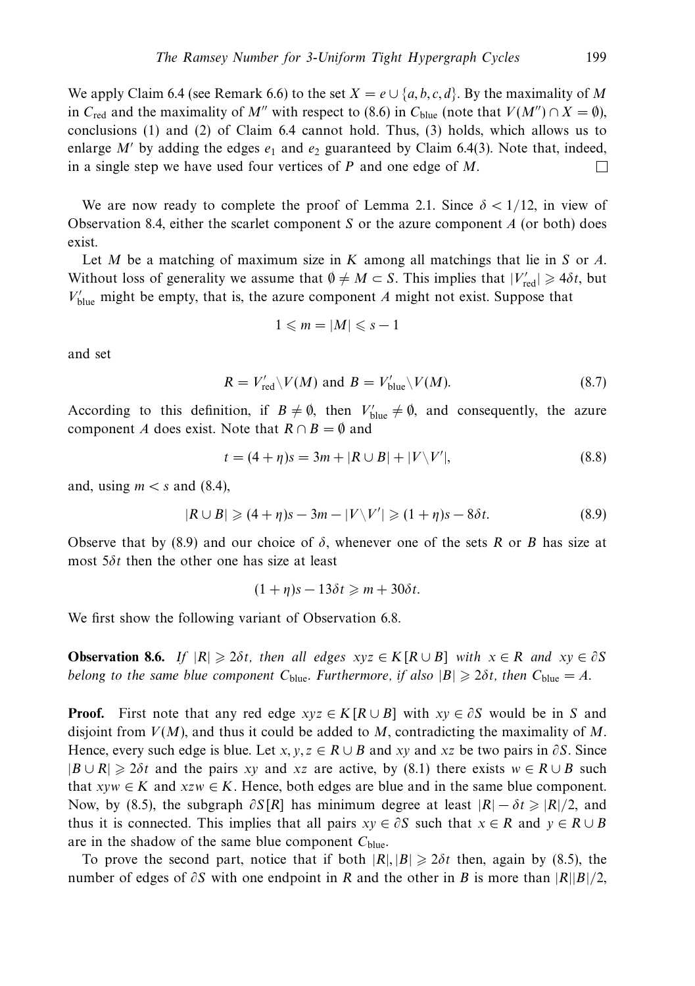We apply Claim 6.4 (see Remark 6.6) to the set  $X = e \cup \{a, b, c, d\}$ . By the maximality of M in *C*<sub>red</sub> and the maximality of *M*<sup>*''*</sup> with respect to (8.6) in *C*<sub>blue</sub> (note that  $V(M'') \cap X = \emptyset$ ), conclusions (1) and (2) of Claim 6.4 cannot hold. Thus, (3) holds, which allows us to enlarge  $M'$  by adding the edges  $e_1$  and  $e_2$  guaranteed by Claim 6.4(3). Note that, indeed, in a single step we have used four vertices of *P* and one edge of *M*.  $\Box$ 

We are now ready to complete the proof of Lemma 2.1. Since  $\delta$  < 1/12, in view of Observation 8.4, either the scarlet component *S* or the azure component *A* (or both) does exist.

Let *M* be a matching of maximum size in *K* among all matchings that lie in *S* or *A*. Without loss of generality we assume that  $\emptyset \neq M \subset S$ . This implies that  $|V'_{\text{red}}| \geq 4\delta t$ , but  $V'_{blue}$  might be empty, that is, the azure component *A* might not exist. Suppose that

$$
1\leqslant m=|M|\leqslant s-1
$$

and set

$$
R = V'_{\text{red}} \setminus V(M) \text{ and } B = V'_{\text{blue}} \setminus V(M). \tag{8.7}
$$

According to this definition, if  $B \neq \emptyset$ , then  $V'_{blue} \neq \emptyset$ , and consequently, the azure component *A* does exist. Note that  $R \cap B = \emptyset$  and

$$
t = (4 + \eta)s = 3m + |R \cup B| + |V \setminus V'|,
$$
\n(8.8)

and, using  $m < s$  and (8.4),

$$
|R \cup B| \geqslant (4+\eta)s - 3m - |V\backslash V'| \geqslant (1+\eta)s - 8\delta t. \tag{8.9}
$$

Observe that by (8.9) and our choice of *δ*, whenever one of the sets *R* or *B* has size at most 5*δt* then the other one has size at least

$$
(1+\eta)s-13\delta t\geqslant m+30\delta t.
$$

We first show the following variant of Observation 6.8.

**Observation 8.6.** If  $|R| \ge 2\delta t$ , then all edges  $xyz \in K[R \cup B]$  with  $x \in R$  and  $xy \in \partial S$ belong to the same blue component  $C_{blue}$ . Furthermore, if also  $|B| \geqslant 2\delta t$ , then  $C_{blue} = A$ .

**Proof.** First note that any red edge  $xyz \in K[R \cup B]$  with  $xy \in \partial S$  would be in *S* and disjoint from *V*(*M*), and thus it could be added to *M*, contradicting the maximality of *M*. Hence, every such edge is blue. Let *x*, *y*,  $z \in R \cup B$  and *xy* and *xz* be two pairs in  $\partial S$ . Since  $|B \cup R| \ge 2\delta t$  and the pairs *xy* and *xz* are active, by (8.1) there exists  $w \in R \cup B$  such that  $xyw \in K$  and  $xzw \in K$ . Hence, both edges are blue and in the same blue component. Now, by (8.5), the subgraph  $\partial S[R]$  has minimum degree at least  $|R| - \delta t \geq |R|/2$ , and thus it is connected. This implies that all pairs  $xy \in \partial S$  such that  $x \in R$  and  $y \in R \cup B$ are in the shadow of the same blue component *C*blue.

To prove the second part, notice that if both  $|R|, |B| \ge 2\delta t$  then, again by (8.5), the number of edges of *∂S* with one endpoint in *R* and the other in *B* is more than |*R*||*B*|*/*2,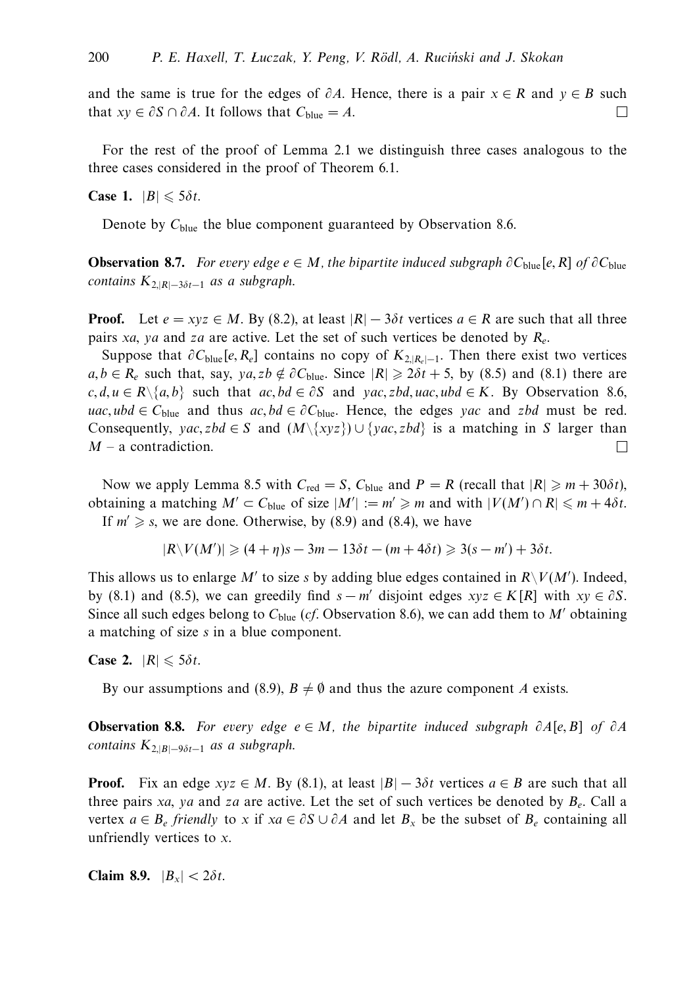and the same is true for the edges of  $\partial A$ . Hence, there is a pair  $x \in R$  and  $y \in B$  such that  $xy \in \partial S \cap \partial A$ . It follows that  $C_{blue} = A$ .  $\Box$ 

For the rest of the proof of Lemma 2.1 we distinguish three cases analogous to the three cases considered in the proof of Theorem 6.1.

**Case 1.**  $|B| \le 5\delta t$ .

Denote by C<sub>blue</sub> the blue component guaranteed by Observation 8.6.

**Observation 8.7.** For every edge  $e \in M$ , the bipartite induced subgraph  $\partial C_{\text{blue}}[e, R]$  of  $\partial C_{\text{blue}}$ contains  $K_{2,|R|-3\delta t-1}$  as a subgraph.

**Proof.** Let  $e = xyz \in M$ . By (8.2), at least  $|R| - 3\delta t$  vertices  $a \in R$  are such that all three pairs *xa*, *ya* and *za* are active. Let the set of such vertices be denoted by *Re*.

Suppose that  $\partial C_{blue}[e, R_e]$  contains no copy of  $K_{2, |R_e|-1}$ . Then there exist two vertices  $a, b \in R_e$  such that, say,  $ya, zb \notin \partial C_{blue}$ . Since  $|R| \geq 2\delta t + 5$ , by (8.5) and (8.1) there are *c, d, u* ∈ *R* $\setminus$ {*a, b*} such that *ac, bd* ∈  $\partial S$  and *yac, zbd, uac, ubd* ∈ *K*. By Observation 8.6, *uac, ubd* ∈  $C_{blue}$  and thus  $ac, bd \in \partial C_{blue}$ . Hence, the edges *yac* and *zbd* must be red. Consequently, *yac, zbd*  $\in$  *S* and  $(M\{\{xyz\}) \cup \{yac, zbd\}$  is a matching in *S* larger than *M* – a contradiction.  $\Box$ 

Now we apply Lemma 8.5 with  $C_{\text{red}} = S$ ,  $C_{\text{blue}}$  and  $P = R$  (recall that  $|R| \geq m + 30\delta t$ ), obtaining a matching  $M' \subset C_{blue}$  of size  $|M'| := m' \ge m$  and with  $|V(M') \cap R| \le m + 4\delta t$ .

If  $m' \geq s$ , we are done. Otherwise, by (8.9) and (8.4), we have

$$
|R\backslash V(M')|\geqslant (4+\eta)s-3m-13\delta t-(m+4\delta t)\geqslant 3(s-m')+3\delta t.
$$

This allows us to enlarge *M'* to size *s* by adding blue edges contained in  $R\backslash V(M')$ . Indeed, by (8.1) and (8.5), we can greedily find  $s - m'$  disjoint edges  $xyz \in K[R]$  with  $xy \in \partial S$ . Since all such edges belong to  $C_{blue}$  (*cf.* Observation 8.6), we can add them to *M'* obtaining a matching of size *s* in a blue component.

**Case 2.**  $|R| \leq 5\delta t$ .

By our assumptions and (8.9),  $B \neq \emptyset$  and thus the azure component *A* exists.

**Observation 8.8.** For every edge *e* ∈ *M*, the bipartite induced subgraph *∂A*[*e, B*] of *∂A* contains  $K_{2,|B|-\frac{9\delta t-1}{2}}$  as a subgraph.

**Proof.** Fix an edge  $xyz \in M$ . By (8.1), at least  $|B| - 3\delta t$  vertices  $a \in B$  are such that all three pairs *xa*, *ya* and *za* are active. Let the set of such vertices be denoted by *Be*. Call a vertex  $a \in B_e$  friendly to x if  $xa \in \partial S \cup \partial A$  and let  $B_x$  be the subset of  $B_e$  containing all unfriendly vertices to *x*.

**Claim 8.9.**  $|B_x| < 2\delta t$ .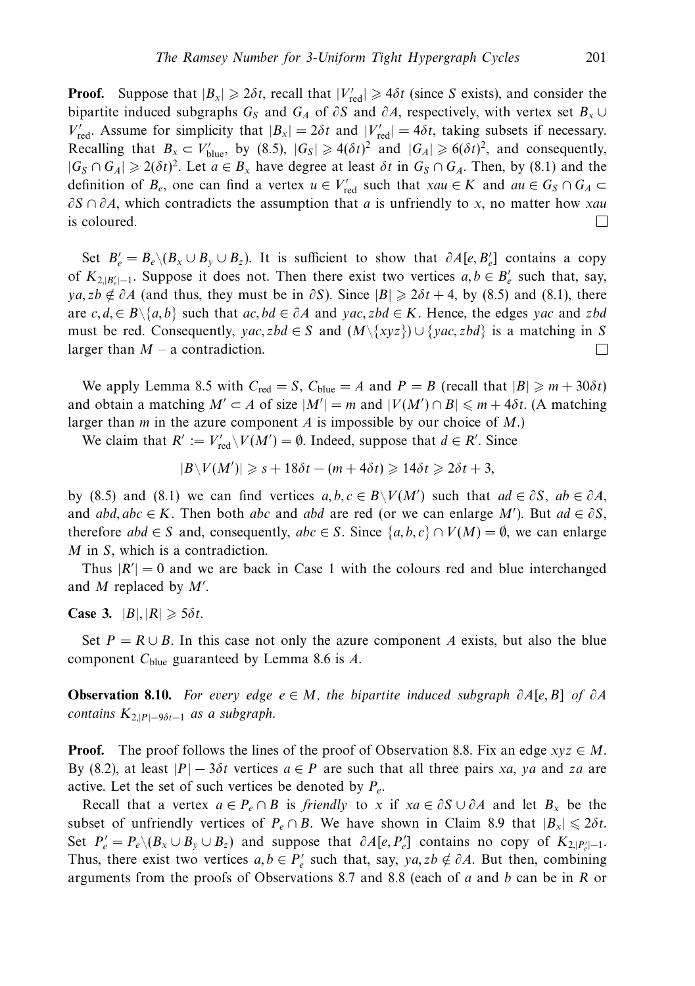**Proof.** Suppose that  $|B_x| \ge 2\delta t$ , recall that  $|V'_{\text{red}}| \ge 4\delta t$  (since *S* exists), and consider the bipartite induced subgraphs  $G_S$  and  $G_A$  of  $\partial S$  and  $\partial A$ , respectively, with vertex set  $B_x \cup$ *V*<sup> $'$ </sup><sub>red</sub>. Assume for simplicity that  $|B_x| = 2\delta t$  and  $|V'_{\text{red}}| = 4\delta t$ , taking subsets if necessary. Recalling that  $B_x \subset V_{blue}'$ , by (8.5),  $|G_s| \ge 4(\delta t)^2$  and  $|G_A| \ge 6(\delta t)^2$ , and consequently,  $|G_S \cap G_A| \geq 2(\delta t)^2$ . Let  $a \in B_x$  have degree at least  $\delta t$  in  $G_S \cap G_A$ . Then, by (8.1) and the definition of  $B_e$ , one can find a vertex  $u \in V'_{red}$  such that  $xau \in K$  and  $au \in G_S \cap G_A \subset$ *∂S* ∩ *∂A*, which contradicts the assumption that *a* is unfriendly to *x*, no matter how *xau* is coloured.  $\Box$ 

Set  $B'_e = B_e \setminus (B_x \cup B_y \cup B_z)$ . It is sufficient to show that  $\partial A[e, B'_e]$  contains a copy of  $K_{2,|B|}$  I. Suppose it does not. Then there exist two vertices  $a, b \in B'_e$  such that, say,  $ya, zb \notin \partial A$  (and thus, they must be in  $\partial S$ ). Since  $|B| \geq 2\delta t + 4$ , by (8.5) and (8.1), there are *c, d,*∈ *B*\{*a, b*} such that *ac, bd* ∈ *∂A* and *yac, zbd* ∈ *K*. Hence, the edges *yac* and *zbd* must be red. Consequently,  $yac, zbd \in S$  and  $(M\{xyz\}) \cup \{yac, zbd\}$  is a matching in *S* larger than  $M - a$  contradiction.  $\Box$ 

We apply Lemma 8.5 with  $C_{\text{red}} = S$ ,  $C_{\text{blue}} = A$  and  $P = B$  (recall that  $|B| \ge m + 30\delta t$ ) and obtain a matching  $M' \subset A$  of size  $|M'| = m$  and  $|V(M') \cap B| \leq m + 4\delta t$ . (A matching larger than *m* in the azure component *A* is impossible by our choice of *M*.)

We claim that  $R' := V_{\text{red}}' \setminus V(M') = \emptyset$ . Indeed, suppose that  $d \in R'$ . Since

$$
|B\backslash V(M')|\geqslant s+18\delta t-(m+4\delta t)\geqslant 14\delta t\geqslant 2\delta t+3,
$$

by (8.5) and (8.1) we can find vertices  $a, b, c \in B \setminus V(M')$  such that  $ad \in \partial S$ ,  $ab \in \partial A$ , and  $abd, abc \in K$ . Then both *abc* and *abd* are red (or we can enlarge *M*<sup>'</sup>). But  $ad \in \partial S$ , therefore  $abd \in S$  and, consequently,  $abc \in S$ . Since  $\{a, b, c\} \cap V(M) = \emptyset$ , we can enlarge *M* in *S*, which is a contradiction.

Thus  $|R'| = 0$  and we are back in Case 1 with the colours red and blue interchanged and *M* replaced by *M'*.

**Case 3.**  $|B|, |R| \ge 5\delta t$ .

Set  $P = R \cup B$ . In this case not only the azure component *A* exists, but also the blue component *C*blue guaranteed by Lemma 8.6 is *A*.

**Observation 8.10.** For every edge *e* ∈ *M*, the bipartite induced subgraph *∂A*[*e, B*] of *∂A* contains  $K_{2|P|-9\delta t-1}$  as a subgraph.

**Proof.** The proof follows the lines of the proof of Observation 8.8. Fix an edge  $xyz \in M$ . By (8.2), at least  $|P| - 3\delta t$  vertices  $a \in P$  are such that all three pairs *xa*, *ya* and *za* are active. Let the set of such vertices be denoted by *Pe*.

Recall that a vertex  $a \in P_e \cap B$  is friendly to x if  $xa \in \partial S \cup \partial A$  and let  $B_x$  be the subset of unfriendly vertices of  $P_e \cap B$ . We have shown in Claim 8.9 that  $|B_x| \le 2\delta t$ . Set  $P'_e = P_e \setminus (B_x \cup B_y \cup B_z)$  and suppose that  $\partial A[e, P'_e]$  contains no copy of  $K_{2,|P'_e|-1}$ . Thus, there exist two vertices  $a, b \in P'_e$  such that, say,  $ya, zb \notin \partial A$ . But then, combining arguments from the proofs of Observations 8.7 and 8.8 (each of *a* and *b* can be in *R* or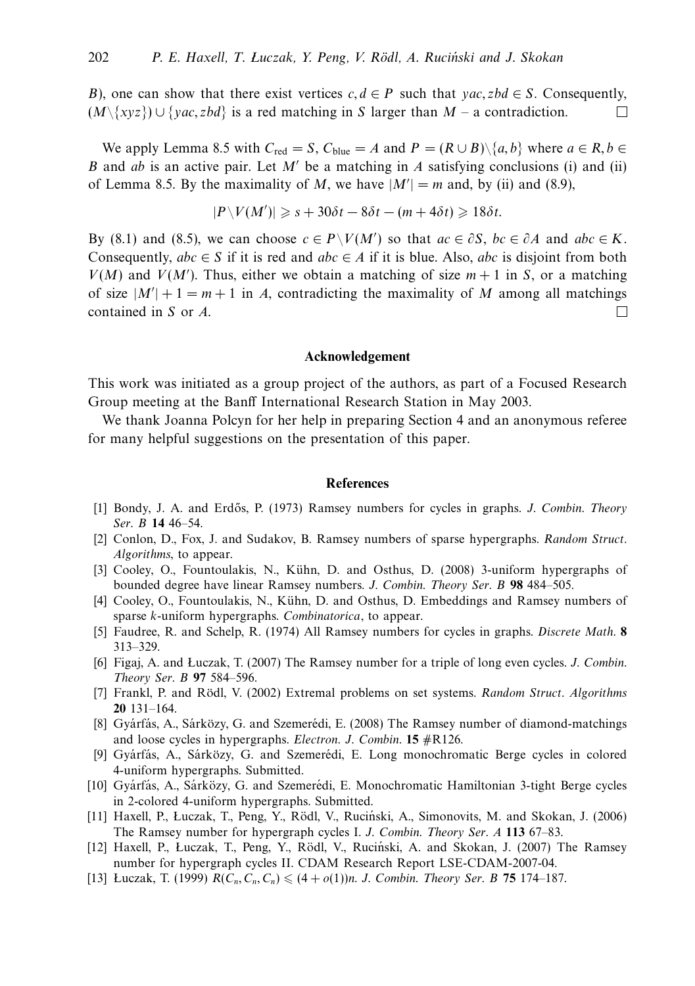*B*), one can show that there exist vertices  $c, d \in P$  such that *yac, zbd*  $\in S$ . Consequently,  $(M\setminus \{xyz\}) \cup \{vac, zbd\}$  is a red matching in *S* larger than *M* – a contradiction.  $\Box$ 

We apply Lemma 8.5 with  $C_{\text{red}} = S$ ,  $C_{\text{blue}} = A$  and  $P = (R \cup B) \setminus \{a, b\}$  where  $a \in R, b \in A$ *B* and *ab* is an active pair. Let *M*<sup>'</sup> be a matching in *A* satisfying conclusions (i) and (ii) of Lemma 8.5. By the maximality of *M*, we have  $|M'| = m$  and, by (ii) and (8.9),

$$
|P\backslash V(M')|\geqslant s+30\delta t-8\delta t-(m+4\delta t)\geqslant 18\delta t.
$$

By (8.1) and (8.5), we can choose  $c \in P \setminus V(M')$  so that  $ac \in \partial S$ ,  $bc \in \partial A$  and  $abc \in K$ . Consequently,  $abc \in S$  if it is red and  $abc \in A$  if it is blue. Also, *abc* is disjoint from both  $V(M)$  and  $V(M')$ . Thus, either we obtain a matching of size  $m + 1$  in *S*, or a matching of size  $|M'| + 1 = m + 1$  in *A*, contradicting the maximality of *M* among all matchings  $\Box$ contained in *S* or *A*.

#### **Acknowledgement**

This work was initiated as a group project of the authors, as part of a Focused Research Group meeting at the Banff International Research Station in May 2003.

We thank Joanna Polcyn for her help in preparing Section 4 and an anonymous referee for many helpful suggestions on the presentation of this paper.

#### **References**

- [1] Bondy, J. A. and Erdős, P. (1973) Ramsey numbers for cycles in graphs. J. Combin. Theory Ser. B **14** 46–54.
- [2] Conlon, D., Fox, J. and Sudakov, B. Ramsey numbers of sparse hypergraphs. Random Struct. Algorithms, to appear.
- [3] Cooley, O., Fountoulakis, N., Kühn, D. and Osthus, D. (2008) 3-uniform hypergraphs of bounded degree have linear Ramsey numbers. J. Combin. Theory Ser. B **98** 484–505.
- [4] Cooley, O., Fountoulakis, N., Kühn, D. and Osthus, D. Embeddings and Ramsey numbers of sparse *k*-uniform hypergraphs. Combinatorica, to appear.
- [5] Faudree, R. and Schelp, R. (1974) All Ramsey numbers for cycles in graphs. Discrete Math. **8** 313–329.
- [6] Figaj, A. and Luczak, T. (2007) The Ramsey number for a triple of long even cycles. J. Combin. Theory Ser. B **97** 584–596.
- [7] Frankl, P. and Rödl, V. (2002) Extremal problems on set systems. Random Struct. Algorithms **20** 131–164.
- $[8]$  Gyárfás, A., Sárközy, G. and Szemerédi, E. (2008) The Ramsey number of diamond-matchings and loose cycles in hypergraphs. Electron. J. Combin. **15** #R126.
- [9] Gyárfás, A., Sárközy, G. and Szemerédi, E. Long monochromatic Berge cycles in colored 4-uniform hypergraphs. Submitted.
- [10] Gyárfás, A., Sárközy, G. and Szemerédi, E. Monochromatic Hamiltonian 3-tight Berge cycles in 2-colored 4-uniform hypergraphs. Submitted.
- [11] Haxell, P., Łuczak, T., Peng, Y., Rödl, V., Ruciński, A., Simonovits, M. and Skokan, J. (2006) The Ramsey number for hypergraph cycles I. J. Combin. Theory Ser. A **113** 67–83.
- [12] Haxell, P., Luczak, T., Peng, Y., Rödl, V., Ruciński, A. and Skokan, J. (2007) The Ramsey number for hypergraph cycles II. CDAM Research Report LSE-CDAM-2007-04.
- [13] Luczak, T. (1999)  $R(C_n, C_n, C_n) \leq (4 + o(1))n$ . J. Combin. Theory Ser. B 75 174–187.